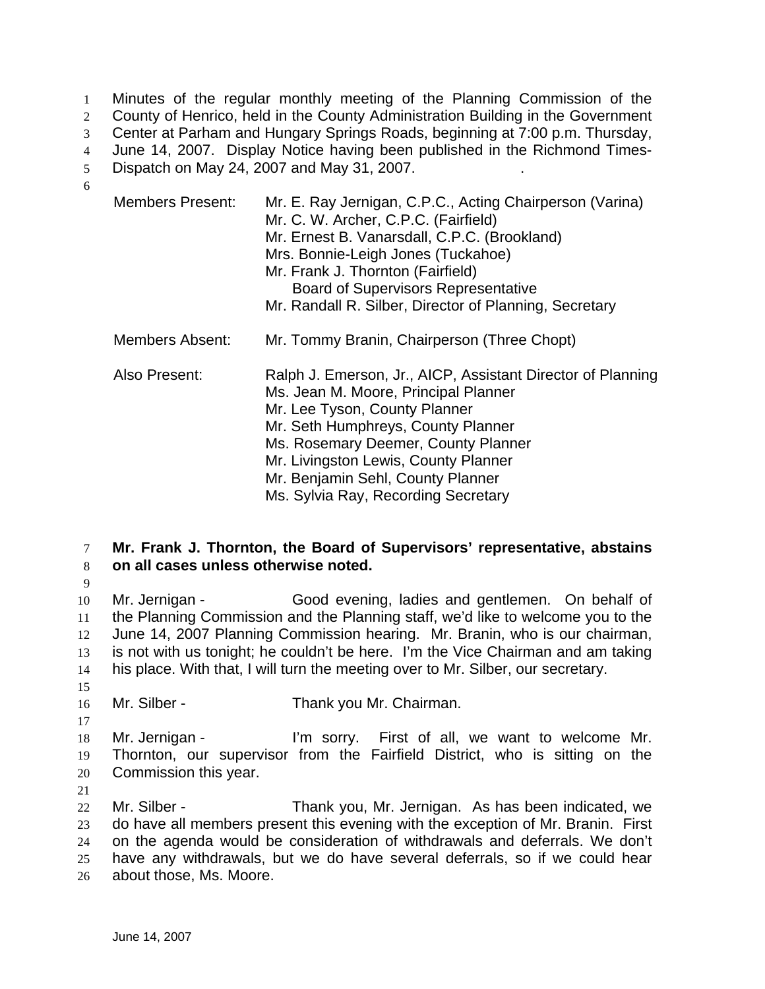1 Minutes of the regular monthly meeting of the Planning Commission of the 2 County of Henrico, held in the County Administration Building in the Government 3 Center at Parham and Hungary Springs Roads, beginning at 7:00 p.m. Thursday, 4 June 14, 2007. Display Notice having been published in the Richmond Times-5 Dispatch on May 24, 2007 and May 31, 2007. 6

| <b>Members Present:</b> | Mr. E. Ray Jernigan, C.P.C., Acting Chairperson (Varina)<br>Mr. C. W. Archer, C.P.C. (Fairfield)<br>Mr. Ernest B. Vanarsdall, C.P.C. (Brookland)<br>Mrs. Bonnie-Leigh Jones (Tuckahoe)<br>Mr. Frank J. Thornton (Fairfield)<br><b>Board of Supervisors Representative</b><br>Mr. Randall R. Silber, Director of Planning, Secretary   |
|-------------------------|---------------------------------------------------------------------------------------------------------------------------------------------------------------------------------------------------------------------------------------------------------------------------------------------------------------------------------------|
| Members Absent:         | Mr. Tommy Branin, Chairperson (Three Chopt)                                                                                                                                                                                                                                                                                           |
| Also Present:           | Ralph J. Emerson, Jr., AICP, Assistant Director of Planning<br>Ms. Jean M. Moore, Principal Planner<br>Mr. Lee Tyson, County Planner<br>Mr. Seth Humphreys, County Planner<br>Ms. Rosemary Deemer, County Planner<br>Mr. Livingston Lewis, County Planner<br>Mr. Benjamin Sehl, County Planner<br>Ms. Sylvia Ray, Recording Secretary |

## 7 **Mr. Frank J. Thornton, the Board of Supervisors' representative, abstains**  8 **on all cases unless otherwise noted.**

9

Mr. Jernigan - Good evening, ladies and gentlemen. On behalf of the Planning Commission and the Planning staff, we'd like to welcome you to the June 14, 2007 Planning Commission hearing. Mr. Branin, who is our chairman, is not with us tonight; he couldn't be here. I'm the Vice Chairman and am taking his place. With that, I will turn the meeting over to Mr. Silber, our secretary. 15

16 Mr. Silber - Thank you Mr. Chairman.

18 Mr. Jernigan - I'm sorry. First of all, we want to welcome Mr. 19 Thornton, our supervisor from the Fairfield District, who is sitting on the 20 Commission this year.

21

17

Mr. Silber - Thank you, Mr. Jernigan. As has been indicated, we do have all members present this evening with the exception of Mr. Branin. First on the agenda would be consideration of withdrawals and deferrals. We don't have any withdrawals, but we do have several deferrals, so if we could hear about those, Ms. Moore.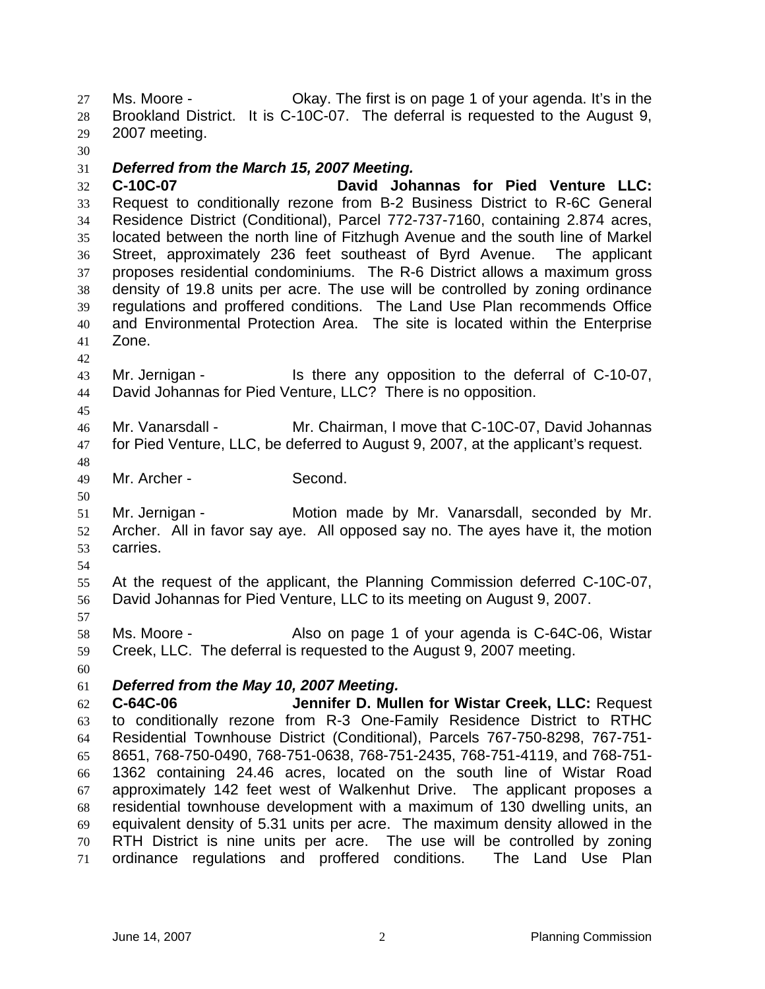Ms. Moore - Okay. The first is on page 1 of your agenda. It's in the Brookland District. It is C-10C-07. The deferral is requested to the August 9, 2007 meeting.

### *Deferred from the March 15, 2007 Meeting.*

**C-10C-07 David Johannas for Pied Venture LLC:** Request to conditionally rezone from B-2 Business District to R-6C General Residence District (Conditional), Parcel 772-737-7160, containing 2.874 acres, located between the north line of Fitzhugh Avenue and the south line of Markel Street, approximately 236 feet southeast of Byrd Avenue. The applicant proposes residential condominiums. The R-6 District allows a maximum gross density of 19.8 units per acre. The use will be controlled by zoning ordinance regulations and proffered conditions. The Land Use Plan recommends Office and Environmental Protection Area. The site is located within the Enterprise Zone.

### Mr. Jernigan - Is there any opposition to the deferral of C-10-07, David Johannas for Pied Venture, LLC? There is no opposition.

Mr. Vanarsdall - Mr. Chairman, I move that C-10C-07, David Johannas for Pied Venture, LLC, be deferred to August 9, 2007, at the applicant's request.

Mr. Archer - Second.

Mr. Jernigan - Motion made by Mr. Vanarsdall, seconded by Mr. Archer. All in favor say aye. All opposed say no. The ayes have it, the motion carries.

At the request of the applicant, the Planning Commission deferred C-10C-07, David Johannas for Pied Venture, LLC to its meeting on August 9, 2007.

Ms. Moore - Also on page 1 of your agenda is C-64C-06, Wistar Creek, LLC. The deferral is requested to the August 9, 2007 meeting.

### *Deferred from the May 10, 2007 Meeting.*

**C-64C-06 Jennifer D. Mullen for Wistar Creek, LLC:** Request to conditionally rezone from R-3 One-Family Residence District to RTHC Residential Townhouse District (Conditional), Parcels 767-750-8298, 767-751- 8651, 768-750-0490, 768-751-0638, 768-751-2435, 768-751-4119, and 768-751- 1362 containing 24.46 acres, located on the south line of Wistar Road approximately 142 feet west of Walkenhut Drive. The applicant proposes a residential townhouse development with a maximum of 130 dwelling units, an equivalent density of 5.31 units per acre. The maximum density allowed in the RTH District is nine units per acre. The use will be controlled by zoning ordinance regulations and proffered conditions. The Land Use Plan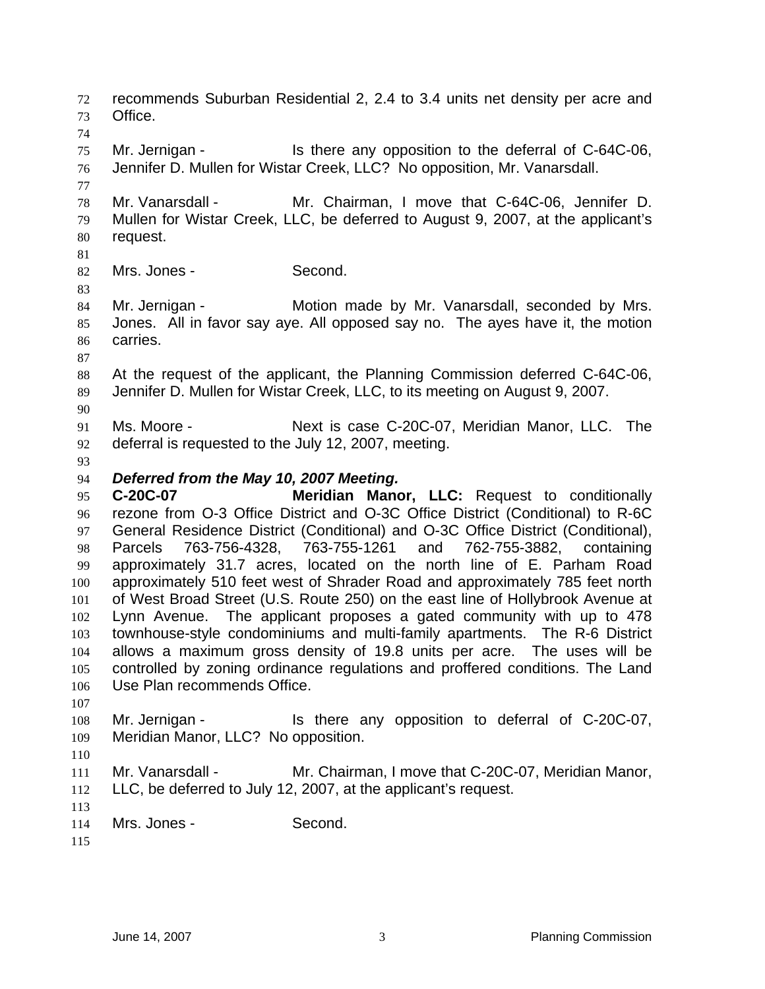recommends Suburban Residential 2, 2.4 to 3.4 units net density per acre and Office. Mr. Jernigan - Is there any opposition to the deferral of C-64C-06, Jennifer D. Mullen for Wistar Creek, LLC? No opposition, Mr. Vanarsdall. Mr. Vanarsdall - Mr. Chairman, I move that C-64C-06, Jennifer D. Mullen for Wistar Creek, LLC, be deferred to August 9, 2007, at the applicant's request. Mrs. Jones - Second. Mr. Jernigan - Motion made by Mr. Vanarsdall, seconded by Mrs. Jones. All in favor say aye. All opposed say no. The ayes have it, the motion carries. At the request of the applicant, the Planning Commission deferred C-64C-06, Jennifer D. Mullen for Wistar Creek, LLC, to its meeting on August 9, 2007. Ms. Moore - Next is case C-20C-07, Meridian Manor, LLC. The deferral is requested to the July 12, 2007, meeting. *Deferred from the May 10, 2007 Meeting.*  **C-20C-07 Meridian Manor, LLC:** Request to conditionally rezone from O-3 Office District and O-3C Office District (Conditional) to R-6C General Residence District (Conditional) and O-3C Office District (Conditional), Parcels 763-756-4328, 763-755-1261 and 762-755-3882, containing approximately 31.7 acres, located on the north line of E. Parham Road approximately 510 feet west of Shrader Road and approximately 785 feet north of West Broad Street (U.S. Route 250) on the east line of Hollybrook Avenue at Lynn Avenue. The applicant proposes a gated community with up to 478 townhouse-style condominiums and multi-family apartments. The R-6 District allows a maximum gross density of 19.8 units per acre. The uses will be controlled by zoning ordinance regulations and proffered conditions. The Land Use Plan recommends Office. Mr. Jernigan - Is there any opposition to deferral of C-20C-07, Meridian Manor, LLC? No opposition. Mr. Vanarsdall - Mr. Chairman, I move that C-20C-07, Meridian Manor, LLC, be deferred to July 12, 2007, at the applicant's request. 114 Mrs. Jones - Second.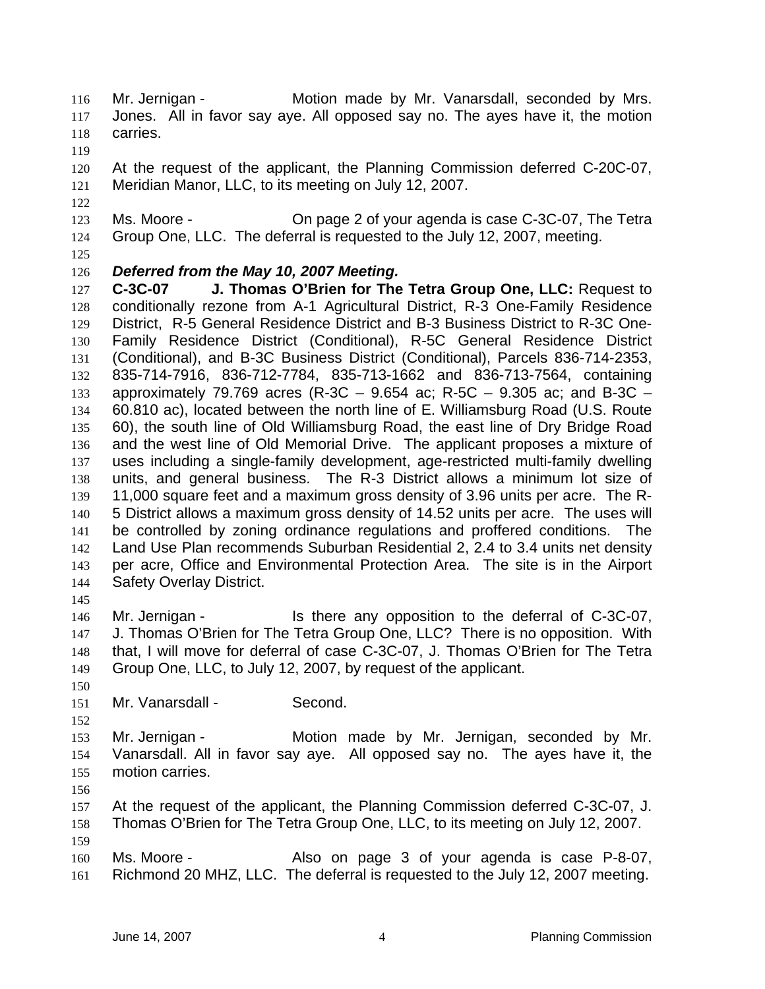- 116 Mr. Jernigan Motion made by Mr. Vanarsdall, seconded by Mrs. Jones. All in favor say aye. All opposed say no. The ayes have it, the motion carries.
- 
- At the request of the applicant, the Planning Commission deferred C-20C-07, Meridian Manor, LLC, to its meeting on July 12, 2007.
- Ms. Moore On page 2 of your agenda is case C-3C-07, The Tetra Group One, LLC. The deferral is requested to the July 12, 2007, meeting.
- 

# *Deferred from the May 10, 2007 Meeting.*

**C-3C-07 J. Thomas O'Brien for The Tetra Group One, LLC:** Request to conditionally rezone from A-1 Agricultural District, R-3 One-Family Residence District, R-5 General Residence District and B-3 Business District to R-3C One-Family Residence District (Conditional), R-5C General Residence District (Conditional), and B-3C Business District (Conditional), Parcels 836-714-2353, 835-714-7916, 836-712-7784, 835-713-1662 and 836-713-7564, containing approximately 79.769 acres (R-3C – 9.654 ac; R-5C – 9.305 ac; and B-3C – 60.810 ac), located between the north line of E. Williamsburg Road (U.S. Route 60), the south line of Old Williamsburg Road, the east line of Dry Bridge Road and the west line of Old Memorial Drive. The applicant proposes a mixture of uses including a single-family development, age-restricted multi-family dwelling units, and general business. The R-3 District allows a minimum lot size of 11,000 square feet and a maximum gross density of 3.96 units per acre. The R-5 District allows a maximum gross density of 14.52 units per acre. The uses will be controlled by zoning ordinance regulations and proffered conditions. The Land Use Plan recommends Suburban Residential 2, 2.4 to 3.4 units net density per acre, Office and Environmental Protection Area. The site is in the Airport Safety Overlay District.

Mr. Jernigan - Is there any opposition to the deferral of C-3C-07, J. Thomas O'Brien for The Tetra Group One, LLC? There is no opposition. With that, I will move for deferral of case C-3C-07, J. Thomas O'Brien for The Tetra Group One, LLC, to July 12, 2007, by request of the applicant.

Mr. Vanarsdall - Second.

Mr. Jernigan - Motion made by Mr. Jernigan, seconded by Mr. Vanarsdall. All in favor say aye. All opposed say no. The ayes have it, the motion carries.

At the request of the applicant, the Planning Commission deferred C-3C-07, J. Thomas O'Brien for The Tetra Group One, LLC, to its meeting on July 12, 2007. 

Ms. Moore - Also on page 3 of your agenda is case P-8-07, Richmond 20 MHZ, LLC. The deferral is requested to the July 12, 2007 meeting.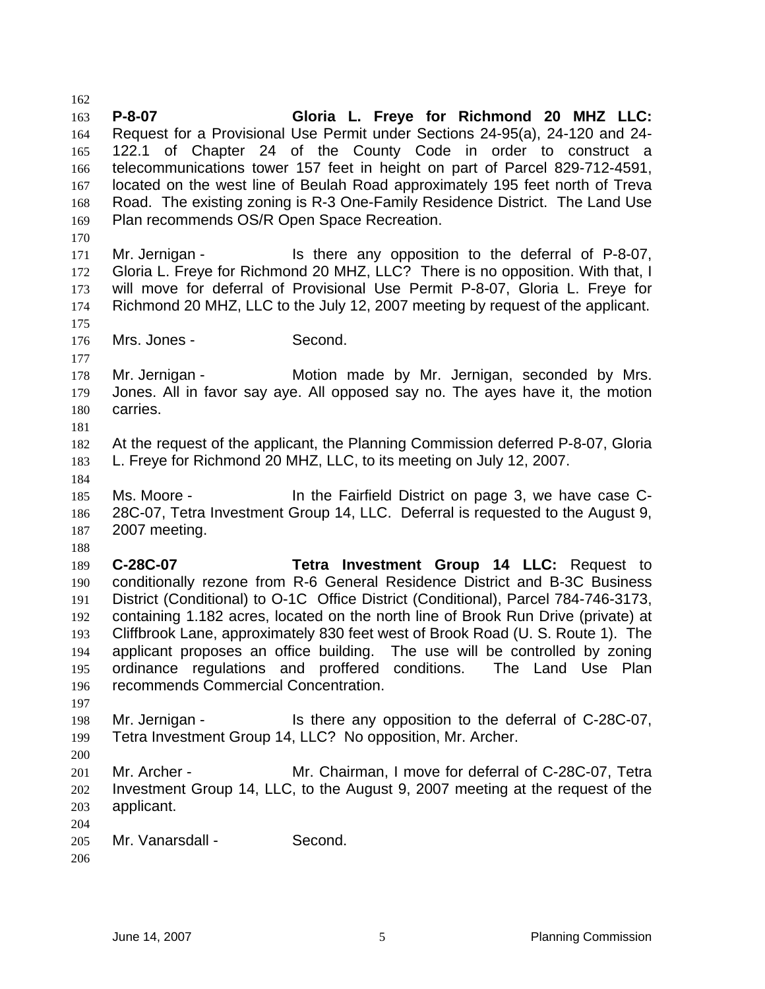**P-8-07 Gloria L. Freye for Richmond 20 MHZ LLC:**  Request for a Provisional Use Permit under Sections 24-95(a), 24-120 and 24- 122.1 of Chapter 24 of the County Code in order to construct a telecommunications tower 157 feet in height on part of Parcel 829-712-4591, located on the west line of Beulah Road approximately 195 feet north of Treva Road. The existing zoning is R-3 One-Family Residence District. The Land Use Plan recommends OS/R Open Space Recreation. Mr. Jernigan - Is there any opposition to the deferral of P-8-07, Gloria L. Freye for Richmond 20 MHZ, LLC? There is no opposition. With that, I will move for deferral of Provisional Use Permit P-8-07, Gloria L. Freye for Richmond 20 MHZ, LLC to the July 12, 2007 meeting by request of the applicant. Mrs. Jones - Second. Mr. Jernigan - Motion made by Mr. Jernigan, seconded by Mrs. Jones. All in favor say aye. All opposed say no. The ayes have it, the motion carries. At the request of the applicant, the Planning Commission deferred P-8-07, Gloria L. Freye for Richmond 20 MHZ, LLC, to its meeting on July 12, 2007. Ms. Moore - In the Fairfield District on page 3, we have case C-28C-07, Tetra Investment Group 14, LLC. Deferral is requested to the August 9, 2007 meeting. **C-28C-07 Tetra Investment Group 14 LLC:** Request to conditionally rezone from R-6 General Residence District and B-3C Business District (Conditional) to O-1C Office District (Conditional), Parcel 784-746-3173, containing 1.182 acres, located on the north line of Brook Run Drive (private) at Cliffbrook Lane, approximately 830 feet west of Brook Road (U. S. Route 1). The applicant proposes an office building. The use will be controlled by zoning ordinance regulations and proffered conditions. The Land Use Plan recommends Commercial Concentration. Mr. Jernigan - Is there any opposition to the deferral of C-28C-07, Tetra Investment Group 14, LLC? No opposition, Mr. Archer. Mr. Archer - Mr. Chairman, I move for deferral of C-28C-07, Tetra Investment Group 14, LLC, to the August 9, 2007 meeting at the request of the applicant. Mr. Vanarsdall - Second.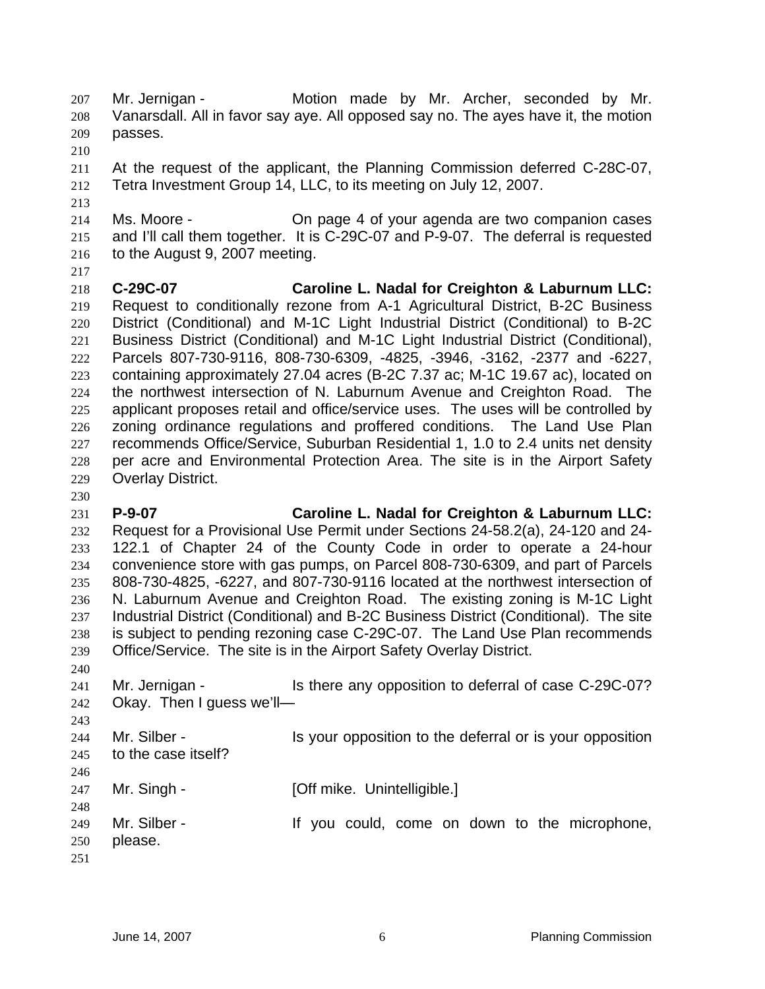- Mr. Jernigan Motion made by Mr. Archer, seconded by Mr. Vanarsdall. All in favor say aye. All opposed say no. The ayes have it, the motion passes.
- 
- At the request of the applicant, the Planning Commission deferred C-28C-07, Tetra Investment Group 14, LLC, to its meeting on July 12, 2007.
- Ms. Moore On page 4 of your agenda are two companion cases and I'll call them together. It is C-29C-07 and P-9-07. The deferral is requested to the August 9, 2007 meeting.
- 

- **C-29C-07 Caroline L. Nadal for Creighton & Laburnum LLC:**  Request to conditionally rezone from A-1 Agricultural District, B-2C Business District (Conditional) and M-1C Light Industrial District (Conditional) to B-2C Business District (Conditional) and M-1C Light Industrial District (Conditional), Parcels 807-730-9116, 808-730-6309, -4825, -3946, -3162, -2377 and -6227, containing approximately 27.04 acres (B-2C 7.37 ac; M-1C 19.67 ac), located on the northwest intersection of N. Laburnum Avenue and Creighton Road. The applicant proposes retail and office/service uses. The uses will be controlled by zoning ordinance regulations and proffered conditions. The Land Use Plan recommends Office/Service, Suburban Residential 1, 1.0 to 2.4 units net density per acre and Environmental Protection Area. The site is in the Airport Safety Overlay District.
- **P-9-07 Caroline L. Nadal for Creighton & Laburnum LLC:** Request for a Provisional Use Permit under Sections 24-58.2(a), 24-120 and 24- 122.1 of Chapter 24 of the County Code in order to operate a 24-hour convenience store with gas pumps, on Parcel 808-730-6309, and part of Parcels 808-730-4825, -6227, and 807-730-9116 located at the northwest intersection of N. Laburnum Avenue and Creighton Road. The existing zoning is M-1C Light Industrial District (Conditional) and B-2C Business District (Conditional). The site is subject to pending rezoning case C-29C-07. The Land Use Plan recommends Office/Service. The site is in the Airport Safety Overlay District.
- Mr. Jernigan - Is there any opposition to deferral of case C-29C-07? Okay. Then I guess we'll—
- 244 Mr. Silber Is your opposition to the deferral or is your opposition to the case itself? 247 Mr. Singh - [Off mike. Unintelligible.] 249 Mr. Silber - If you could, come on down to the microphone, please.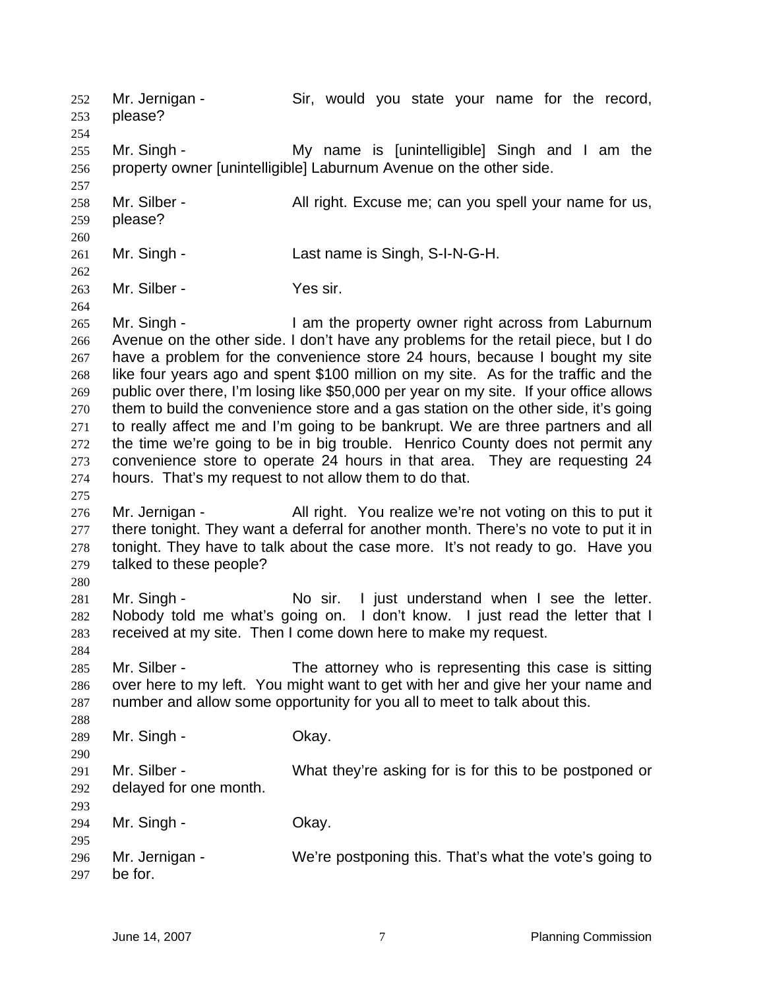Mr. Jernigan - Sir, would you state your name for the record, please? Mr. Singh - My name is [unintelligible] Singh and I am the property owner [unintelligible] Laburnum Avenue on the other side. 258 Mr. Silber - All right. Excuse me; can you spell your name for us, please? Mr. Singh - Last name is Singh, S-I-N-G-H. 263 Mr. Silber - Yes sir. 265 Mr. Singh - I am the property owner right across from Laburnum Avenue on the other side. I don't have any problems for the retail piece, but I do have a problem for the convenience store 24 hours, because I bought my site like four years ago and spent \$100 million on my site. As for the traffic and the public over there, I'm losing like \$50,000 per year on my site. If your office allows them to build the convenience store and a gas station on the other side, it's going to really affect me and I'm going to be bankrupt. We are three partners and all the time we're going to be in big trouble. Henrico County does not permit any convenience store to operate 24 hours in that area. They are requesting 24 hours. That's my request to not allow them to do that. 276 Mr. Jernigan - All right. You realize we're not voting on this to put it 277 there tonight. They want a deferral for another month. There's no vote to put it in tonight. They have to talk about the case more. It's not ready to go. Have you talked to these people? 281 Mr. Singh - No sir. I just understand when I see the letter. Nobody told me what's going on. I don't know. I just read the letter that I received at my site. Then I come down here to make my request. 285 Mr. Silber - The attorney who is representing this case is sitting over here to my left. You might want to get with her and give her your name and number and allow some opportunity for you all to meet to talk about this. 289 Mr. Singh - Okay. Mr. Silber - What they're asking for is for this to be postponed or delayed for one month. Mr. Singh - Okay. Mr. Jernigan - We're postponing this. That's what the vote's going to be for.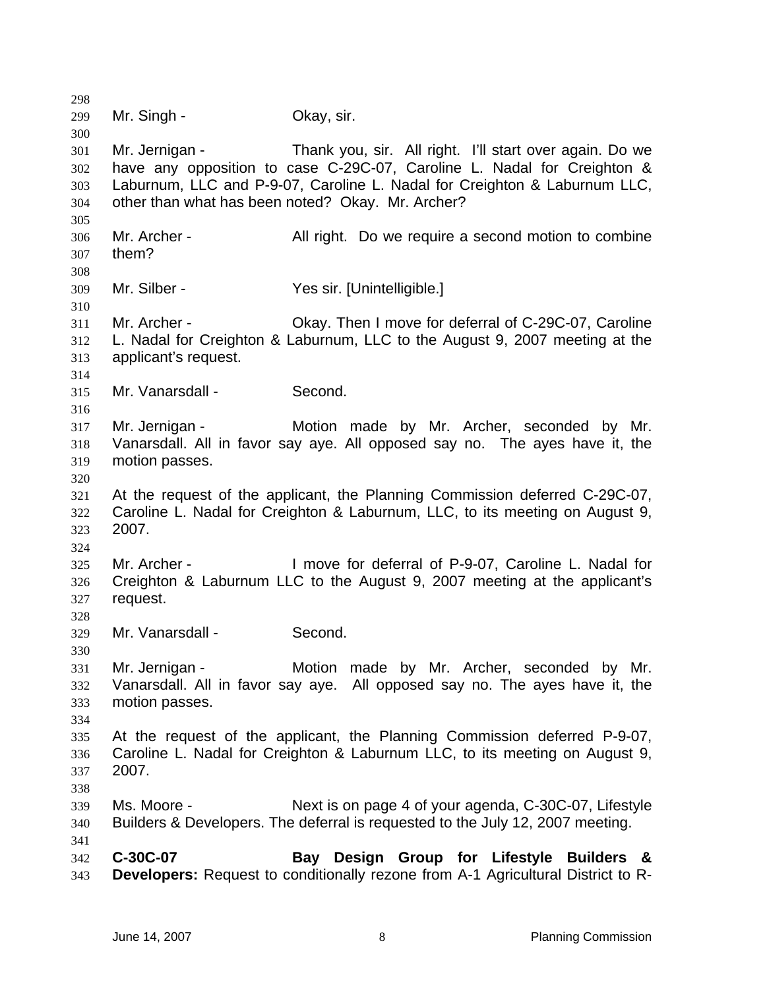Mr. Singh - Okay, sir. Mr. Jernigan - Thank you, sir. All right. I'll start over again. Do we have any opposition to case C-29C-07, Caroline L. Nadal for Creighton & Laburnum, LLC and P-9-07, Caroline L. Nadal for Creighton & Laburnum LLC, other than what has been noted? Okay. Mr. Archer? Mr. Archer - All right. Do we require a second motion to combine them? Mr. Silber - Yes sir. [Unintelligible.] Mr. Archer - Okay. Then I move for deferral of C-29C-07, Caroline L. Nadal for Creighton & Laburnum, LLC to the August 9, 2007 meeting at the applicant's request. Mr. Vanarsdall - Second. Mr. Jernigan - Motion made by Mr. Archer, seconded by Mr. Vanarsdall. All in favor say aye. All opposed say no. The ayes have it, the motion passes. At the request of the applicant, the Planning Commission deferred C-29C-07, Caroline L. Nadal for Creighton & Laburnum, LLC, to its meeting on August 9, 2007. Mr. Archer - I move for deferral of P-9-07, Caroline L. Nadal for Creighton & Laburnum LLC to the August 9, 2007 meeting at the applicant's request. Mr. Vanarsdall - Second. Mr. Jernigan - Motion made by Mr. Archer, seconded by Mr. Vanarsdall. All in favor say aye. All opposed say no. The ayes have it, the motion passes. At the request of the applicant, the Planning Commission deferred P-9-07, Caroline L. Nadal for Creighton & Laburnum LLC, to its meeting on August 9, 2007. Ms. Moore - Next is on page 4 of your agenda, C-30C-07, Lifestyle Builders & Developers. The deferral is requested to the July 12, 2007 meeting. **C-30C-07 Bay Design Group for Lifestyle Builders & Developers:** Request to conditionally rezone from A-1 Agricultural District to R-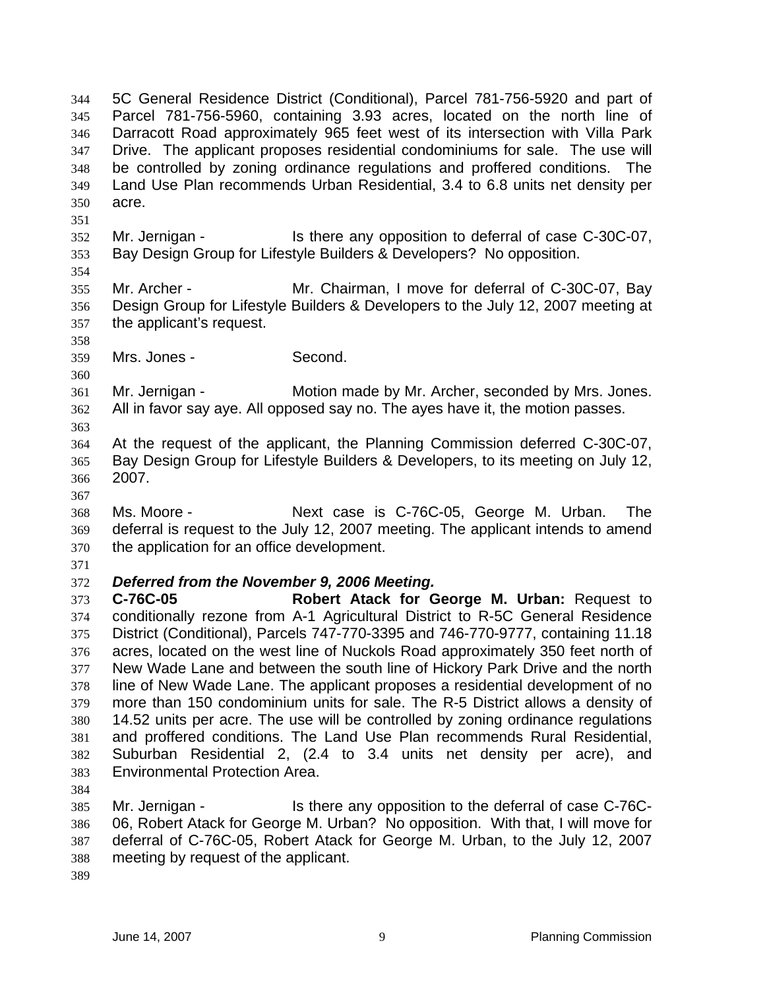5C General Residence District (Conditional), Parcel 781-756-5920 and part of Parcel 781-756-5960, containing 3.93 acres, located on the north line of Darracott Road approximately 965 feet west of its intersection with Villa Park Drive. The applicant proposes residential condominiums for sale. The use will be controlled by zoning ordinance regulations and proffered conditions. The Land Use Plan recommends Urban Residential, 3.4 to 6.8 units net density per acre.

- Mr. Jernigan Is there any opposition to deferral of case C-30C-07, Bay Design Group for Lifestyle Builders & Developers? No opposition.
- Mr. Archer Mr. Chairman, I move for deferral of C-30C-07, Bay Design Group for Lifestyle Builders & Developers to the July 12, 2007 meeting at the applicant's request.
- 

Mrs. Jones - Second.

Mr. Jernigan - Motion made by Mr. Archer, seconded by Mrs. Jones. All in favor say aye. All opposed say no. The ayes have it, the motion passes.

- At the request of the applicant, the Planning Commission deferred C-30C-07, Bay Design Group for Lifestyle Builders & Developers, to its meeting on July 12, 2007.
- 
- Ms. Moore Next case is C-76C-05, George M. Urban. The deferral is request to the July 12, 2007 meeting. The applicant intends to amend the application for an office development.
- 

# *Deferred from the November 9, 2006 Meeting.*

**C-76C-05 Robert Atack for George M. Urban:** Request to conditionally rezone from A-1 Agricultural District to R-5C General Residence District (Conditional), Parcels 747-770-3395 and 746-770-9777, containing 11.18 acres, located on the west line of Nuckols Road approximately 350 feet north of New Wade Lane and between the south line of Hickory Park Drive and the north line of New Wade Lane. The applicant proposes a residential development of no more than 150 condominium units for sale. The R-5 District allows a density of 14.52 units per acre. The use will be controlled by zoning ordinance regulations and proffered conditions. The Land Use Plan recommends Rural Residential, Suburban Residential 2, (2.4 to 3.4 units net density per acre), and Environmental Protection Area.

Mr. Jernigan - Is there any opposition to the deferral of case C-76C-06, Robert Atack for George M. Urban? No opposition. With that, I will move for deferral of C-76C-05, Robert Atack for George M. Urban, to the July 12, 2007 meeting by request of the applicant.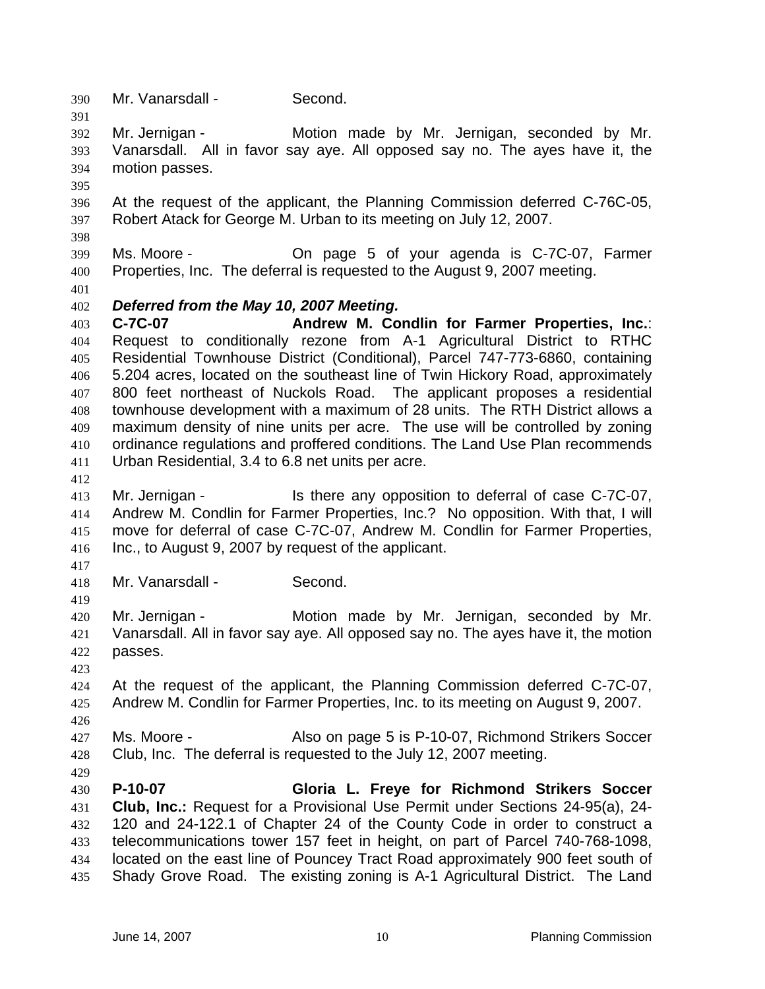Mr. Vanarsdall - Second. Mr. Jernigan - Motion made by Mr. Jernigan, seconded by Mr. Vanarsdall. All in favor say aye. All opposed say no. The ayes have it, the motion passes. At the request of the applicant, the Planning Commission deferred C-76C-05, Robert Atack for George M. Urban to its meeting on July 12, 2007. Ms. Moore - On page 5 of your agenda is C-7C-07, Farmer Properties, Inc. The deferral is requested to the August 9, 2007 meeting. *Deferred from the May 10, 2007 Meeting.*  **C-7C-07 Andrew M. Condlin for Farmer Properties, Inc.**: Request to conditionally rezone from A-1 Agricultural District to RTHC Residential Townhouse District (Conditional), Parcel 747-773-6860, containing 5.204 acres, located on the southeast line of Twin Hickory Road, approximately 800 feet northeast of Nuckols Road. The applicant proposes a residential townhouse development with a maximum of 28 units. The RTH District allows a maximum density of nine units per acre. The use will be controlled by zoning ordinance regulations and proffered conditions. The Land Use Plan recommends Urban Residential, 3.4 to 6.8 net units per acre. 413 Mr. Jernigan - Is there any opposition to deferral of case C-7C-07, Andrew M. Condlin for Farmer Properties, Inc.? No opposition. With that, I will move for deferral of case C-7C-07, Andrew M. Condlin for Farmer Properties, Inc., to August 9, 2007 by request of the applicant. Mr. Vanarsdall - Second. Mr. Jernigan - Motion made by Mr. Jernigan, seconded by Mr. Vanarsdall. All in favor say aye. All opposed say no. The ayes have it, the motion passes. At the request of the applicant, the Planning Commission deferred C-7C-07, Andrew M. Condlin for Farmer Properties, Inc. to its meeting on August 9, 2007. 427 Ms. Moore - Also on page 5 is P-10-07, Richmond Strikers Soccer Club, Inc. The deferral is requested to the July 12, 2007 meeting. **P-10-07 Gloria L. Freye for Richmond Strikers Soccer Club, Inc.:** Request for a Provisional Use Permit under Sections 24-95(a), 24- 120 and 24-122.1 of Chapter 24 of the County Code in order to construct a telecommunications tower 157 feet in height, on part of Parcel 740-768-1098, located on the east line of Pouncey Tract Road approximately 900 feet south of Shady Grove Road. The existing zoning is A-1 Agricultural District. The Land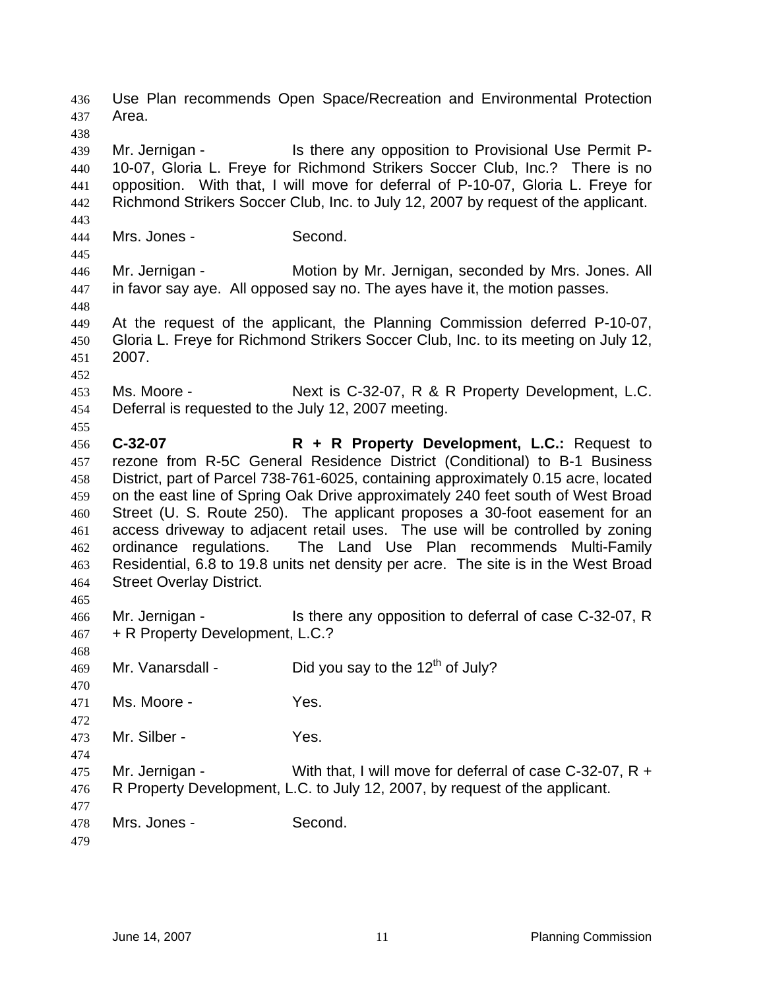Use Plan recommends Open Space/Recreation and Environmental Protection Area. Mr. Jernigan - Is there any opposition to Provisional Use Permit P-10-07, Gloria L. Freye for Richmond Strikers Soccer Club, Inc.? There is no opposition. With that, I will move for deferral of P-10-07, Gloria L. Freye for Richmond Strikers Soccer Club, Inc. to July 12, 2007 by request of the applicant. Mrs. Jones - Second. Mr. Jernigan - Motion by Mr. Jernigan, seconded by Mrs. Jones. All in favor say aye. All opposed say no. The ayes have it, the motion passes. At the request of the applicant, the Planning Commission deferred P-10-07, Gloria L. Freye for Richmond Strikers Soccer Club, Inc. to its meeting on July 12, 2007. Ms. Moore - Next is C-32-07, R & R Property Development, L.C. Deferral is requested to the July 12, 2007 meeting. **C-32-07 R + R Property Development, L.C.:** Request to rezone from R-5C General Residence District (Conditional) to B-1 Business District, part of Parcel 738-761-6025, containing approximately 0.15 acre, located on the east line of Spring Oak Drive approximately 240 feet south of West Broad Street (U. S. Route 250). The applicant proposes a 30-foot easement for an access driveway to adjacent retail uses. The use will be controlled by zoning ordinance regulations. The Land Use Plan recommends Multi-Family Residential, 6.8 to 19.8 units net density per acre. The site is in the West Broad Street Overlay District. Mr. Jernigan - Is there any opposition to deferral of case C-32-07, R + R Property Development, L.C.? 469 Mr. Vanarsdall - Did you say to the  $12<sup>th</sup>$  of July? Ms. Moore - Yes. Mr. Silber - Yes. Mr. Jernigan - With that, I will move for deferral of case C-32-07, R + R Property Development, L.C. to July 12, 2007, by request of the applicant. Mrs. Jones - Second.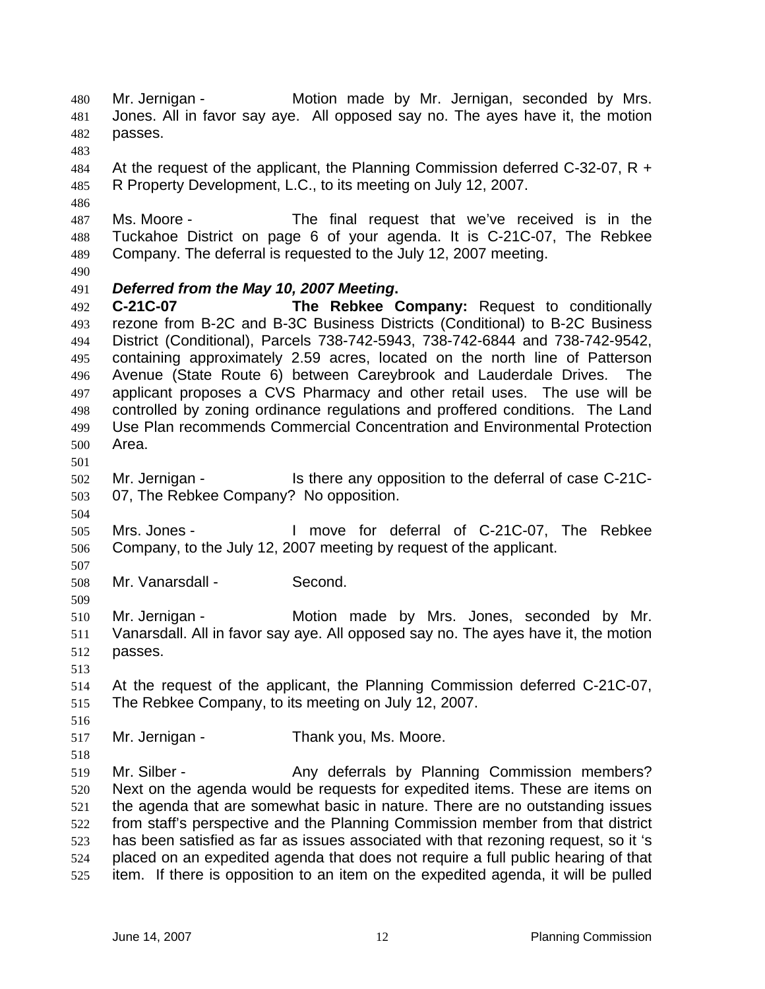Mr. Jernigan - Motion made by Mr. Jernigan, seconded by Mrs. Jones. All in favor say aye. All opposed say no. The ayes have it, the motion passes. 484 At the request of the applicant, the Planning Commission deferred C-32-07, R + R Property Development, L.C., to its meeting on July 12, 2007. Ms. Moore - The final request that we've received is in the Tuckahoe District on page 6 of your agenda. It is C-21C-07, The Rebkee Company. The deferral is requested to the July 12, 2007 meeting. *Deferred from the May 10, 2007 Meeting***. C-21C-07 The Rebkee Company:** Request to conditionally rezone from B-2C and B-3C Business Districts (Conditional) to B-2C Business District (Conditional), Parcels 738-742-5943, 738-742-6844 and 738-742-9542, containing approximately 2.59 acres, located on the north line of Patterson Avenue (State Route 6) between Careybrook and Lauderdale Drives. The applicant proposes a CVS Pharmacy and other retail uses. The use will be controlled by zoning ordinance regulations and proffered conditions. The Land Use Plan recommends Commercial Concentration and Environmental Protection Area. Mr. Jernigan - Is there any opposition to the deferral of case C-21C-07, The Rebkee Company? No opposition. Mrs. Jones - I move for deferral of C-21C-07, The Rebkee Company, to the July 12, 2007 meeting by request of the applicant. Mr. Vanarsdall - Second. Mr. Jernigan - Motion made by Mrs. Jones, seconded by Mr. Vanarsdall. All in favor say aye. All opposed say no. The ayes have it, the motion passes. At the request of the applicant, the Planning Commission deferred C-21C-07, The Rebkee Company, to its meeting on July 12, 2007. Mr. Jernigan - Thank you, Ms. Moore. 519 Mr. Silber - Any deferrals by Planning Commission members? Next on the agenda would be requests for expedited items. These are items on the agenda that are somewhat basic in nature. There are no outstanding issues from staff's perspective and the Planning Commission member from that district has been satisfied as far as issues associated with that rezoning request, so it 's placed on an expedited agenda that does not require a full public hearing of that item. If there is opposition to an item on the expedited agenda, it will be pulled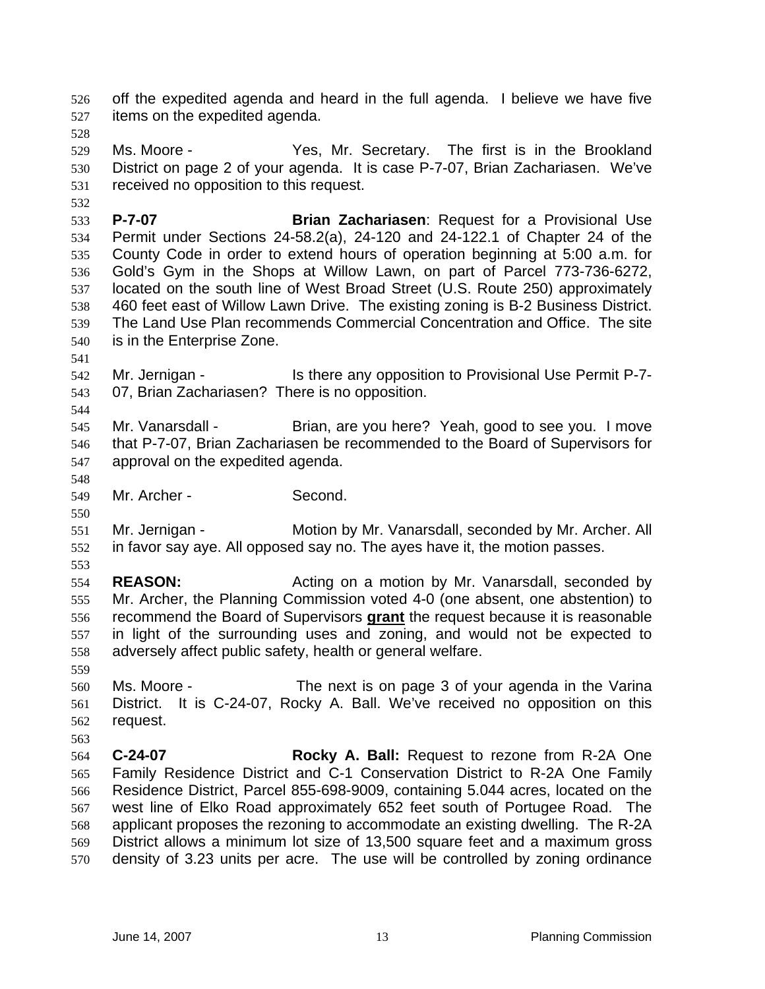off the expedited agenda and heard in the full agenda. I believe we have five items on the expedited agenda.

Ms. Moore - Yes, Mr. Secretary. The first is in the Brookland District on page 2 of your agenda. It is case P-7-07, Brian Zachariasen. We've received no opposition to this request.

**P-7-07 Brian Zachariasen**: Request for a Provisional Use Permit under Sections 24-58.2(a), 24-120 and 24-122.1 of Chapter 24 of the County Code in order to extend hours of operation beginning at 5:00 a.m. for Gold's Gym in the Shops at Willow Lawn, on part of Parcel 773-736-6272, located on the south line of West Broad Street (U.S. Route 250) approximately 460 feet east of Willow Lawn Drive. The existing zoning is B-2 Business District. The Land Use Plan recommends Commercial Concentration and Office. The site is in the Enterprise Zone.

Mr. Jernigan - Is there any opposition to Provisional Use Permit P-7- 07, Brian Zachariasen? There is no opposition.

545 Mr. Vanarsdall - Brian, are you here? Yeah, good to see you. I move that P-7-07, Brian Zachariasen be recommended to the Board of Supervisors for approval on the expedited agenda.

Mr. Archer - Second.

Mr. Jernigan - Motion by Mr. Vanarsdall, seconded by Mr. Archer. All in favor say aye. All opposed say no. The ayes have it, the motion passes.

**REASON:** Acting on a motion by Mr. Vanarsdall, seconded by Mr. Archer, the Planning Commission voted 4-0 (one absent, one abstention) to recommend the Board of Supervisors **grant** the request because it is reasonable in light of the surrounding uses and zoning, and would not be expected to adversely affect public safety, health or general welfare.

Ms. Moore - The next is on page 3 of your agenda in the Varina District. It is C-24-07, Rocky A. Ball. We've received no opposition on this request.

**C-24-07 Rocky A. Ball:** Request to rezone from R-2A One Family Residence District and C-1 Conservation District to R-2A One Family Residence District, Parcel 855-698-9009, containing 5.044 acres, located on the west line of Elko Road approximately 652 feet south of Portugee Road. The applicant proposes the rezoning to accommodate an existing dwelling. The R-2A District allows a minimum lot size of 13,500 square feet and a maximum gross density of 3.23 units per acre. The use will be controlled by zoning ordinance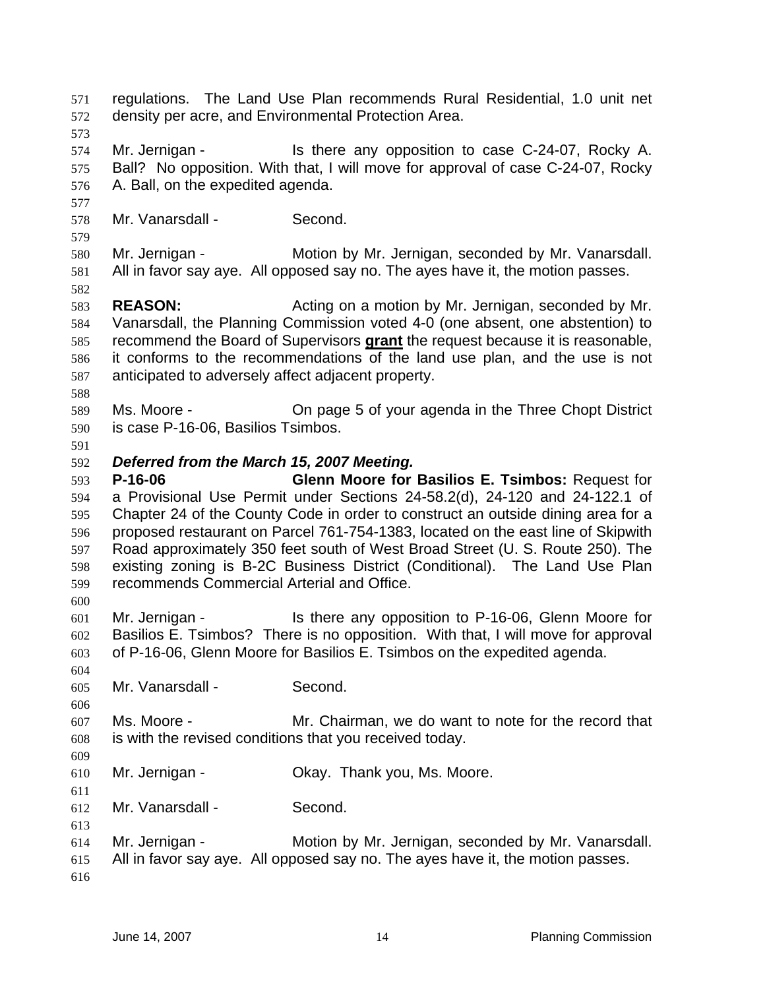regulations. The Land Use Plan recommends Rural Residential, 1.0 unit net density per acre, and Environmental Protection Area. Mr. Jernigan - Is there any opposition to case C-24-07, Rocky A. Ball? No opposition. With that, I will move for approval of case C-24-07, Rocky A. Ball, on the expedited agenda. Mr. Vanarsdall - Second. Mr. Jernigan - Motion by Mr. Jernigan, seconded by Mr. Vanarsdall. All in favor say aye. All opposed say no. The ayes have it, the motion passes. **REASON:** Acting on a motion by Mr. Jernigan, seconded by Mr. Vanarsdall, the Planning Commission voted 4-0 (one absent, one abstention) to recommend the Board of Supervisors **grant** the request because it is reasonable, it conforms to the recommendations of the land use plan, and the use is not anticipated to adversely affect adjacent property. Ms. Moore - On page 5 of your agenda in the Three Chopt District is case P-16-06, Basilios Tsimbos. *Deferred from the March 15, 2007 Meeting.*  **P-16-06 Glenn Moore for Basilios E. Tsimbos:** Request for a Provisional Use Permit under Sections 24-58.2(d), 24-120 and 24-122.1 of Chapter 24 of the County Code in order to construct an outside dining area for a proposed restaurant on Parcel 761-754-1383, located on the east line of Skipwith Road approximately 350 feet south of West Broad Street (U. S. Route 250). The existing zoning is B-2C Business District (Conditional). The Land Use Plan recommends Commercial Arterial and Office. Mr. Jernigan - Is there any opposition to P-16-06, Glenn Moore for Basilios E. Tsimbos? There is no opposition. With that, I will move for approval of P-16-06, Glenn Moore for Basilios E. Tsimbos on the expedited agenda. Mr. Vanarsdall - Second. Ms. Moore - Mr. Chairman, we do want to note for the record that is with the revised conditions that you received today. Mr. Jernigan - Okay. Thank you, Ms. Moore. Mr. Vanarsdall - Second. Mr. Jernigan - Motion by Mr. Jernigan, seconded by Mr. Vanarsdall. All in favor say aye. All opposed say no. The ayes have it, the motion passes.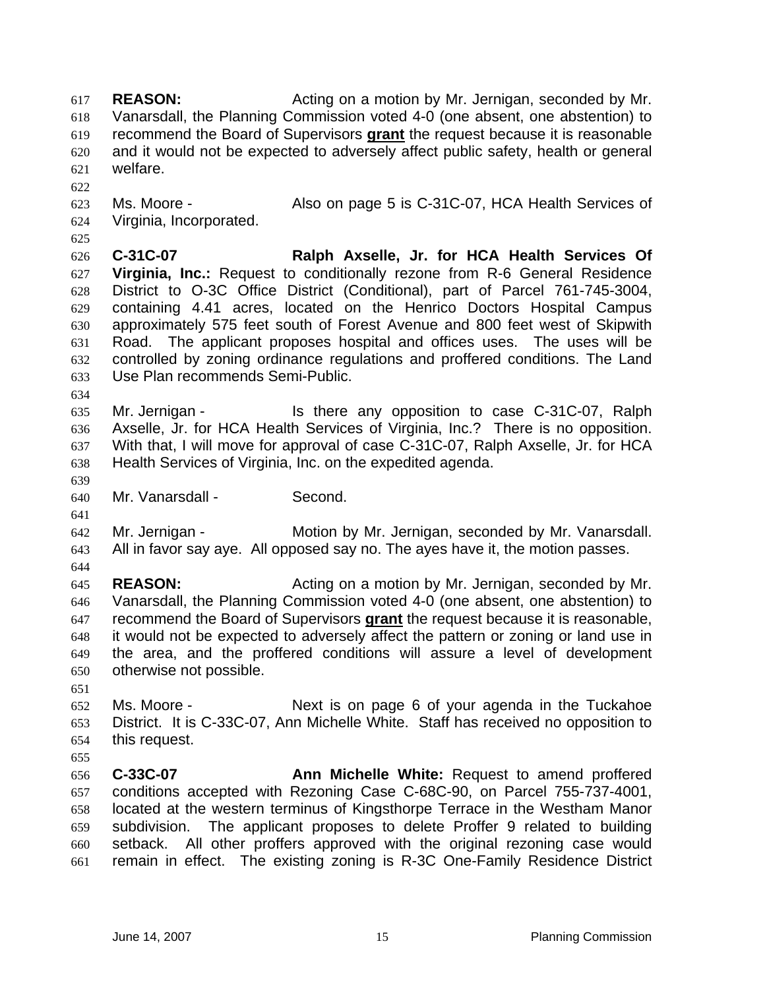**REASON:** Acting on a motion by Mr. Jernigan, seconded by Mr. Vanarsdall, the Planning Commission voted 4-0 (one absent, one abstention) to recommend the Board of Supervisors **grant** the request because it is reasonable and it would not be expected to adversely affect public safety, health or general welfare. Ms. Moore - Also on page 5 is C-31C-07, HCA Health Services of Virginia, Incorporated. **C-31C-07 Ralph Axselle, Jr. for HCA Health Services Of Virginia, Inc.:** Request to conditionally rezone from R-6 General Residence District to O-3C Office District (Conditional), part of Parcel 761-745-3004, containing 4.41 acres, located on the Henrico Doctors Hospital Campus approximately 575 feet south of Forest Avenue and 800 feet west of Skipwith Road. The applicant proposes hospital and offices uses. The uses will be controlled by zoning ordinance regulations and proffered conditions. The Land Use Plan recommends Semi-Public. Mr. Jernigan - Is there any opposition to case C-31C-07, Ralph Axselle, Jr. for HCA Health Services of Virginia, Inc.? There is no opposition. With that, I will move for approval of case C-31C-07, Ralph Axselle, Jr. for HCA Health Services of Virginia, Inc. on the expedited agenda. Mr. Vanarsdall - Second. Mr. Jernigan - Motion by Mr. Jernigan, seconded by Mr. Vanarsdall. All in favor say aye. All opposed say no. The ayes have it, the motion passes. **REASON:** Acting on a motion by Mr. Jernigan, seconded by Mr. Vanarsdall, the Planning Commission voted 4-0 (one absent, one abstention) to recommend the Board of Supervisors **grant** the request because it is reasonable, it would not be expected to adversely affect the pattern or zoning or land use in the area, and the proffered conditions will assure a level of development otherwise not possible. Ms. Moore - Next is on page 6 of your agenda in the Tuckahoe District. It is C-33C-07, Ann Michelle White. Staff has received no opposition to this request. **C-33C-07 Ann Michelle White:** Request to amend proffered conditions accepted with Rezoning Case C-68C-90, on Parcel 755-737-4001, located at the western terminus of Kingsthorpe Terrace in the Westham Manor subdivision. The applicant proposes to delete Proffer 9 related to building setback. All other proffers approved with the original rezoning case would remain in effect. The existing zoning is R-3C One-Family Residence District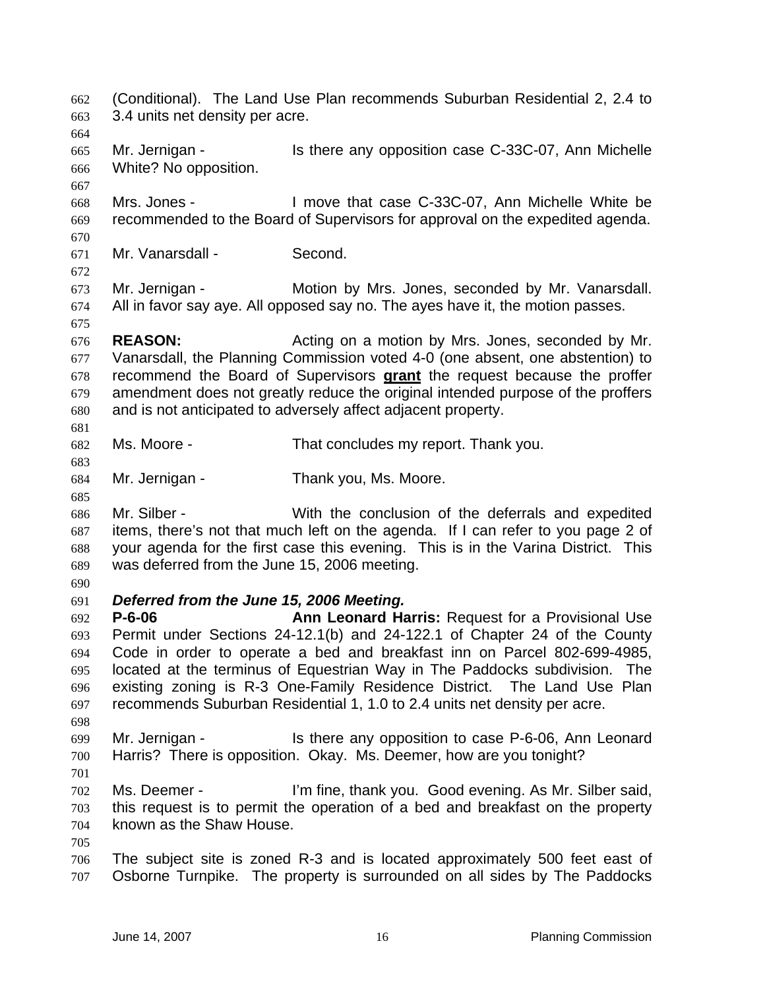(Conditional). The Land Use Plan recommends Suburban Residential 2, 2.4 to 3.4 units net density per acre. Mr. Jernigan - Is there any opposition case C-33C-07, Ann Michelle White? No opposition. Mrs. Jones - I move that case C-33C-07, Ann Michelle White be recommended to the Board of Supervisors for approval on the expedited agenda. Mr. Vanarsdall - Second. Mr. Jernigan - Motion by Mrs. Jones, seconded by Mr. Vanarsdall. All in favor say aye. All opposed say no. The ayes have it, the motion passes. **REASON:** Acting on a motion by Mrs. Jones, seconded by Mr. Vanarsdall, the Planning Commission voted 4-0 (one absent, one abstention) to recommend the Board of Supervisors **grant** the request because the proffer amendment does not greatly reduce the original intended purpose of the proffers and is not anticipated to adversely affect adjacent property. Ms. Moore - That concludes my report. Thank you. Mr. Jernigan - Thank you, Ms. Moore. Mr. Silber - With the conclusion of the deferrals and expedited items, there's not that much left on the agenda. If I can refer to you page 2 of your agenda for the first case this evening. This is in the Varina District. This was deferred from the June 15, 2006 meeting. *Deferred from the June 15, 2006 Meeting.*  **P-6-06 Ann Leonard Harris:** Request for a Provisional Use Permit under Sections 24-12.1(b) and 24-122.1 of Chapter 24 of the County Code in order to operate a bed and breakfast inn on Parcel 802-699-4985, located at the terminus of Equestrian Way in The Paddocks subdivision. The existing zoning is R-3 One-Family Residence District. The Land Use Plan recommends Suburban Residential 1, 1.0 to 2.4 units net density per acre. Mr. Jernigan - Is there any opposition to case P-6-06, Ann Leonard Harris? There is opposition. Okay. Ms. Deemer, how are you tonight? Ms. Deemer - I'm fine, thank you. Good evening. As Mr. Silber said, this request is to permit the operation of a bed and breakfast on the property known as the Shaw House. The subject site is zoned R-3 and is located approximately 500 feet east of Osborne Turnpike. The property is surrounded on all sides by The Paddocks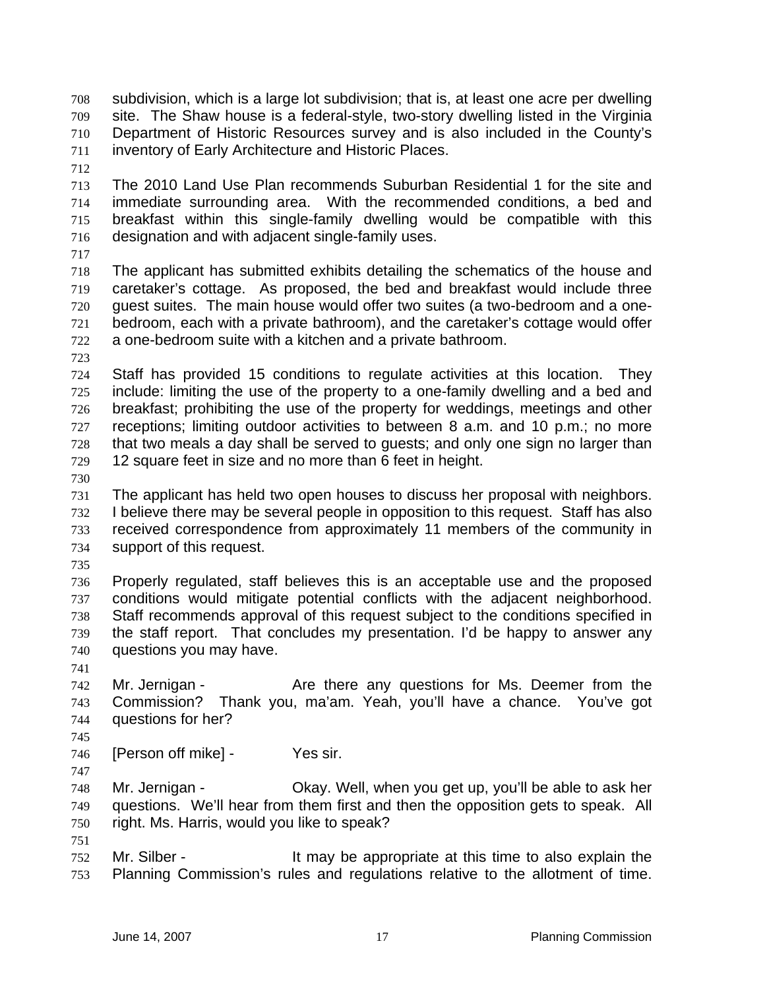subdivision, which is a large lot subdivision; that is, at least one acre per dwelling site. The Shaw house is a federal-style, two-story dwelling listed in the Virginia Department of Historic Resources survey and is also included in the County's inventory of Early Architecture and Historic Places.

The 2010 Land Use Plan recommends Suburban Residential 1 for the site and immediate surrounding area. With the recommended conditions, a bed and breakfast within this single-family dwelling would be compatible with this designation and with adjacent single-family uses.

The applicant has submitted exhibits detailing the schematics of the house and caretaker's cottage. As proposed, the bed and breakfast would include three guest suites. The main house would offer two suites (a two-bedroom and a one-bedroom, each with a private bathroom), and the caretaker's cottage would offer a one-bedroom suite with a kitchen and a private bathroom.

Staff has provided 15 conditions to regulate activities at this location. They include: limiting the use of the property to a one-family dwelling and a bed and breakfast; prohibiting the use of the property for weddings, meetings and other receptions; limiting outdoor activities to between 8 a.m. and 10 p.m.; no more that two meals a day shall be served to guests; and only one sign no larger than 12 square feet in size and no more than 6 feet in height.

The applicant has held two open houses to discuss her proposal with neighbors. I believe there may be several people in opposition to this request. Staff has also received correspondence from approximately 11 members of the community in support of this request.

Properly regulated, staff believes this is an acceptable use and the proposed conditions would mitigate potential conflicts with the adjacent neighborhood. Staff recommends approval of this request subject to the conditions specified in the staff report. That concludes my presentation. I'd be happy to answer any questions you may have.

Mr. Jernigan - Are there any questions for Ms. Deemer from the Commission? Thank you, ma'am. Yeah, you'll have a chance. You've got questions for her?

746 [Person off mike] - Yes sir.

Mr. Jernigan - Okay. Well, when you get up, you'll be able to ask her questions. We'll hear from them first and then the opposition gets to speak. All right. Ms. Harris, would you like to speak?

Mr. Silber - It may be appropriate at this time to also explain the Planning Commission's rules and regulations relative to the allotment of time.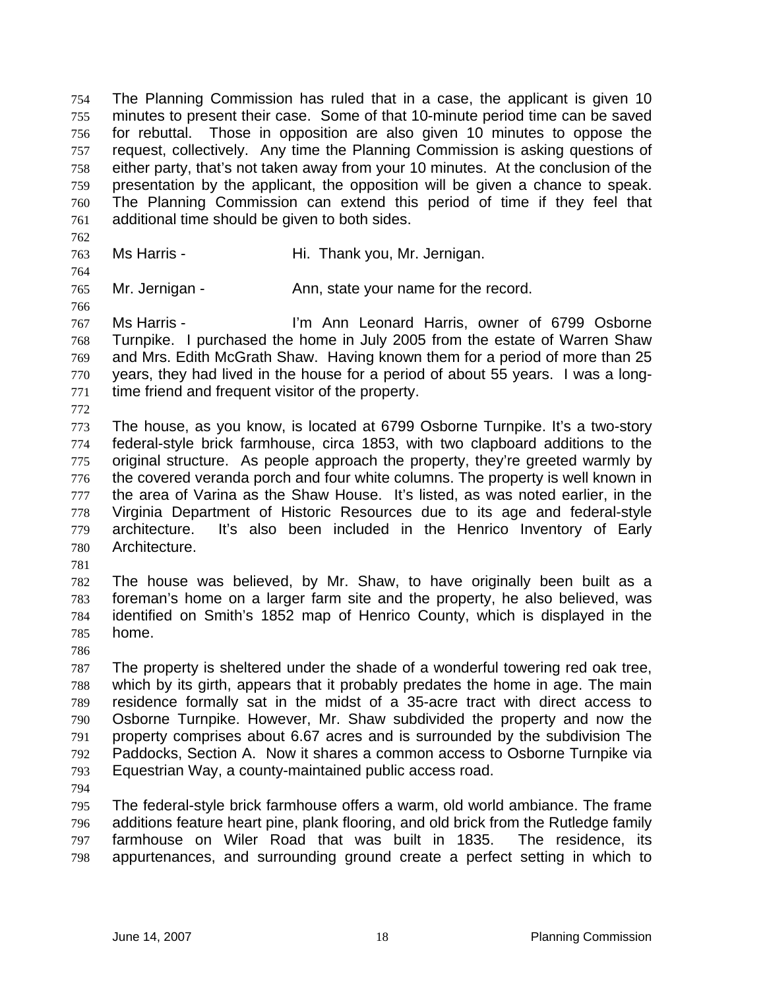The Planning Commission has ruled that in a case, the applicant is given 10 minutes to present their case. Some of that 10-minute period time can be saved for rebuttal. Those in opposition are also given 10 minutes to oppose the request, collectively. Any time the Planning Commission is asking questions of either party, that's not taken away from your 10 minutes. At the conclusion of the presentation by the applicant, the opposition will be given a chance to speak. The Planning Commission can extend this period of time if they feel that additional time should be given to both sides.

Ms Harris - Hi. Thank you, Mr. Jernigan.

765 Mr. Jernigan - Ann, state your name for the record.

Ms Harris - I'm Ann Leonard Harris, owner of 6799 Osborne Turnpike. I purchased the home in July 2005 from the estate of Warren Shaw and Mrs. Edith McGrath Shaw. Having known them for a period of more than 25 years, they had lived in the house for a period of about 55 years. I was a long-time friend and frequent visitor of the property.

The house, as you know, is located at 6799 Osborne Turnpike. It's a two-story federal-style brick farmhouse, circa 1853, with two clapboard additions to the original structure. As people approach the property, they're greeted warmly by the covered veranda porch and four white columns. The property is well known in the area of Varina as the Shaw House. It's listed, as was noted earlier, in the Virginia Department of Historic Resources due to its age and federal-style architecture. It's also been included in the Henrico Inventory of Early Architecture.

The house was believed, by Mr. Shaw, to have originally been built as a foreman's home on a larger farm site and the property, he also believed, was identified on Smith's 1852 map of Henrico County, which is displayed in the home.

The property is sheltered under the shade of a wonderful towering red oak tree, which by its girth, appears that it probably predates the home in age. The main residence formally sat in the midst of a 35-acre tract with direct access to Osborne Turnpike. However, Mr. Shaw subdivided the property and now the property comprises about 6.67 acres and is surrounded by the subdivision The Paddocks, Section A. Now it shares a common access to Osborne Turnpike via Equestrian Way, a county-maintained public access road.

The federal-style brick farmhouse offers a warm, old world ambiance. The frame additions feature heart pine, plank flooring, and old brick from the Rutledge family farmhouse on Wiler Road that was built in 1835. The residence, its appurtenances, and surrounding ground create a perfect setting in which to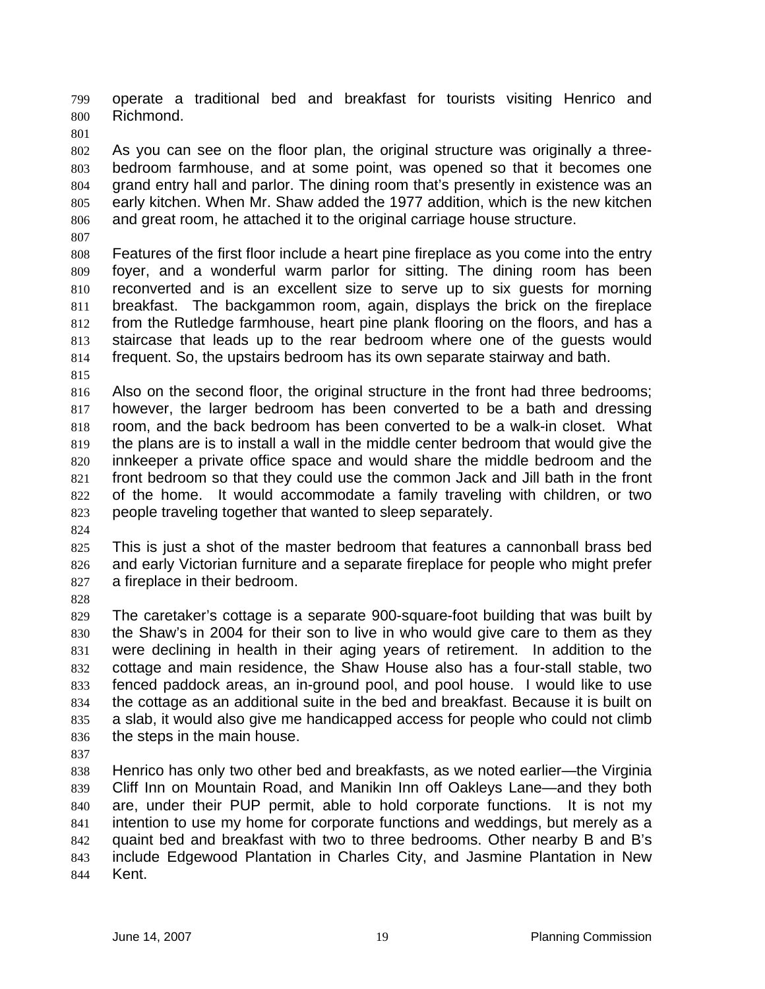operate a traditional bed and breakfast for tourists visiting Henrico and Richmond.

As you can see on the floor plan, the original structure was originally a three-bedroom farmhouse, and at some point, was opened so that it becomes one grand entry hall and parlor. The dining room that's presently in existence was an early kitchen. When Mr. Shaw added the 1977 addition, which is the new kitchen and great room, he attached it to the original carriage house structure.

Features of the first floor include a heart pine fireplace as you come into the entry foyer, and a wonderful warm parlor for sitting. The dining room has been reconverted and is an excellent size to serve up to six guests for morning breakfast. The backgammon room, again, displays the brick on the fireplace from the Rutledge farmhouse, heart pine plank flooring on the floors, and has a staircase that leads up to the rear bedroom where one of the guests would frequent. So, the upstairs bedroom has its own separate stairway and bath.

Also on the second floor, the original structure in the front had three bedrooms; however, the larger bedroom has been converted to be a bath and dressing room, and the back bedroom has been converted to be a walk-in closet. What the plans are is to install a wall in the middle center bedroom that would give the innkeeper a private office space and would share the middle bedroom and the front bedroom so that they could use the common Jack and Jill bath in the front of the home. It would accommodate a family traveling with children, or two people traveling together that wanted to sleep separately.

This is just a shot of the master bedroom that features a cannonball brass bed and early Victorian furniture and a separate fireplace for people who might prefer a fireplace in their bedroom.

The caretaker's cottage is a separate 900-square-foot building that was built by the Shaw's in 2004 for their son to live in who would give care to them as they were declining in health in their aging years of retirement. In addition to the cottage and main residence, the Shaw House also has a four-stall stable, two fenced paddock areas, an in-ground pool, and pool house. I would like to use the cottage as an additional suite in the bed and breakfast. Because it is built on a slab, it would also give me handicapped access for people who could not climb the steps in the main house.

Henrico has only two other bed and breakfasts, as we noted earlier—the Virginia Cliff Inn on Mountain Road, and Manikin Inn off Oakleys Lane—and they both are, under their PUP permit, able to hold corporate functions. It is not my intention to use my home for corporate functions and weddings, but merely as a quaint bed and breakfast with two to three bedrooms. Other nearby B and B's include Edgewood Plantation in Charles City, and Jasmine Plantation in New Kent.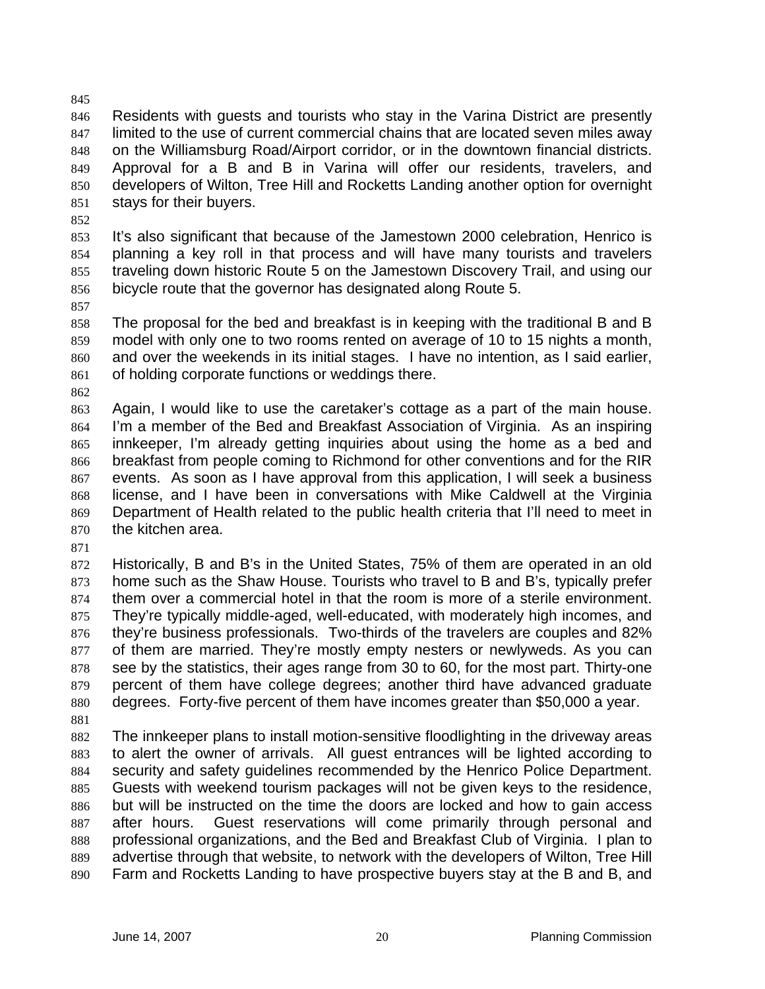Residents with guests and tourists who stay in the Varina District are presently limited to the use of current commercial chains that are located seven miles away on the Williamsburg Road/Airport corridor, or in the downtown financial districts. Approval for a B and B in Varina will offer our residents, travelers, and developers of Wilton, Tree Hill and Rocketts Landing another option for overnight stays for their buyers.

It's also significant that because of the Jamestown 2000 celebration, Henrico is planning a key roll in that process and will have many tourists and travelers traveling down historic Route 5 on the Jamestown Discovery Trail, and using our bicycle route that the governor has designated along Route 5.

The proposal for the bed and breakfast is in keeping with the traditional B and B model with only one to two rooms rented on average of 10 to 15 nights a month, and over the weekends in its initial stages. I have no intention, as I said earlier, of holding corporate functions or weddings there.

Again, I would like to use the caretaker's cottage as a part of the main house. I'm a member of the Bed and Breakfast Association of Virginia. As an inspiring innkeeper, I'm already getting inquiries about using the home as a bed and breakfast from people coming to Richmond for other conventions and for the RIR events. As soon as I have approval from this application, I will seek a business license, and I have been in conversations with Mike Caldwell at the Virginia Department of Health related to the public health criteria that I'll need to meet in the kitchen area.

Historically, B and B's in the United States, 75% of them are operated in an old home such as the Shaw House. Tourists who travel to B and B's, typically prefer them over a commercial hotel in that the room is more of a sterile environment. They're typically middle-aged, well-educated, with moderately high incomes, and they're business professionals. Two-thirds of the travelers are couples and 82% of them are married. They're mostly empty nesters or newlyweds. As you can 878 see by the statistics, their ages range from 30 to 60, for the most part. Thirty-one percent of them have college degrees; another third have advanced graduate degrees. Forty-five percent of them have incomes greater than \$50,000 a year. 

The innkeeper plans to install motion-sensitive floodlighting in the driveway areas to alert the owner of arrivals. All guest entrances will be lighted according to security and safety guidelines recommended by the Henrico Police Department. Guests with weekend tourism packages will not be given keys to the residence, but will be instructed on the time the doors are locked and how to gain access after hours. Guest reservations will come primarily through personal and professional organizations, and the Bed and Breakfast Club of Virginia. I plan to advertise through that website, to network with the developers of Wilton, Tree Hill Farm and Rocketts Landing to have prospective buyers stay at the B and B, and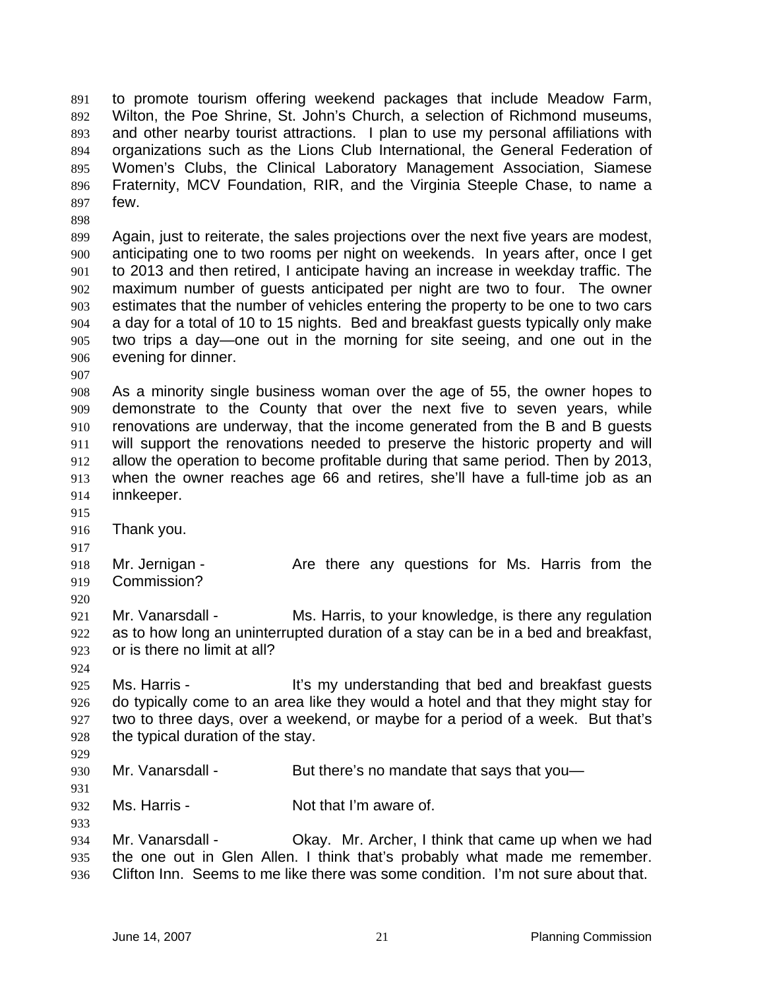to promote tourism offering weekend packages that include Meadow Farm, Wilton, the Poe Shrine, St. John's Church, a selection of Richmond museums, and other nearby tourist attractions. I plan to use my personal affiliations with organizations such as the Lions Club International, the General Federation of Women's Clubs, the Clinical Laboratory Management Association, Siamese Fraternity, MCV Foundation, RIR, and the Virginia Steeple Chase, to name a few.

Again, just to reiterate, the sales projections over the next five years are modest, anticipating one to two rooms per night on weekends. In years after, once I get to 2013 and then retired, I anticipate having an increase in weekday traffic. The maximum number of guests anticipated per night are two to four. The owner estimates that the number of vehicles entering the property to be one to two cars a day for a total of 10 to 15 nights. Bed and breakfast guests typically only make two trips a day—one out in the morning for site seeing, and one out in the evening for dinner.

As a minority single business woman over the age of 55, the owner hopes to demonstrate to the County that over the next five to seven years, while renovations are underway, that the income generated from the B and B guests will support the renovations needed to preserve the historic property and will allow the operation to become profitable during that same period. Then by 2013, when the owner reaches age 66 and retires, she'll have a full-time job as an innkeeper.

- 
- Thank you.
- 

918 Mr. Jernigan - Are there any questions for Ms. Harris from the Commission?

Mr. Vanarsdall - Ms. Harris, to your knowledge, is there any regulation as to how long an uninterrupted duration of a stay can be in a bed and breakfast, or is there no limit at all?

925 Ms. Harris - It's my understanding that bed and breakfast guests do typically come to an area like they would a hotel and that they might stay for two to three days, over a weekend, or maybe for a period of a week. But that's the typical duration of the stay.

930 Mr. Vanarsdall - But there's no mandate that says that you-

Ms. Harris - Not that I'm aware of.

Mr. Vanarsdall - Okay. Mr. Archer, I think that came up when we had the one out in Glen Allen. I think that's probably what made me remember. Clifton Inn. Seems to me like there was some condition. I'm not sure about that.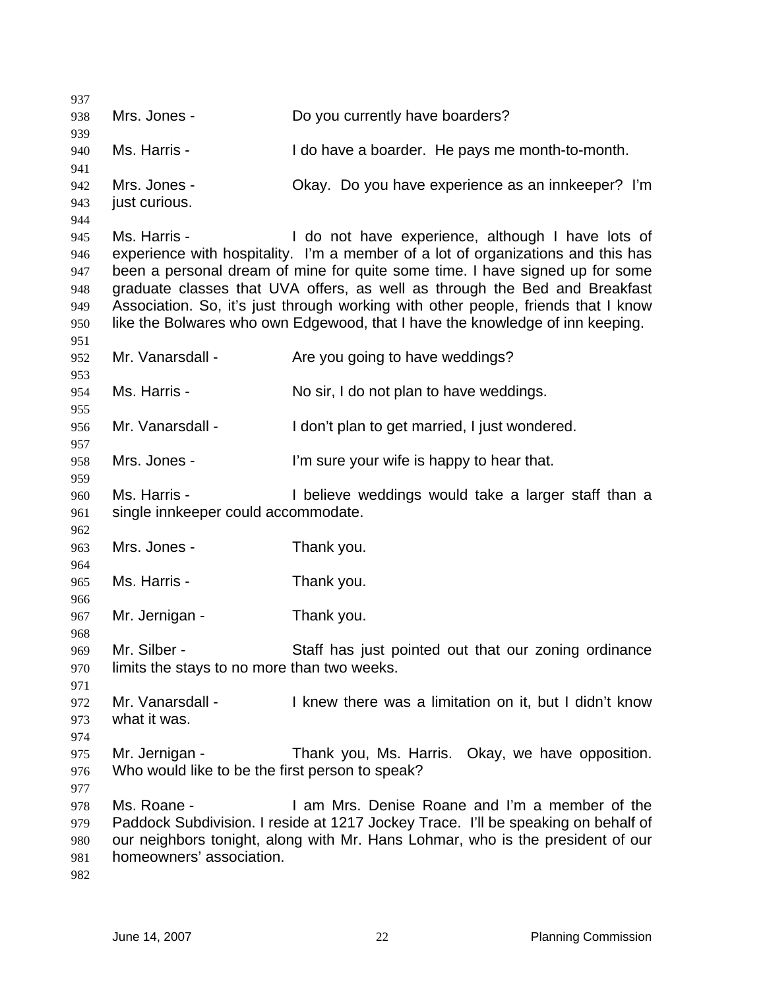| 937        |                                                 |                                                                                   |
|------------|-------------------------------------------------|-----------------------------------------------------------------------------------|
| 938        | Mrs. Jones -                                    | Do you currently have boarders?                                                   |
| 939        |                                                 |                                                                                   |
| 940        | Ms. Harris -                                    | I do have a boarder. He pays me month-to-month.                                   |
| 941        |                                                 |                                                                                   |
| 942        | Mrs. Jones -                                    | Okay. Do you have experience as an innkeeper? I'm                                 |
| 943        | just curious.                                   |                                                                                   |
| 944        |                                                 |                                                                                   |
| 945        | Ms. Harris -                                    | I do not have experience, although I have lots of                                 |
| 946        |                                                 | experience with hospitality. I'm a member of a lot of organizations and this has  |
| 947        |                                                 | been a personal dream of mine for quite some time. I have signed up for some      |
| 948        |                                                 | graduate classes that UVA offers, as well as through the Bed and Breakfast        |
| 949        |                                                 | Association. So, it's just through working with other people, friends that I know |
| 950        |                                                 | like the Bolwares who own Edgewood, that I have the knowledge of inn keeping.     |
| 951        |                                                 |                                                                                   |
| 952        | Mr. Vanarsdall -                                | Are you going to have weddings?                                                   |
| 953        |                                                 |                                                                                   |
| 954        | Ms. Harris -                                    | No sir, I do not plan to have weddings.                                           |
| 955        |                                                 |                                                                                   |
| 956        | Mr. Vanarsdall -                                | I don't plan to get married, I just wondered.                                     |
| 957        |                                                 |                                                                                   |
| 958        | Mrs. Jones -                                    | I'm sure your wife is happy to hear that.                                         |
| 959        |                                                 |                                                                                   |
| 960        | Ms. Harris -                                    | I believe weddings would take a larger staff than a                               |
| 961        | single innkeeper could accommodate.             |                                                                                   |
| 962        |                                                 |                                                                                   |
| 963        | Mrs. Jones -                                    | Thank you.                                                                        |
| 964        |                                                 |                                                                                   |
| 965        | Ms. Harris -                                    | Thank you.                                                                        |
|            |                                                 |                                                                                   |
| 966<br>967 | Mr. Jernigan -                                  | Thank you.                                                                        |
|            |                                                 |                                                                                   |
| 968<br>969 | Mr. Silber -                                    | Staff has just pointed out that our zoning ordinance                              |
|            | limits the stays to no more than two weeks.     |                                                                                   |
| 970        |                                                 |                                                                                   |
| 971        |                                                 |                                                                                   |
| 972        | Mr. Vanarsdall -                                | I knew there was a limitation on it, but I didn't know                            |
| 973        | what it was.                                    |                                                                                   |
| 974        |                                                 |                                                                                   |
| 975        | Mr. Jernigan -                                  | Thank you, Ms. Harris. Okay, we have opposition.                                  |
| 976        | Who would like to be the first person to speak? |                                                                                   |
| 977        |                                                 |                                                                                   |
| 978        | Ms. Roane -                                     | I am Mrs. Denise Roane and I'm a member of the                                    |
| 979        |                                                 | Paddock Subdivision. I reside at 1217 Jockey Trace. I'll be speaking on behalf of |
| 980        |                                                 | our neighbors tonight, along with Mr. Hans Lohmar, who is the president of our    |
| 981        | homeowners' association.                        |                                                                                   |
| 982        |                                                 |                                                                                   |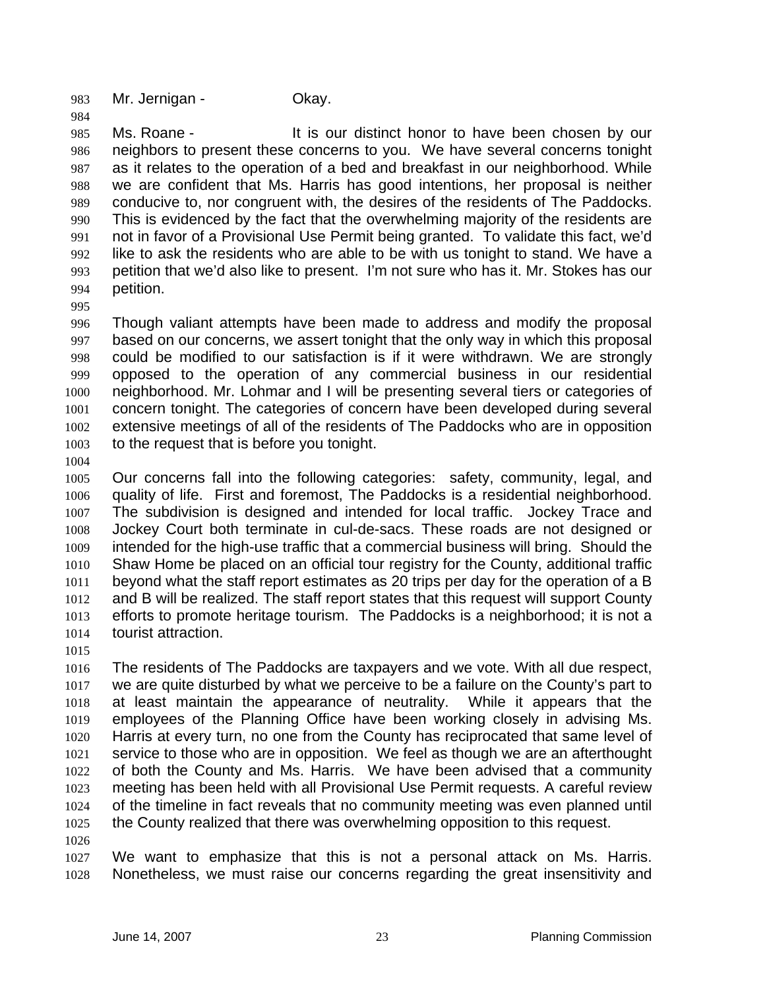983 Mr. Jernigan - Okay.

985 Ms. Roane - It is our distinct honor to have been chosen by our neighbors to present these concerns to you. We have several concerns tonight as it relates to the operation of a bed and breakfast in our neighborhood. While we are confident that Ms. Harris has good intentions, her proposal is neither conducive to, nor congruent with, the desires of the residents of The Paddocks. This is evidenced by the fact that the overwhelming majority of the residents are not in favor of a Provisional Use Permit being granted. To validate this fact, we'd like to ask the residents who are able to be with us tonight to stand. We have a petition that we'd also like to present. I'm not sure who has it. Mr. Stokes has our petition.

Though valiant attempts have been made to address and modify the proposal based on our concerns, we assert tonight that the only way in which this proposal could be modified to our satisfaction is if it were withdrawn. We are strongly opposed to the operation of any commercial business in our residential neighborhood. Mr. Lohmar and I will be presenting several tiers or categories of concern tonight. The categories of concern have been developed during several extensive meetings of all of the residents of The Paddocks who are in opposition to the request that is before you tonight.

Our concerns fall into the following categories: safety, community, legal, and quality of life. First and foremost, The Paddocks is a residential neighborhood. The subdivision is designed and intended for local traffic. Jockey Trace and Jockey Court both terminate in cul-de-sacs. These roads are not designed or intended for the high-use traffic that a commercial business will bring. Should the Shaw Home be placed on an official tour registry for the County, additional traffic beyond what the staff report estimates as 20 trips per day for the operation of a B and B will be realized. The staff report states that this request will support County efforts to promote heritage tourism. The Paddocks is a neighborhood; it is not a tourist attraction.

The residents of The Paddocks are taxpayers and we vote. With all due respect, we are quite disturbed by what we perceive to be a failure on the County's part to at least maintain the appearance of neutrality. While it appears that the employees of the Planning Office have been working closely in advising Ms. Harris at every turn, no one from the County has reciprocated that same level of service to those who are in opposition. We feel as though we are an afterthought of both the County and Ms. Harris. We have been advised that a community meeting has been held with all Provisional Use Permit requests. A careful review of the timeline in fact reveals that no community meeting was even planned until the County realized that there was overwhelming opposition to this request.

We want to emphasize that this is not a personal attack on Ms. Harris. Nonetheless, we must raise our concerns regarding the great insensitivity and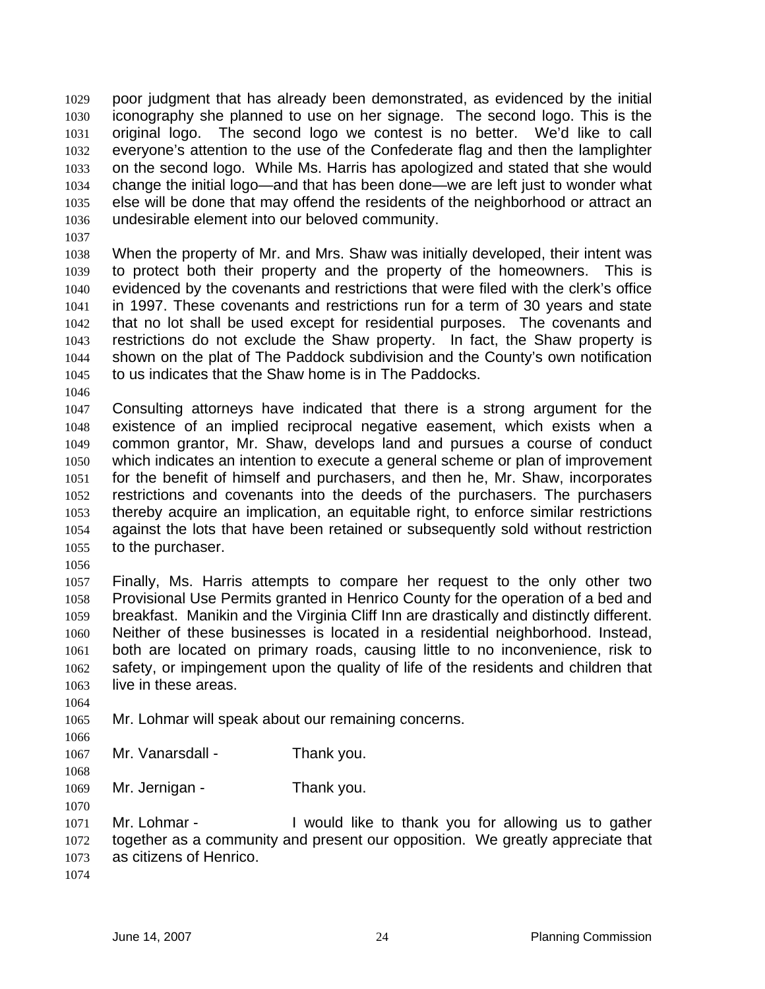poor judgment that has already been demonstrated, as evidenced by the initial iconography she planned to use on her signage. The second logo. This is the original logo. The second logo we contest is no better. We'd like to call everyone's attention to the use of the Confederate flag and then the lamplighter on the second logo. While Ms. Harris has apologized and stated that she would change the initial logo—and that has been done—we are left just to wonder what else will be done that may offend the residents of the neighborhood or attract an undesirable element into our beloved community.

When the property of Mr. and Mrs. Shaw was initially developed, their intent was to protect both their property and the property of the homeowners. This is evidenced by the covenants and restrictions that were filed with the clerk's office in 1997. These covenants and restrictions run for a term of 30 years and state that no lot shall be used except for residential purposes. The covenants and restrictions do not exclude the Shaw property. In fact, the Shaw property is shown on the plat of The Paddock subdivision and the County's own notification to us indicates that the Shaw home is in The Paddocks.

Consulting attorneys have indicated that there is a strong argument for the existence of an implied reciprocal negative easement, which exists when a common grantor, Mr. Shaw, develops land and pursues a course of conduct which indicates an intention to execute a general scheme or plan of improvement for the benefit of himself and purchasers, and then he, Mr. Shaw, incorporates restrictions and covenants into the deeds of the purchasers. The purchasers thereby acquire an implication, an equitable right, to enforce similar restrictions against the lots that have been retained or subsequently sold without restriction to the purchaser.

Finally, Ms. Harris attempts to compare her request to the only other two Provisional Use Permits granted in Henrico County for the operation of a bed and breakfast. Manikin and the Virginia Cliff Inn are drastically and distinctly different. Neither of these businesses is located in a residential neighborhood. Instead, both are located on primary roads, causing little to no inconvenience, risk to safety, or impingement upon the quality of life of the residents and children that live in these areas.

Mr. Lohmar will speak about our remaining concerns.

 1067 Mr. Vanarsdall - Thank you.

1069 Mr. Jernigan - Thank you.

Mr. Lohmar - I would like to thank you for allowing us to gather together as a community and present our opposition. We greatly appreciate that as citizens of Henrico.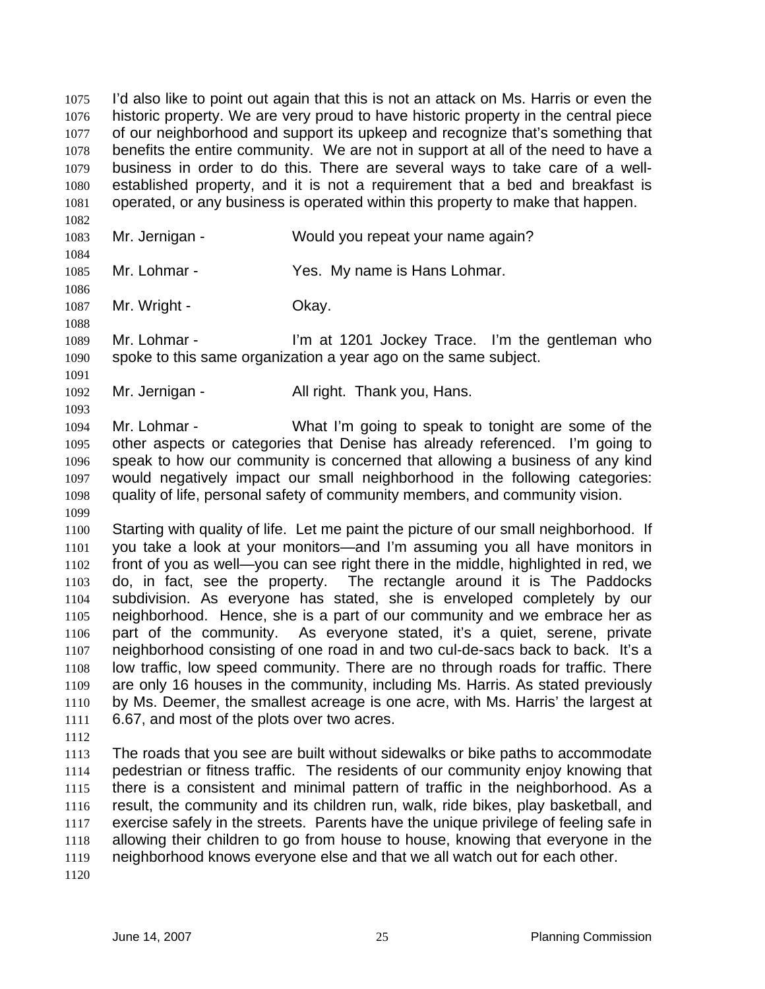I'd also like to point out again that this is not an attack on Ms. Harris or even the historic property. We are very proud to have historic property in the central piece of our neighborhood and support its upkeep and recognize that's something that benefits the entire community. We are not in support at all of the need to have a business in order to do this. There are several ways to take care of a well-established property, and it is not a requirement that a bed and breakfast is operated, or any business is operated within this property to make that happen.

 

Mr. Jernigan - Would you repeat your name again?

Mr. Lohmar - Yes. My name is Hans Lohmar.

1087 Mr. Wright - Chay.

Mr. Lohmar - I'm at 1201 Jockey Trace. I'm the gentleman who spoke to this same organization a year ago on the same subject.

Mr. Jernigan - All right. Thank you, Hans.

Mr. Lohmar - What I'm going to speak to tonight are some of the other aspects or categories that Denise has already referenced. I'm going to speak to how our community is concerned that allowing a business of any kind would negatively impact our small neighborhood in the following categories: quality of life, personal safety of community members, and community vision. 

Starting with quality of life. Let me paint the picture of our small neighborhood. If you take a look at your monitors—and I'm assuming you all have monitors in front of you as well—you can see right there in the middle, highlighted in red, we do, in fact, see the property. The rectangle around it is The Paddocks subdivision. As everyone has stated, she is enveloped completely by our neighborhood. Hence, she is a part of our community and we embrace her as part of the community. As everyone stated, it's a quiet, serene, private neighborhood consisting of one road in and two cul-de-sacs back to back. It's a low traffic, low speed community. There are no through roads for traffic. There are only 16 houses in the community, including Ms. Harris. As stated previously by Ms. Deemer, the smallest acreage is one acre, with Ms. Harris' the largest at 6.67, and most of the plots over two acres.

The roads that you see are built without sidewalks or bike paths to accommodate pedestrian or fitness traffic. The residents of our community enjoy knowing that there is a consistent and minimal pattern of traffic in the neighborhood. As a result, the community and its children run, walk, ride bikes, play basketball, and exercise safely in the streets. Parents have the unique privilege of feeling safe in allowing their children to go from house to house, knowing that everyone in the neighborhood knows everyone else and that we all watch out for each other.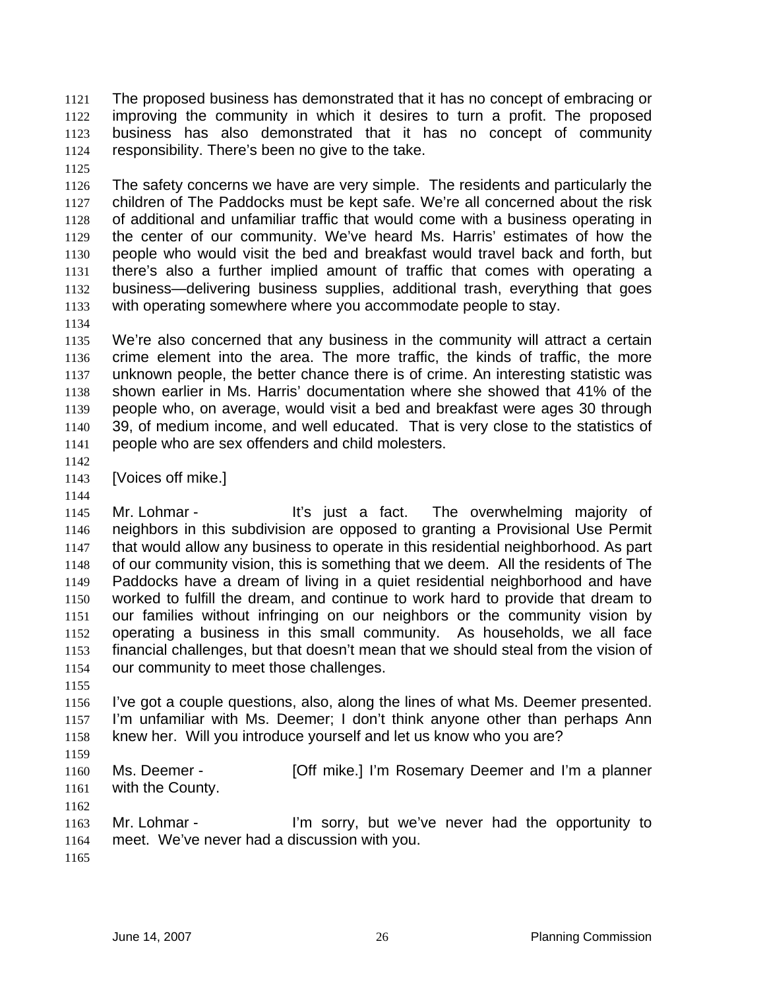The proposed business has demonstrated that it has no concept of embracing or improving the community in which it desires to turn a profit. The proposed business has also demonstrated that it has no concept of community responsibility. There's been no give to the take.

The safety concerns we have are very simple. The residents and particularly the children of The Paddocks must be kept safe. We're all concerned about the risk of additional and unfamiliar traffic that would come with a business operating in the center of our community. We've heard Ms. Harris' estimates of how the people who would visit the bed and breakfast would travel back and forth, but there's also a further implied amount of traffic that comes with operating a business—delivering business supplies, additional trash, everything that goes with operating somewhere where you accommodate people to stay.

We're also concerned that any business in the community will attract a certain crime element into the area. The more traffic, the kinds of traffic, the more unknown people, the better chance there is of crime. An interesting statistic was shown earlier in Ms. Harris' documentation where she showed that 41% of the people who, on average, would visit a bed and breakfast were ages 30 through 39, of medium income, and well educated. That is very close to the statistics of people who are sex offenders and child molesters.

[Voices off mike.]

Mr. Lohmar - It's just a fact. The overwhelming majority of neighbors in this subdivision are opposed to granting a Provisional Use Permit that would allow any business to operate in this residential neighborhood. As part 1148 of our community vision, this is something that we deem. All the residents of The Paddocks have a dream of living in a quiet residential neighborhood and have worked to fulfill the dream, and continue to work hard to provide that dream to our families without infringing on our neighbors or the community vision by operating a business in this small community. As households, we all face financial challenges, but that doesn't mean that we should steal from the vision of our community to meet those challenges.

I've got a couple questions, also, along the lines of what Ms. Deemer presented. I'm unfamiliar with Ms. Deemer; I don't think anyone other than perhaps Ann knew her. Will you introduce yourself and let us know who you are?

Ms. Deemer - [Off mike.] I'm Rosemary Deemer and I'm a planner with the County.

Mr. Lohmar - I'm sorry, but we've never had the opportunity to meet. We've never had a discussion with you.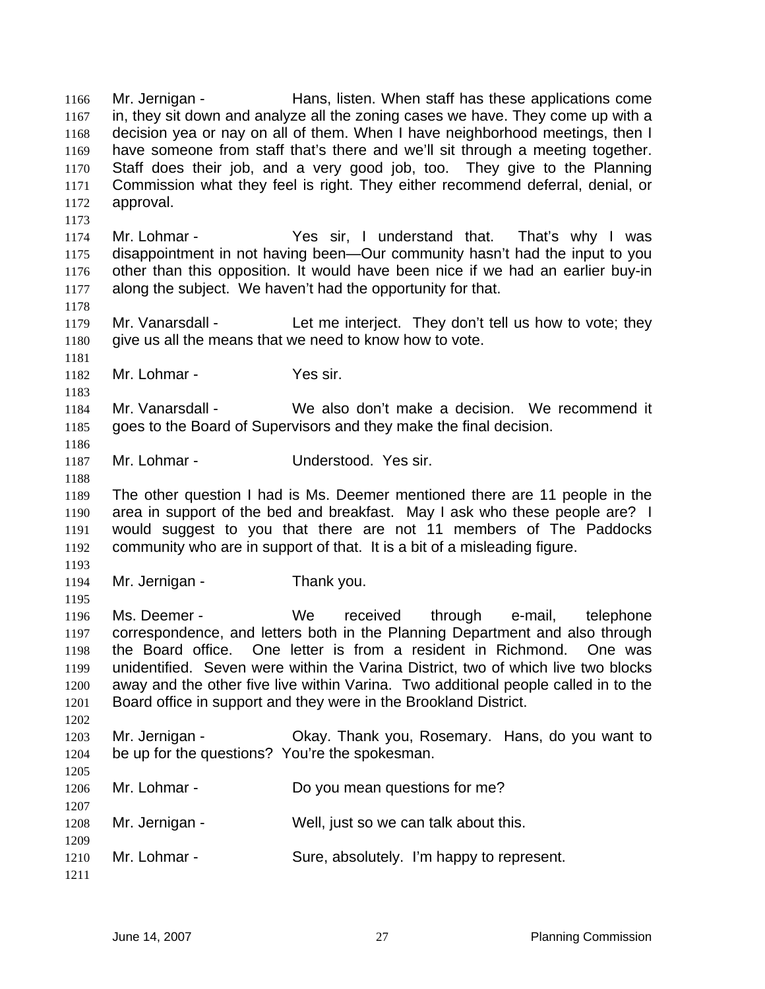Mr. Jernigan - Hans, listen. When staff has these applications come in, they sit down and analyze all the zoning cases we have. They come up with a decision yea or nay on all of them. When I have neighborhood meetings, then I have someone from staff that's there and we'll sit through a meeting together. Staff does their job, and a very good job, too. They give to the Planning Commission what they feel is right. They either recommend deferral, denial, or approval. Mr. Lohmar - Yes sir, I understand that. That's why I was disappointment in not having been—Our community hasn't had the input to you other than this opposition. It would have been nice if we had an earlier buy-in along the subject. We haven't had the opportunity for that. 1179 Mr. Vanarsdall - Let me interject. They don't tell us how to vote; they 1180 give us all the means that we need to know how to vote. Mr. Lohmar - Yes sir. Mr. Vanarsdall - We also don't make a decision. We recommend it goes to the Board of Supervisors and they make the final decision. Mr. Lohmar - Understood. Yes sir. The other question I had is Ms. Deemer mentioned there are 11 people in the area in support of the bed and breakfast. May I ask who these people are? I would suggest to you that there are not 11 members of The Paddocks community who are in support of that. It is a bit of a misleading figure. Mr. Jernigan - Thank you. Ms. Deemer - We received through e-mail, telephone correspondence, and letters both in the Planning Department and also through the Board office. One letter is from a resident in Richmond. One was unidentified. Seven were within the Varina District, two of which live two blocks away and the other five live within Varina. Two additional people called in to the Board office in support and they were in the Brookland District. Mr. Jernigan - Okay. Thank you, Rosemary. Hans, do you want to be up for the questions? You're the spokesman. 1206 Mr. Lohmar - Do you mean questions for me? Mr. Jernigan - Well, just so we can talk about this. 1210 Mr. Lohmar - Sure, absolutely. I'm happy to represent.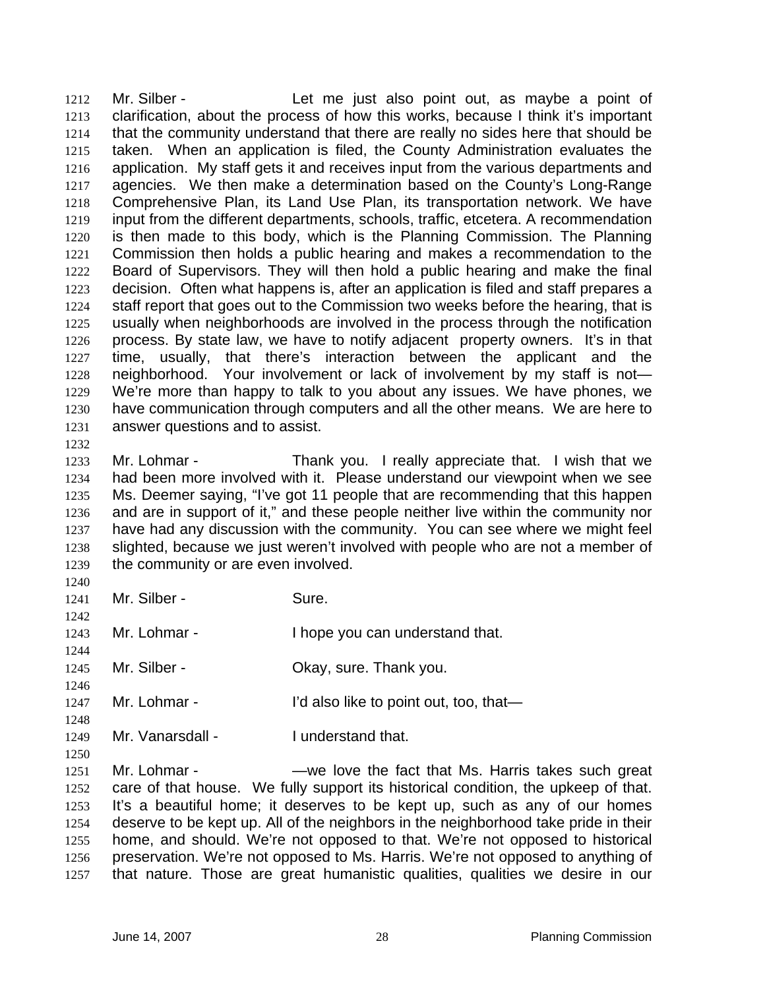Mr. Silber - Let me just also point out, as maybe a point of clarification, about the process of how this works, because I think it's important that the community understand that there are really no sides here that should be taken. When an application is filed, the County Administration evaluates the 1216 application. My staff gets it and receives input from the various departments and agencies. We then make a determination based on the County's Long-Range Comprehensive Plan, its Land Use Plan, its transportation network. We have input from the different departments, schools, traffic, etcetera. A recommendation is then made to this body, which is the Planning Commission. The Planning Commission then holds a public hearing and makes a recommendation to the Board of Supervisors. They will then hold a public hearing and make the final decision. Often what happens is, after an application is filed and staff prepares a staff report that goes out to the Commission two weeks before the hearing, that is usually when neighborhoods are involved in the process through the notification process. By state law, we have to notify adjacent property owners. It's in that time, usually, that there's interaction between the applicant and the neighborhood. Your involvement or lack of involvement by my staff is not— We're more than happy to talk to you about any issues. We have phones, we have communication through computers and all the other means. We are here to answer questions and to assist.

Mr. Lohmar - Thank you. I really appreciate that. I wish that we had been more involved with it. Please understand our viewpoint when we see Ms. Deemer saying, "I've got 11 people that are recommending that this happen and are in support of it," and these people neither live within the community nor have had any discussion with the community. You can see where we might feel slighted, because we just weren't involved with people who are not a member of the community or are even involved.

1241 Mr. Silber - Sure.

 Mr. Lohmar - I hope you can understand that.

1245 Mr. Silber - Ckay, sure. Thank you.

1247 Mr. Lohmar - I'd also like to point out, too, that—

1249 Mr. Vanarsdall - I understand that.

Mr. Lohmar - —we love the fact that Ms. Harris takes such great care of that house. We fully support its historical condition, the upkeep of that. It's a beautiful home; it deserves to be kept up, such as any of our homes deserve to be kept up. All of the neighbors in the neighborhood take pride in their home, and should. We're not opposed to that. We're not opposed to historical preservation. We're not opposed to Ms. Harris. We're not opposed to anything of that nature. Those are great humanistic qualities, qualities we desire in our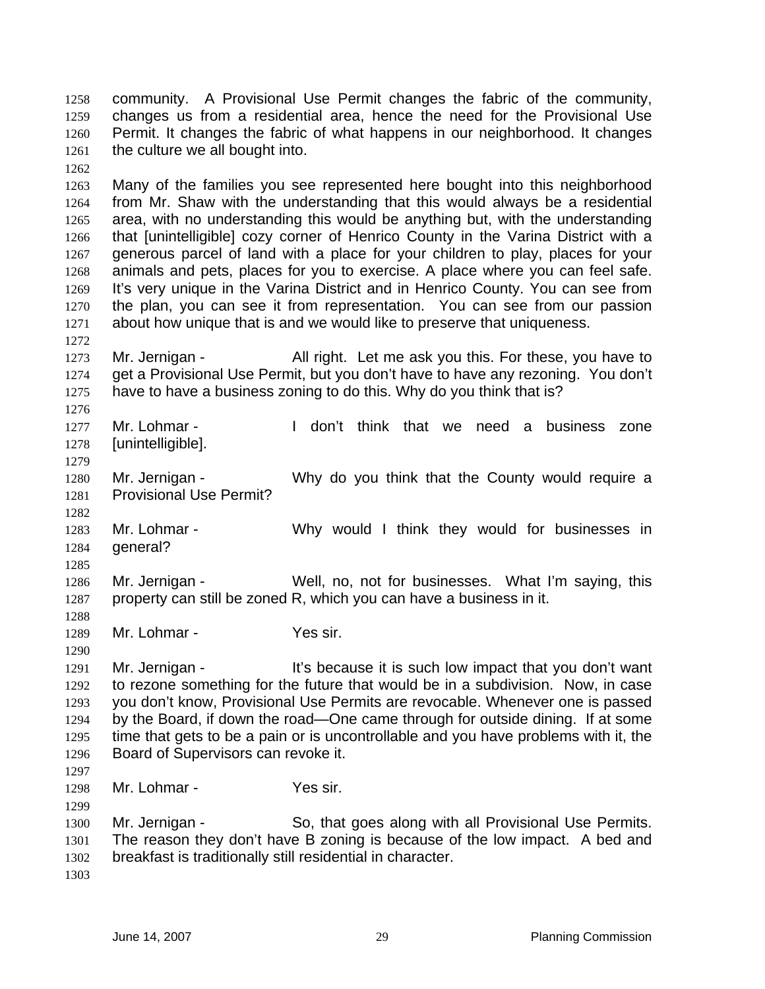community. A Provisional Use Permit changes the fabric of the community, changes us from a residential area, hence the need for the Provisional Use Permit. It changes the fabric of what happens in our neighborhood. It changes 1261 the culture we all bought into.

Many of the families you see represented here bought into this neighborhood from Mr. Shaw with the understanding that this would always be a residential area, with no understanding this would be anything but, with the understanding that [unintelligible] cozy corner of Henrico County in the Varina District with a generous parcel of land with a place for your children to play, places for your animals and pets, places for you to exercise. A place where you can feel safe. It's very unique in the Varina District and in Henrico County. You can see from the plan, you can see it from representation. You can see from our passion about how unique that is and we would like to preserve that uniqueness.

1273 Mr. Jernigan - All right. Let me ask you this. For these, you have to get a Provisional Use Permit, but you don't have to have any rezoning. You don't have to have a business zoning to do this. Why do you think that is?

Mr. Lohmar - I don't think that we need a business zone [unintelligible]. 

Mr. Jernigan - Why do you think that the County would require a Provisional Use Permit?

Mr. Lohmar - Why would I think they would for businesses in general?

Mr. Jernigan - Well, no, not for businesses. What I'm saying, this property can still be zoned R, which you can have a business in it.

1289 Mr. Lohmar - Yes sir.

 1291 Mr. Jernigan - It's because it is such low impact that you don't want to rezone something for the future that would be in a subdivision. Now, in case you don't know, Provisional Use Permits are revocable. Whenever one is passed by the Board, if down the road—One came through for outside dining. If at some time that gets to be a pain or is uncontrollable and you have problems with it, the Board of Supervisors can revoke it. 

Mr. Lohmar - Yes sir.

1300 Mr. Jernigan - So, that goes along with all Provisional Use Permits. The reason they don't have B zoning is because of the low impact. A bed and breakfast is traditionally still residential in character.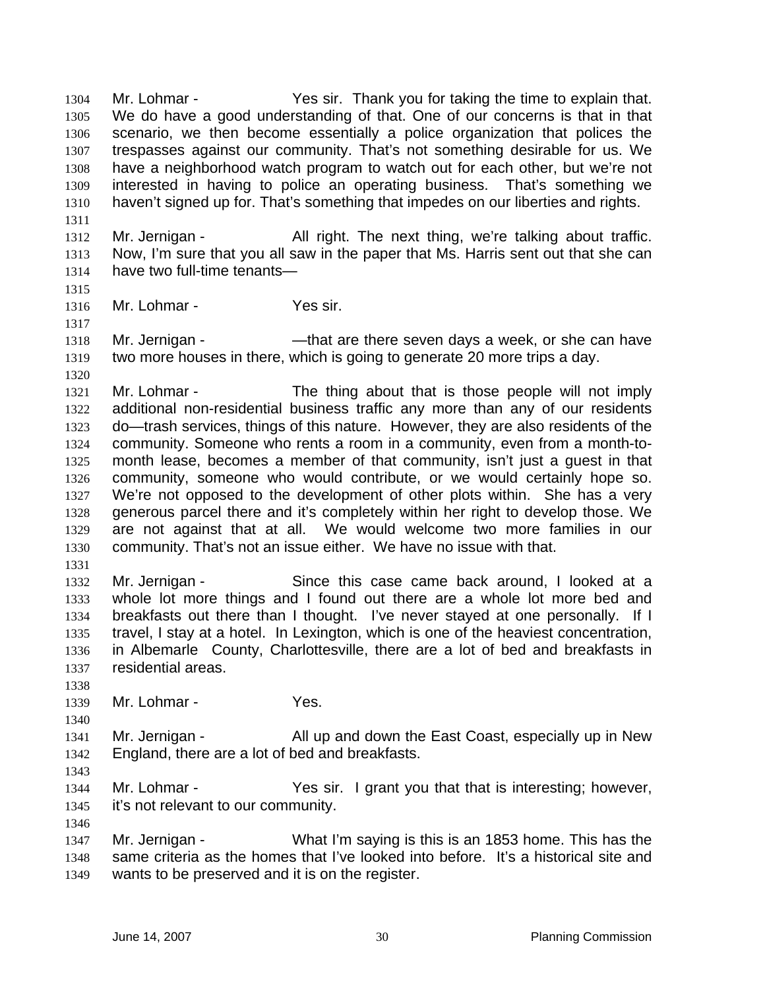Mr. Lohmar - Yes sir. Thank you for taking the time to explain that. We do have a good understanding of that. One of our concerns is that in that scenario, we then become essentially a police organization that polices the trespasses against our community. That's not something desirable for us. We have a neighborhood watch program to watch out for each other, but we're not interested in having to police an operating business. That's something we haven't signed up for. That's something that impedes on our liberties and rights.

- 1312 Mr. Jernigan All right. The next thing, we're talking about traffic. Now, I'm sure that you all saw in the paper that Ms. Harris sent out that she can have two full-time tenants—
- 

Mr. Lohmar - Yes sir.

1318 Mr. Jernigan - — —that are there seven days a week, or she can have two more houses in there, which is going to generate 20 more trips a day.

1321 Mr. Lohmar - The thing about that is those people will not imply additional non-residential business traffic any more than any of our residents do—trash services, things of this nature. However, they are also residents of the community. Someone who rents a room in a community, even from a month-to-month lease, becomes a member of that community, isn't just a guest in that community, someone who would contribute, or we would certainly hope so. We're not opposed to the development of other plots within. She has a very generous parcel there and it's completely within her right to develop those. We are not against that at all. We would welcome two more families in our community. That's not an issue either. We have no issue with that.

Mr. Jernigan - Since this case came back around, I looked at a whole lot more things and I found out there are a whole lot more bed and breakfasts out there than I thought. I've never stayed at one personally. If I travel, I stay at a hotel. In Lexington, which is one of the heaviest concentration, in Albemarle County, Charlottesville, there are a lot of bed and breakfasts in residential areas.

1339 Mr. Lohmar - Yes.

1341 Mr. Jernigan - All up and down the East Coast, especially up in New England, there are a lot of bed and breakfasts.

1344 Mr. Lohmar - Yes sir. I grant you that that is interesting; however, it's not relevant to our community. 

Mr. Jernigan - What I'm saying is this is an 1853 home. This has the same criteria as the homes that I've looked into before. It's a historical site and wants to be preserved and it is on the register.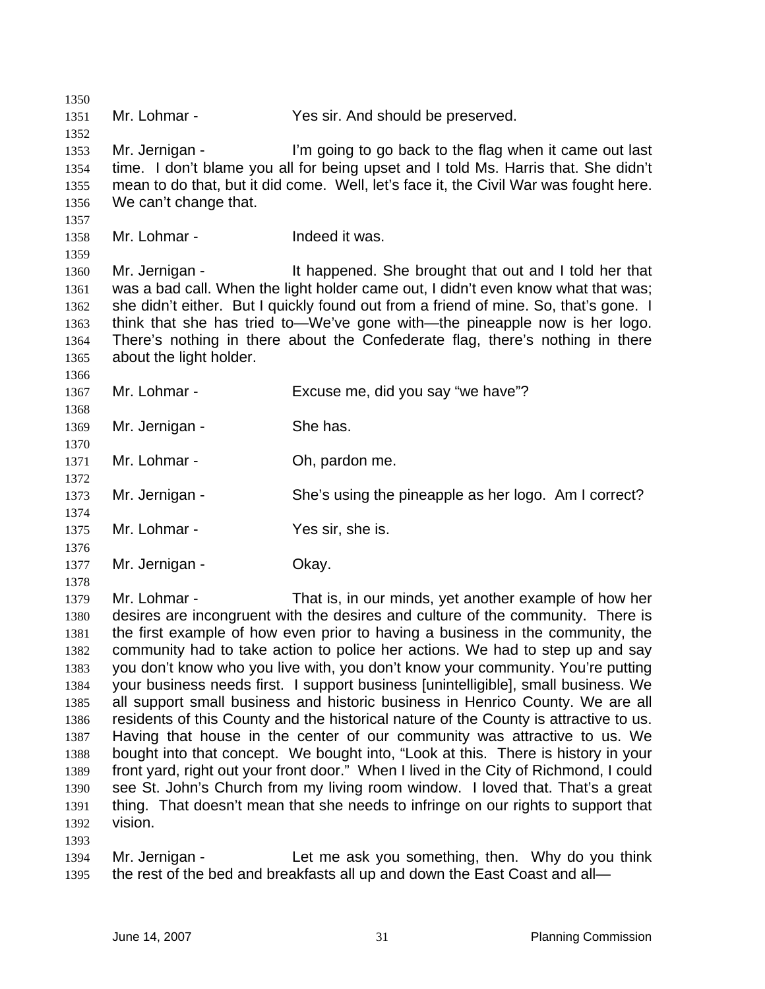1351 Mr. Lohmar - Yes sir. And should be preserved. Mr. Jernigan - I'm going to go back to the flag when it came out last time. I don't blame you all for being upset and I told Ms. Harris that. She didn't mean to do that, but it did come. Well, let's face it, the Civil War was fought here. We can't change that. Mr. Lohmar - Indeed it was. Mr. Jernigan - It happened. She brought that out and I told her that was a bad call. When the light holder came out, I didn't even know what that was; she didn't either. But I quickly found out from a friend of mine. So, that's gone. I think that she has tried to—We've gone with—the pineapple now is her logo. There's nothing in there about the Confederate flag, there's nothing in there about the light holder. Mr. Lohmar - Excuse me, did you say "we have"? 1369 Mr. Jernigan - She has. Mr. Lohmar - Oh, pardon me. Mr. Jernigan - She's using the pineapple as her logo. Am I correct? 1375 Mr. Lohmar - Yes sir, she is. 1377 Mr. Jernigan - Okay. Mr. Lohmar - That is, in our minds, yet another example of how her desires are incongruent with the desires and culture of the community. There is the first example of how even prior to having a business in the community, the community had to take action to police her actions. We had to step up and say you don't know who you live with, you don't know your community. You're putting your business needs first. I support business [unintelligible], small business. We all support small business and historic business in Henrico County. We are all residents of this County and the historical nature of the County is attractive to us. Having that house in the center of our community was attractive to us. We bought into that concept. We bought into, "Look at this. There is history in your front yard, right out your front door." When I lived in the City of Richmond, I could see St. John's Church from my living room window. I loved that. That's a great thing. That doesn't mean that she needs to infringe on our rights to support that vision. Mr. Jernigan - Let me ask you something, then. Why do you think 1395 the rest of the bed and breakfasts all up and down the East Coast and all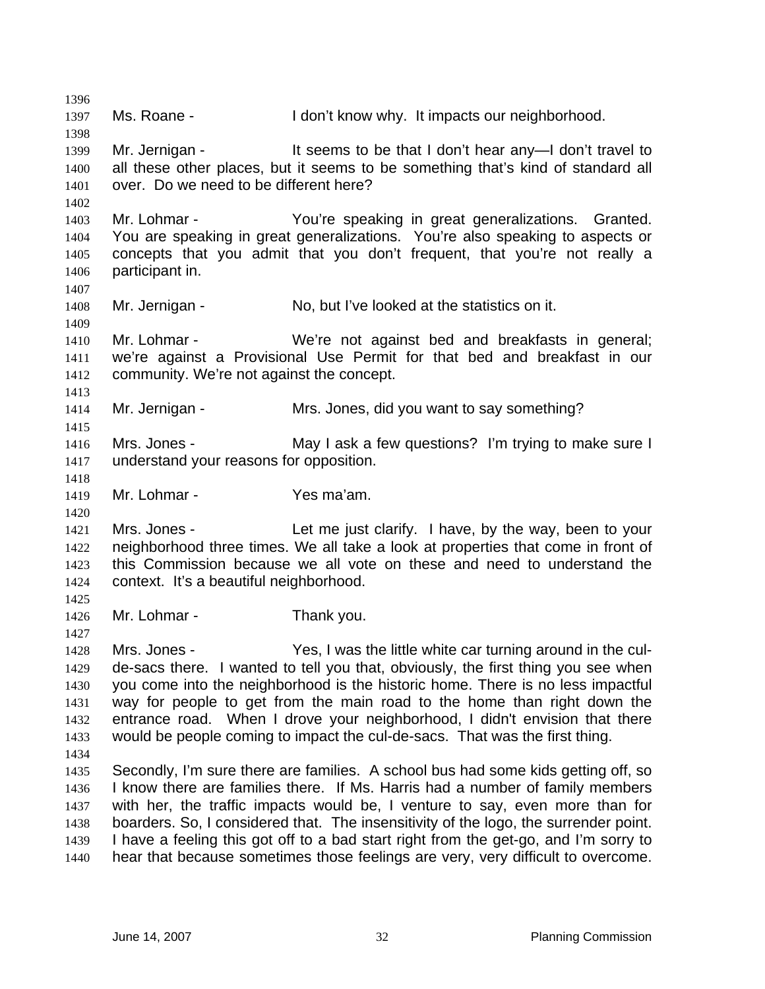Ms. Roane - I don't know why. It impacts our neighborhood. 1399 Mr. Jernigan - It seems to be that I don't hear any—I don't travel to all these other places, but it seems to be something that's kind of standard all over. Do we need to be different here? Mr. Lohmar - You're speaking in great generalizations. Granted. You are speaking in great generalizations. You're also speaking to aspects or concepts that you admit that you don't frequent, that you're not really a participant in. Mr. Jernigan - No, but I've looked at the statistics on it. Mr. Lohmar - We're not against bed and breakfasts in general; we're against a Provisional Use Permit for that bed and breakfast in our community. We're not against the concept. Mr. Jernigan - Mrs. Jones, did you want to say something? Mrs. Jones - May I ask a few questions? I'm trying to make sure I understand your reasons for opposition. Mr. Lohmar - Yes ma'am. Mrs. Jones - Let me just clarify. I have, by the way, been to your neighborhood three times. We all take a look at properties that come in front of this Commission because we all vote on these and need to understand the context. It's a beautiful neighborhood. Mr. Lohmar - Thank you. Mrs. Jones - Yes, I was the little white car turning around in the cul-de-sacs there. I wanted to tell you that, obviously, the first thing you see when you come into the neighborhood is the historic home. There is no less impactful way for people to get from the main road to the home than right down the entrance road. When I drove your neighborhood, I didn't envision that there would be people coming to impact the cul-de-sacs. That was the first thing. Secondly, I'm sure there are families. A school bus had some kids getting off, so I know there are families there. If Ms. Harris had a number of family members with her, the traffic impacts would be, I venture to say, even more than for boarders. So, I considered that. The insensitivity of the logo, the surrender point. I have a feeling this got off to a bad start right from the get-go, and I'm sorry to hear that because sometimes those feelings are very, very difficult to overcome.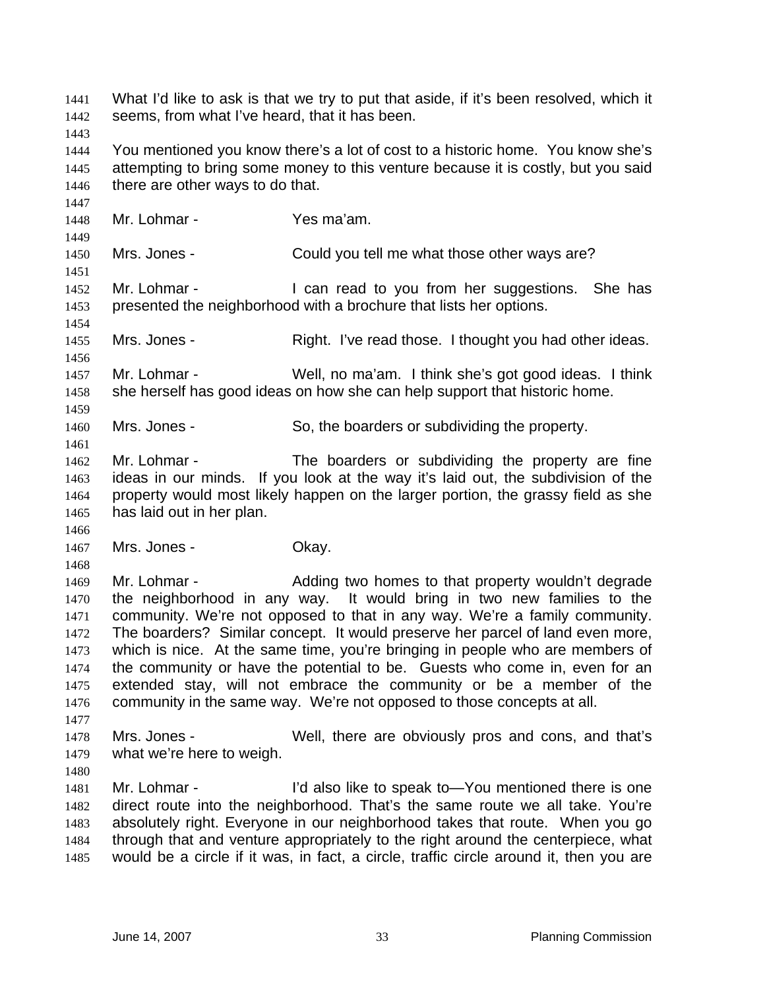What I'd like to ask is that we try to put that aside, if it's been resolved, which it seems, from what I've heard, that it has been. You mentioned you know there's a lot of cost to a historic home. You know she's attempting to bring some money to this venture because it is costly, but you said 1446 there are other ways to do that. Mr. Lohmar - Yes ma'am. Mrs. Jones - Could you tell me what those other ways are? 1452 Mr. Lohmar - I can read to you from her suggestions. She has presented the neighborhood with a brochure that lists her options. Mrs. Jones - Right. I've read those. I thought you had other ideas. Mr. Lohmar - Well, no ma'am. I think she's got good ideas. I think 1458 she herself has good ideas on how she can help support that historic home. Mrs. Jones - So, the boarders or subdividing the property. Mr. Lohmar - The boarders or subdividing the property are fine ideas in our minds. If you look at the way it's laid out, the subdivision of the property would most likely happen on the larger portion, the grassy field as she has laid out in her plan. 1467 Mrs. Jones - Ckay. 1469 Mr. Lohmar - Adding two homes to that property wouldn't degrade the neighborhood in any way. It would bring in two new families to the community. We're not opposed to that in any way. We're a family community. The boarders? Similar concept. It would preserve her parcel of land even more, which is nice. At the same time, you're bringing in people who are members of the community or have the potential to be. Guests who come in, even for an extended stay, will not embrace the community or be a member of the community in the same way. We're not opposed to those concepts at all. Mrs. Jones - Well, there are obviously pros and cons, and that's what we're here to weigh. Mr. Lohmar - I'd also like to speak to—You mentioned there is one direct route into the neighborhood. That's the same route we all take. You're absolutely right. Everyone in our neighborhood takes that route. When you go through that and venture appropriately to the right around the centerpiece, what would be a circle if it was, in fact, a circle, traffic circle around it, then you are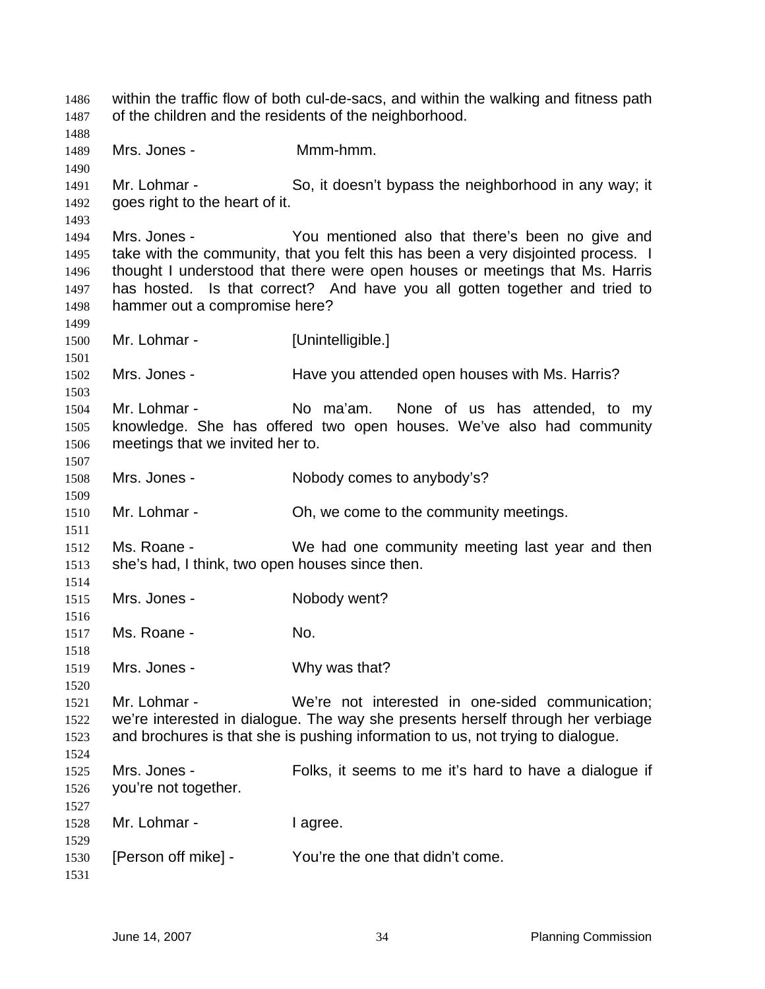within the traffic flow of both cul-de-sacs, and within the walking and fitness path of the children and the residents of the neighborhood. Mrs. Jones - Mmm-hmm. 1491 Mr. Lohmar - So, it doesn't bypass the neighborhood in any way; it goes right to the heart of it. Mrs. Jones - You mentioned also that there's been no give and 1495 take with the community, that you felt this has been a very disjointed process. I thought I understood that there were open houses or meetings that Ms. Harris has hosted. Is that correct? And have you all gotten together and tried to hammer out a compromise here? Mr. Lohmar - [Unintelligible.] Mrs. Jones - Have you attended open houses with Ms. Harris? Mr. Lohmar - No ma'am. None of us has attended, to my knowledge. She has offered two open houses. We've also had community meetings that we invited her to. Mrs. Jones - Nobody comes to anybody's? 1510 Mr. Lohmar - **Oh, we come to the community meetings.**  Ms. Roane - We had one community meeting last year and then she's had, I think, two open houses since then. Mrs. Jones - Nobody went? Ms. Roane - No. Mrs. Jones - Why was that? Mr. Lohmar - We're not interested in one-sided communication; we're interested in dialogue. The way she presents herself through her verbiage and brochures is that she is pushing information to us, not trying to dialogue. Mrs. Jones - Folks, it seems to me it's hard to have a dialogue if you're not together. 1528 Mr. Lohmar - I agree. [Person off mike] - You're the one that didn't come.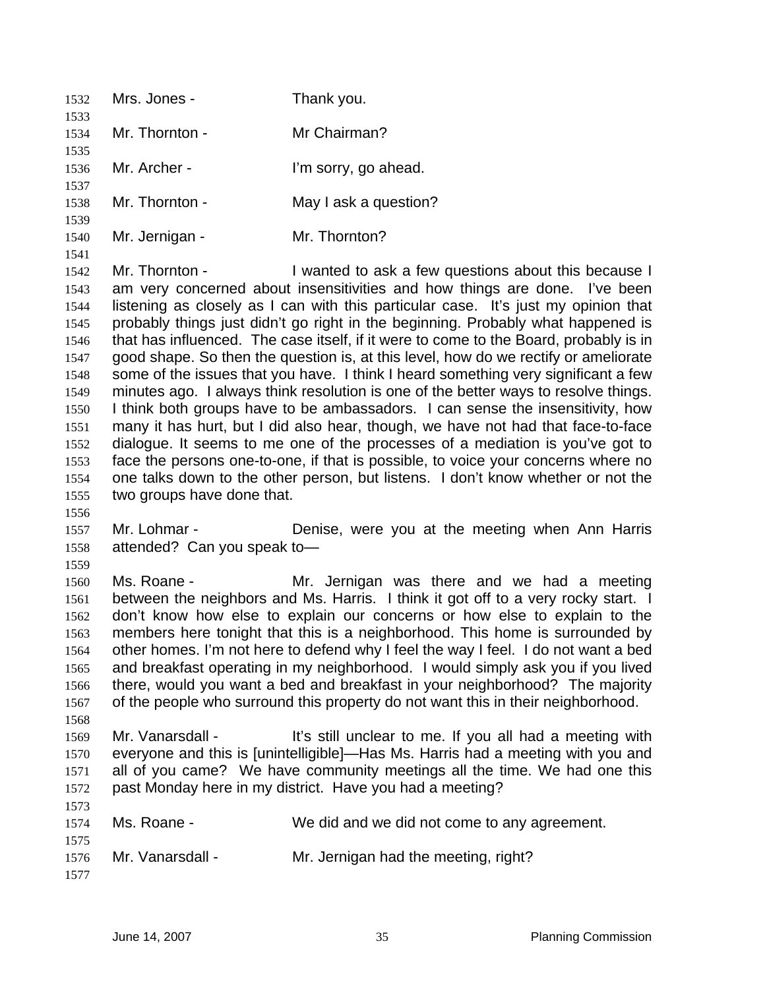| 1532                                                                                                                         | Mrs. Jones -                                 | Thank you.                                                                                                                                                                                                                                                                                                                                                                                                                                                                                                                                                                                                                                                                                                                                                                                                                                                                                                                                                                                                                                                                                                |
|------------------------------------------------------------------------------------------------------------------------------|----------------------------------------------|-----------------------------------------------------------------------------------------------------------------------------------------------------------------------------------------------------------------------------------------------------------------------------------------------------------------------------------------------------------------------------------------------------------------------------------------------------------------------------------------------------------------------------------------------------------------------------------------------------------------------------------------------------------------------------------------------------------------------------------------------------------------------------------------------------------------------------------------------------------------------------------------------------------------------------------------------------------------------------------------------------------------------------------------------------------------------------------------------------------|
| 1533<br>1534                                                                                                                 | Mr. Thornton -                               | Mr Chairman?                                                                                                                                                                                                                                                                                                                                                                                                                                                                                                                                                                                                                                                                                                                                                                                                                                                                                                                                                                                                                                                                                              |
| 1535<br>1536                                                                                                                 | Mr. Archer -                                 | I'm sorry, go ahead.                                                                                                                                                                                                                                                                                                                                                                                                                                                                                                                                                                                                                                                                                                                                                                                                                                                                                                                                                                                                                                                                                      |
| 1537<br>1538                                                                                                                 | Mr. Thornton -                               | May I ask a question?                                                                                                                                                                                                                                                                                                                                                                                                                                                                                                                                                                                                                                                                                                                                                                                                                                                                                                                                                                                                                                                                                     |
| 1539<br>1540                                                                                                                 | Mr. Jernigan -                               | Mr. Thornton?                                                                                                                                                                                                                                                                                                                                                                                                                                                                                                                                                                                                                                                                                                                                                                                                                                                                                                                                                                                                                                                                                             |
| 1541<br>1542<br>1543<br>1544<br>1545<br>1546<br>1547<br>1548<br>1549<br>1550<br>1551<br>1552<br>1553<br>1554<br>1555<br>1556 | Mr. Thornton -<br>two groups have done that. | I wanted to ask a few questions about this because I<br>am very concerned about insensitivities and how things are done. I've been<br>listening as closely as I can with this particular case. It's just my opinion that<br>probably things just didn't go right in the beginning. Probably what happened is<br>that has influenced. The case itself, if it were to come to the Board, probably is in<br>good shape. So then the question is, at this level, how do we rectify or ameliorate<br>some of the issues that you have. I think I heard something very significant a few<br>minutes ago. I always think resolution is one of the better ways to resolve things.<br>I think both groups have to be ambassadors. I can sense the insensitivity, how<br>many it has hurt, but I did also hear, though, we have not had that face-to-face<br>dialogue. It seems to me one of the processes of a mediation is you've got to<br>face the persons one-to-one, if that is possible, to voice your concerns where no<br>one talks down to the other person, but listens. I don't know whether or not the |
| 1557<br>1558<br>1559                                                                                                         | Mr. Lohmar -<br>attended? Can you speak to-  | Denise, were you at the meeting when Ann Harris                                                                                                                                                                                                                                                                                                                                                                                                                                                                                                                                                                                                                                                                                                                                                                                                                                                                                                                                                                                                                                                           |
| 1560<br>1561<br>1562<br>1563<br>1564<br>1565<br>1566<br>1567<br>1568                                                         | Ms. Roane -                                  | Mr. Jernigan was there and we had a meeting<br>between the neighbors and Ms. Harris. I think it got off to a very rocky start. I<br>don't know how else to explain our concerns or how else to explain to the<br>members here tonight that this is a neighborhood. This home is surrounded by<br>other homes. I'm not here to defend why I feel the way I feel. I do not want a bed<br>and breakfast operating in my neighborhood. I would simply ask you if you lived<br>there, would you want a bed and breakfast in your neighborhood? The majority<br>of the people who surround this property do not want this in their neighborhood.                                                                                                                                                                                                                                                                                                                                                                                                                                                                |
| 1569<br>1570<br>1571<br>1572                                                                                                 | Mr. Vanarsdall -                             | It's still unclear to me. If you all had a meeting with<br>everyone and this is [unintelligible]—Has Ms. Harris had a meeting with you and<br>all of you came? We have community meetings all the time. We had one this<br>past Monday here in my district. Have you had a meeting?                                                                                                                                                                                                                                                                                                                                                                                                                                                                                                                                                                                                                                                                                                                                                                                                                       |
| 1573<br>1574                                                                                                                 | Ms. Roane -                                  | We did and we did not come to any agreement.                                                                                                                                                                                                                                                                                                                                                                                                                                                                                                                                                                                                                                                                                                                                                                                                                                                                                                                                                                                                                                                              |
| 1575<br>1576<br>1577                                                                                                         | Mr. Vanarsdall -                             | Mr. Jernigan had the meeting, right?                                                                                                                                                                                                                                                                                                                                                                                                                                                                                                                                                                                                                                                                                                                                                                                                                                                                                                                                                                                                                                                                      |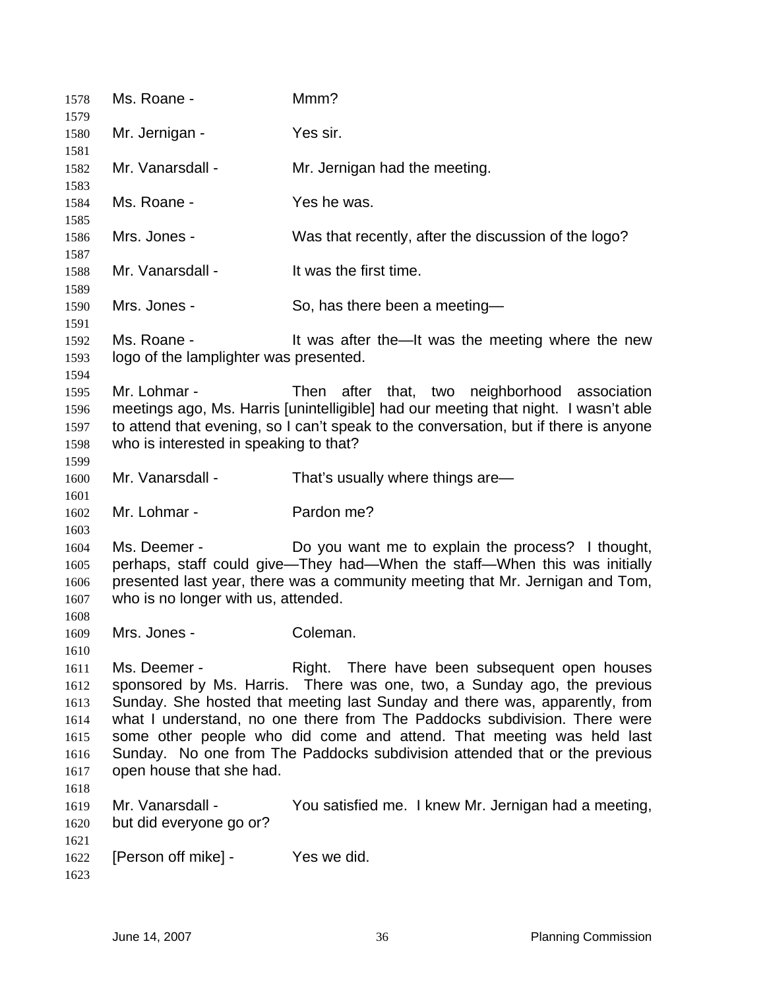| 1578                                                                 | Ms. Roane -                                            | Mmm?                                                                                                                                                                                                                                                                                                                                                                                                                                        |
|----------------------------------------------------------------------|--------------------------------------------------------|---------------------------------------------------------------------------------------------------------------------------------------------------------------------------------------------------------------------------------------------------------------------------------------------------------------------------------------------------------------------------------------------------------------------------------------------|
| 1579<br>1580                                                         | Mr. Jernigan -                                         | Yes sir.                                                                                                                                                                                                                                                                                                                                                                                                                                    |
| 1581                                                                 |                                                        |                                                                                                                                                                                                                                                                                                                                                                                                                                             |
| 1582<br>1583                                                         | Mr. Vanarsdall -                                       | Mr. Jernigan had the meeting.                                                                                                                                                                                                                                                                                                                                                                                                               |
| 1584<br>1585                                                         | Ms. Roane -                                            | Yes he was.                                                                                                                                                                                                                                                                                                                                                                                                                                 |
| 1586<br>1587                                                         | Mrs. Jones -                                           | Was that recently, after the discussion of the logo?                                                                                                                                                                                                                                                                                                                                                                                        |
| 1588<br>1589                                                         | Mr. Vanarsdall -                                       | It was the first time.                                                                                                                                                                                                                                                                                                                                                                                                                      |
| 1590<br>1591                                                         | Mrs. Jones -                                           | So, has there been a meeting-                                                                                                                                                                                                                                                                                                                                                                                                               |
| 1592<br>1593                                                         | Ms. Roane -<br>logo of the lamplighter was presented.  | It was after the—It was the meeting where the new                                                                                                                                                                                                                                                                                                                                                                                           |
| 1594<br>1595<br>1596<br>1597<br>1598                                 | Mr. Lohmar -<br>who is interested in speaking to that? | after that, two neighborhood association<br>Then<br>meetings ago, Ms. Harris [unintelligible] had our meeting that night. I wasn't able<br>to attend that evening, so I can't speak to the conversation, but if there is anyone                                                                                                                                                                                                             |
| 1599<br>1600<br>1601                                                 | Mr. Vanarsdall -                                       | That's usually where things are-                                                                                                                                                                                                                                                                                                                                                                                                            |
| 1602<br>1603                                                         | Mr. Lohmar -                                           | Pardon me?                                                                                                                                                                                                                                                                                                                                                                                                                                  |
| 1604<br>1605<br>1606<br>1607<br>1608                                 | Ms. Deemer -<br>who is no longer with us, attended.    | Do you want me to explain the process? I thought,<br>perhaps, staff could give—They had—When the staff—When this was initially<br>presented last year, there was a community meeting that Mr. Jernigan and Tom,                                                                                                                                                                                                                             |
| 1609                                                                 | Mrs. Jones -                                           | Coleman.                                                                                                                                                                                                                                                                                                                                                                                                                                    |
| 1610<br>1611<br>1612<br>1613<br>1614<br>1615<br>1616<br>1617<br>1618 | Ms. Deemer -<br>open house that she had.               | Right. There have been subsequent open houses<br>sponsored by Ms. Harris. There was one, two, a Sunday ago, the previous<br>Sunday. She hosted that meeting last Sunday and there was, apparently, from<br>what I understand, no one there from The Paddocks subdivision. There were<br>some other people who did come and attend. That meeting was held last<br>Sunday. No one from The Paddocks subdivision attended that or the previous |
| 1619<br>1620<br>1621                                                 | Mr. Vanarsdall -<br>but did everyone go or?            | You satisfied me. I knew Mr. Jernigan had a meeting,                                                                                                                                                                                                                                                                                                                                                                                        |
| 1622<br>1623                                                         | [Person off mike] -                                    | Yes we did.                                                                                                                                                                                                                                                                                                                                                                                                                                 |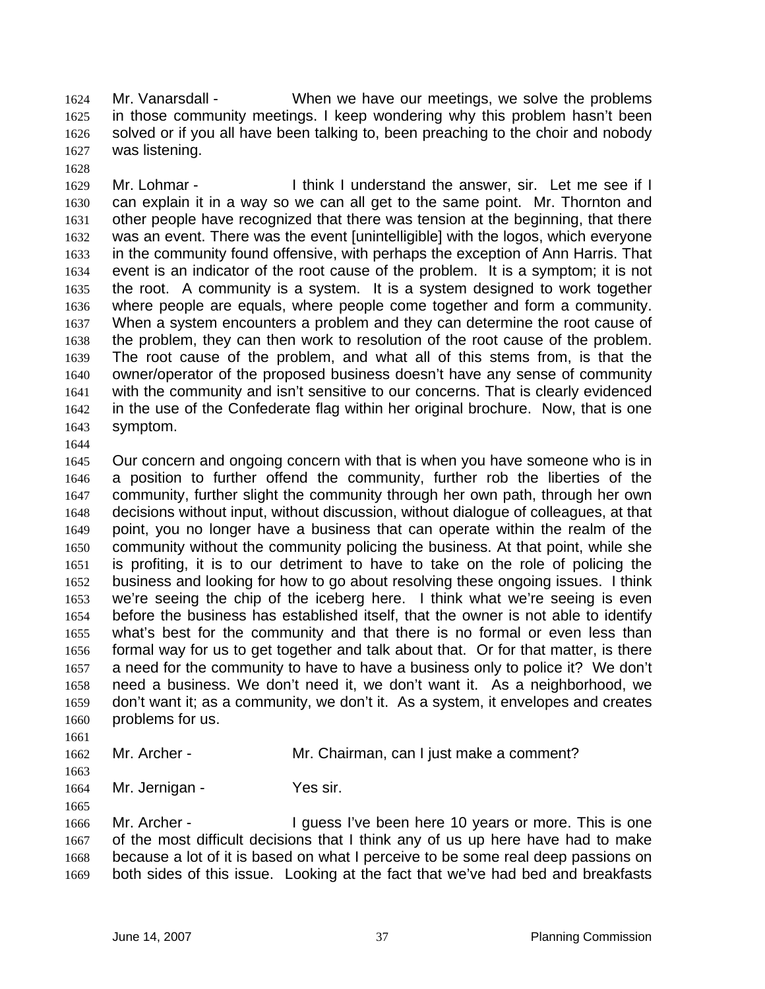Mr. Vanarsdall - When we have our meetings, we solve the problems in those community meetings. I keep wondering why this problem hasn't been solved or if you all have been talking to, been preaching to the choir and nobody was listening.

Mr. Lohmar - I think I understand the answer, sir. Let me see if I can explain it in a way so we can all get to the same point. Mr. Thornton and other people have recognized that there was tension at the beginning, that there was an event. There was the event [unintelligible] with the logos, which everyone in the community found offensive, with perhaps the exception of Ann Harris. That event is an indicator of the root cause of the problem. It is a symptom; it is not the root. A community is a system. It is a system designed to work together where people are equals, where people come together and form a community. When a system encounters a problem and they can determine the root cause of the problem, they can then work to resolution of the root cause of the problem. The root cause of the problem, and what all of this stems from, is that the owner/operator of the proposed business doesn't have any sense of community with the community and isn't sensitive to our concerns. That is clearly evidenced in the use of the Confederate flag within her original brochure. Now, that is one symptom.

Our concern and ongoing concern with that is when you have someone who is in a position to further offend the community, further rob the liberties of the community, further slight the community through her own path, through her own decisions without input, without discussion, without dialogue of colleagues, at that point, you no longer have a business that can operate within the realm of the community without the community policing the business. At that point, while she is profiting, it is to our detriment to have to take on the role of policing the business and looking for how to go about resolving these ongoing issues. I think we're seeing the chip of the iceberg here. I think what we're seeing is even before the business has established itself, that the owner is not able to identify what's best for the community and that there is no formal or even less than formal way for us to get together and talk about that. Or for that matter, is there a need for the community to have to have a business only to police it? We don't need a business. We don't need it, we don't want it. As a neighborhood, we don't want it; as a community, we don't it. As a system, it envelopes and creates problems for us.

- Mr. Archer Mr. Chairman, can I just make a comment?
- 

1664 Mr. Jernigan - Yes sir.

Mr. Archer - I guess I've been here 10 years or more. This is one of the most difficult decisions that I think any of us up here have had to make because a lot of it is based on what I perceive to be some real deep passions on both sides of this issue. Looking at the fact that we've had bed and breakfasts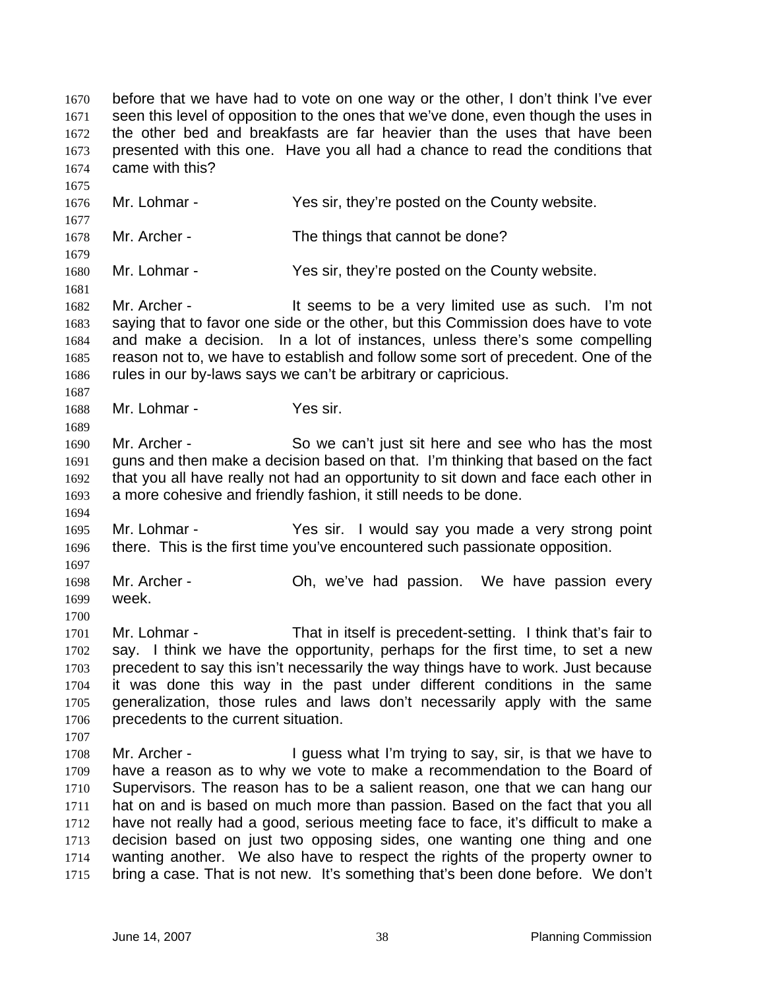before that we have had to vote on one way or the other, I don't think I've ever seen this level of opposition to the ones that we've done, even though the uses in the other bed and breakfasts are far heavier than the uses that have been presented with this one. Have you all had a chance to read the conditions that came with this? Mr. Lohmar - Yes sir, they're posted on the County website. 1678 Mr. Archer - The things that cannot be done? Mr. Lohmar - Yes sir, they're posted on the County website. 1682 Mr. Archer - It seems to be a very limited use as such. I'm not saying that to favor one side or the other, but this Commission does have to vote and make a decision. In a lot of instances, unless there's some compelling reason not to, we have to establish and follow some sort of precedent. One of the rules in our by-laws says we can't be arbitrary or capricious. Mr. Lohmar - Yes sir. Mr. Archer - So we can't just sit here and see who has the most guns and then make a decision based on that. I'm thinking that based on the fact that you all have really not had an opportunity to sit down and face each other in a more cohesive and friendly fashion, it still needs to be done. Mr. Lohmar - Yes sir. I would say you made a very strong point there. This is the first time you've encountered such passionate opposition. Mr. Archer - Oh, we've had passion. We have passion every week. Mr. Lohmar - That in itself is precedent-setting. I think that's fair to say. I think we have the opportunity, perhaps for the first time, to set a new precedent to say this isn't necessarily the way things have to work. Just because it was done this way in the past under different conditions in the same generalization, those rules and laws don't necessarily apply with the same precedents to the current situation.

Mr. Archer - I guess what I'm trying to say, sir, is that we have to have a reason as to why we vote to make a recommendation to the Board of Supervisors. The reason has to be a salient reason, one that we can hang our hat on and is based on much more than passion. Based on the fact that you all have not really had a good, serious meeting face to face, it's difficult to make a decision based on just two opposing sides, one wanting one thing and one wanting another. We also have to respect the rights of the property owner to bring a case. That is not new. It's something that's been done before. We don't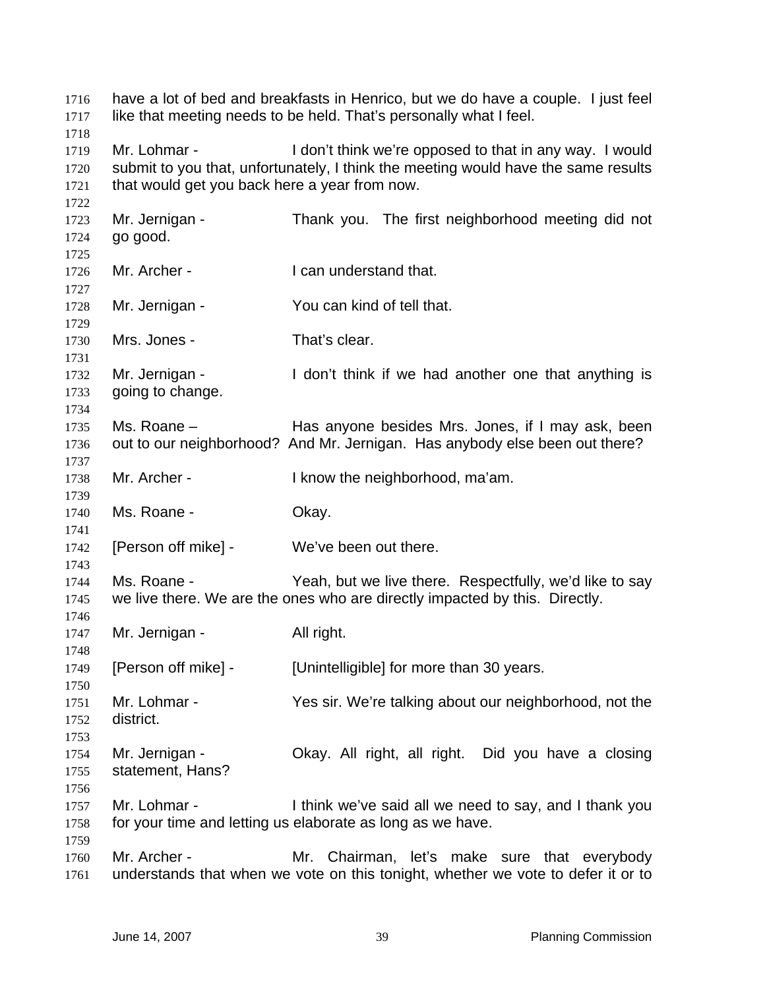| 1716<br>1717                         | have a lot of bed and breakfasts in Henrico, but we do have a couple. I just feel<br>like that meeting needs to be held. That's personally what I feel. |                                                                                                                                               |  |
|--------------------------------------|---------------------------------------------------------------------------------------------------------------------------------------------------------|-----------------------------------------------------------------------------------------------------------------------------------------------|--|
| 1718<br>1719<br>1720<br>1721<br>1722 | Mr. Lohmar -<br>that would get you back here a year from now.                                                                                           | I don't think we're opposed to that in any way. I would<br>submit to you that, unfortunately, I think the meeting would have the same results |  |
| 1723<br>1724<br>1725                 | Mr. Jernigan -<br>go good.                                                                                                                              | Thank you. The first neighborhood meeting did not                                                                                             |  |
| 1726<br>1727                         | Mr. Archer -                                                                                                                                            | I can understand that.                                                                                                                        |  |
| 1728<br>1729                         | Mr. Jernigan -                                                                                                                                          | You can kind of tell that.                                                                                                                    |  |
| 1730<br>1731                         | Mrs. Jones -                                                                                                                                            | That's clear.                                                                                                                                 |  |
| 1732<br>1733<br>1734                 | Mr. Jernigan -<br>going to change.                                                                                                                      | I don't think if we had another one that anything is                                                                                          |  |
| 1735<br>1736<br>1737                 | Ms. Roane -                                                                                                                                             | Has anyone besides Mrs. Jones, if I may ask, been<br>out to our neighborhood? And Mr. Jernigan. Has anybody else been out there?              |  |
| 1738<br>1739                         | Mr. Archer -                                                                                                                                            | I know the neighborhood, ma'am.                                                                                                               |  |
| 1740<br>1741                         | Ms. Roane -                                                                                                                                             | Okay.                                                                                                                                         |  |
| 1742<br>1743                         | [Person off mike] -                                                                                                                                     | We've been out there.                                                                                                                         |  |
| 1744<br>1745<br>1746                 | Ms. Roane -                                                                                                                                             | Yeah, but we live there. Respectfully, we'd like to say<br>we live there. We are the ones who are directly impacted by this. Directly.        |  |
| 1747<br>1748                         | Mr. Jernigan -                                                                                                                                          | All right.                                                                                                                                    |  |
| 1749<br>1750                         | [Person off mike] -                                                                                                                                     | [Unintelligible] for more than 30 years.                                                                                                      |  |
| 1751<br>1752<br>1753                 | Mr. Lohmar -<br>district.                                                                                                                               | Yes sir. We're talking about our neighborhood, not the                                                                                        |  |
| 1754<br>1755<br>1756                 | Mr. Jernigan -<br>statement, Hans?                                                                                                                      | Okay. All right, all right. Did you have a closing                                                                                            |  |
| 1757<br>1758<br>1759                 | Mr. Lohmar -                                                                                                                                            | I think we've said all we need to say, and I thank you<br>for your time and letting us elaborate as long as we have.                          |  |
| 1760<br>1761                         | Mr. Archer -                                                                                                                                            | Mr. Chairman, let's make sure that everybody<br>understands that when we vote on this tonight, whether we vote to defer it or to              |  |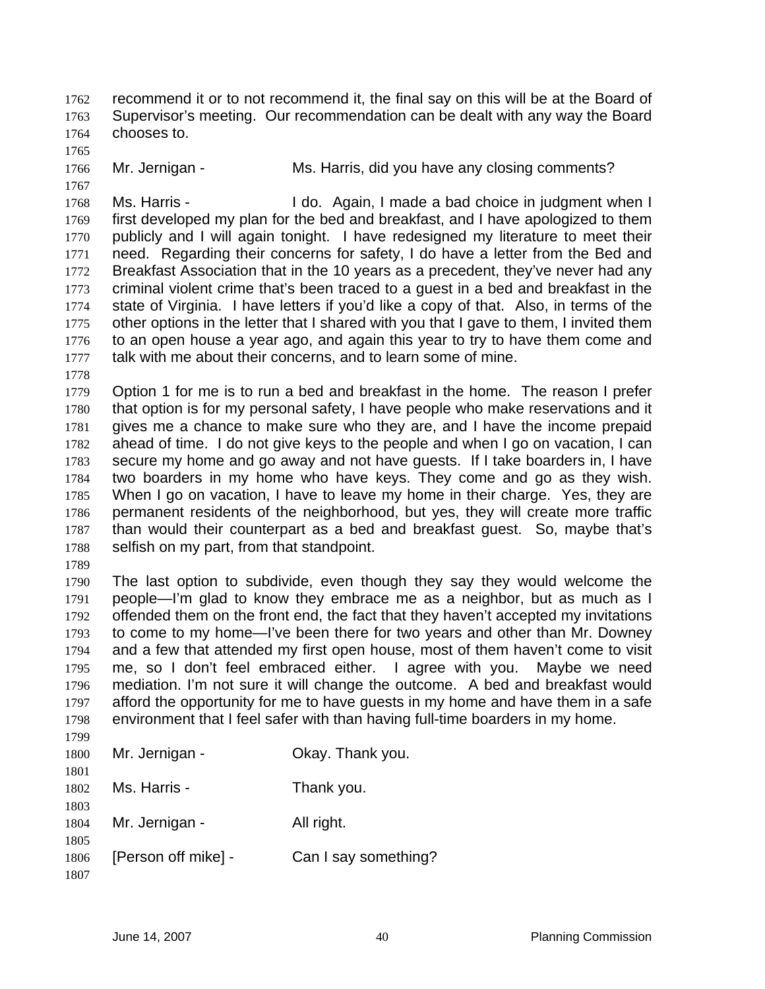recommend it or to not recommend it, the final say on this will be at the Board of Supervisor's meeting. Our recommendation can be dealt with any way the Board chooses to.

Mr. Jernigan - Ms. Harris, did you have any closing comments?

Ms. Harris - I do. Again, I made a bad choice in judgment when I first developed my plan for the bed and breakfast, and I have apologized to them publicly and I will again tonight. I have redesigned my literature to meet their need. Regarding their concerns for safety, I do have a letter from the Bed and Breakfast Association that in the 10 years as a precedent, they've never had any criminal violent crime that's been traced to a guest in a bed and breakfast in the state of Virginia. I have letters if you'd like a copy of that. Also, in terms of the other options in the letter that I shared with you that I gave to them, I invited them to an open house a year ago, and again this year to try to have them come and talk with me about their concerns, and to learn some of mine.

Option 1 for me is to run a bed and breakfast in the home. The reason I prefer that option is for my personal safety, I have people who make reservations and it gives me a chance to make sure who they are, and I have the income prepaid ahead of time. I do not give keys to the people and when I go on vacation, I can secure my home and go away and not have guests. If I take boarders in, I have two boarders in my home who have keys. They come and go as they wish. When I go on vacation, I have to leave my home in their charge. Yes, they are permanent residents of the neighborhood, but yes, they will create more traffic than would their counterpart as a bed and breakfast guest. So, maybe that's selfish on my part, from that standpoint.

The last option to subdivide, even though they say they would welcome the people—I'm glad to know they embrace me as a neighbor, but as much as I offended them on the front end, the fact that they haven't accepted my invitations to come to my home—I've been there for two years and other than Mr. Downey and a few that attended my first open house, most of them haven't come to visit me, so I don't feel embraced either. I agree with you. Maybe we need mediation. I'm not sure it will change the outcome. A bed and breakfast would afford the opportunity for me to have guests in my home and have them in a safe environment that I feel safer with than having full-time boarders in my home. 

| 1777 |                     |                      |
|------|---------------------|----------------------|
| 1800 | Mr. Jernigan -      | Okay. Thank you.     |
| 1801 |                     |                      |
| 1802 | Ms. Harris -        | Thank you.           |
| 1803 |                     |                      |
| 1804 | Mr. Jernigan -      | All right.           |
| 1805 |                     |                      |
| 1806 | [Person off mike] - | Can I say something? |
| 1807 |                     |                      |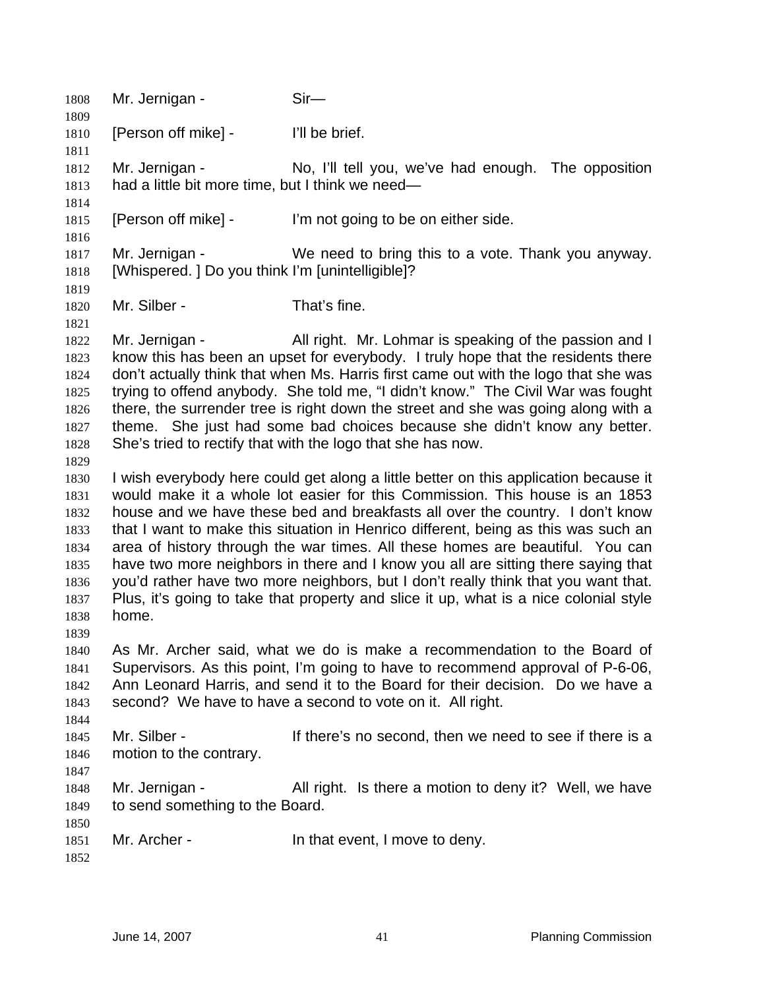| 1808<br>1809                                                                         | Mr. Jernigan -                                                                                                                                                                                                                                                                                                                                                                                                                                                                                                                                                                                                                                                                                           | $Sir-$                                                                                                                                                                                                                                                                                                                                                                                                                                                                                                                                                |
|--------------------------------------------------------------------------------------|----------------------------------------------------------------------------------------------------------------------------------------------------------------------------------------------------------------------------------------------------------------------------------------------------------------------------------------------------------------------------------------------------------------------------------------------------------------------------------------------------------------------------------------------------------------------------------------------------------------------------------------------------------------------------------------------------------|-------------------------------------------------------------------------------------------------------------------------------------------------------------------------------------------------------------------------------------------------------------------------------------------------------------------------------------------------------------------------------------------------------------------------------------------------------------------------------------------------------------------------------------------------------|
| 1810                                                                                 | [Person off mike] -                                                                                                                                                                                                                                                                                                                                                                                                                                                                                                                                                                                                                                                                                      | I'll be brief.                                                                                                                                                                                                                                                                                                                                                                                                                                                                                                                                        |
| 1811<br>1812<br>1813                                                                 | Mr. Jernigan -<br>had a little bit more time, but I think we need—                                                                                                                                                                                                                                                                                                                                                                                                                                                                                                                                                                                                                                       | No, I'll tell you, we've had enough. The opposition                                                                                                                                                                                                                                                                                                                                                                                                                                                                                                   |
| 1814<br>1815<br>1816                                                                 | [Person off mike] -                                                                                                                                                                                                                                                                                                                                                                                                                                                                                                                                                                                                                                                                                      | I'm not going to be on either side.                                                                                                                                                                                                                                                                                                                                                                                                                                                                                                                   |
| 1817<br>1818                                                                         | Mr. Jernigan -<br>[Whispered.] Do you think I'm [unintelligible]?                                                                                                                                                                                                                                                                                                                                                                                                                                                                                                                                                                                                                                        | We need to bring this to a vote. Thank you anyway.                                                                                                                                                                                                                                                                                                                                                                                                                                                                                                    |
| 1819<br>1820<br>1821                                                                 | Mr. Silber -                                                                                                                                                                                                                                                                                                                                                                                                                                                                                                                                                                                                                                                                                             | That's fine.                                                                                                                                                                                                                                                                                                                                                                                                                                                                                                                                          |
| 1822<br>1823<br>1824<br>1825<br>1826<br>1827<br>1828                                 | Mr. Jernigan -                                                                                                                                                                                                                                                                                                                                                                                                                                                                                                                                                                                                                                                                                           | All right. Mr. Lohmar is speaking of the passion and I<br>know this has been an upset for everybody. I truly hope that the residents there<br>don't actually think that when Ms. Harris first came out with the logo that she was<br>trying to offend anybody. She told me, "I didn't know." The Civil War was fought<br>there, the surrender tree is right down the street and she was going along with a<br>theme. She just had some bad choices because she didn't know any better.<br>She's tried to rectify that with the logo that she has now. |
| 1829<br>1830<br>1831<br>1832<br>1833<br>1834<br>1835<br>1836<br>1837<br>1838<br>1839 | I wish everybody here could get along a little better on this application because it<br>would make it a whole lot easier for this Commission. This house is an 1853<br>house and we have these bed and breakfasts all over the country. I don't know<br>that I want to make this situation in Henrico different, being as this was such an<br>area of history through the war times. All these homes are beautiful. You can<br>have two more neighbors in there and I know you all are sitting there saying that<br>you'd rather have two more neighbors, but I don't really think that you want that.<br>Plus, it's going to take that property and slice it up, what is a nice colonial style<br>home. |                                                                                                                                                                                                                                                                                                                                                                                                                                                                                                                                                       |
| 1840<br>1841<br>1842<br>1843                                                         | As Mr. Archer said, what we do is make a recommendation to the Board of<br>Supervisors. As this point, I'm going to have to recommend approval of P-6-06,<br>Ann Leonard Harris, and send it to the Board for their decision. Do we have a<br>second? We have to have a second to vote on it. All right.                                                                                                                                                                                                                                                                                                                                                                                                 |                                                                                                                                                                                                                                                                                                                                                                                                                                                                                                                                                       |
| 1844<br>1845<br>1846<br>1847                                                         | Mr. Silber -<br>motion to the contrary.                                                                                                                                                                                                                                                                                                                                                                                                                                                                                                                                                                                                                                                                  | If there's no second, then we need to see if there is a                                                                                                                                                                                                                                                                                                                                                                                                                                                                                               |
| 1848<br>1849                                                                         | Mr. Jernigan -<br>to send something to the Board.                                                                                                                                                                                                                                                                                                                                                                                                                                                                                                                                                                                                                                                        | All right. Is there a motion to deny it? Well, we have                                                                                                                                                                                                                                                                                                                                                                                                                                                                                                |
| 1850<br>1851<br>1852                                                                 | Mr. Archer -                                                                                                                                                                                                                                                                                                                                                                                                                                                                                                                                                                                                                                                                                             | In that event, I move to deny.                                                                                                                                                                                                                                                                                                                                                                                                                                                                                                                        |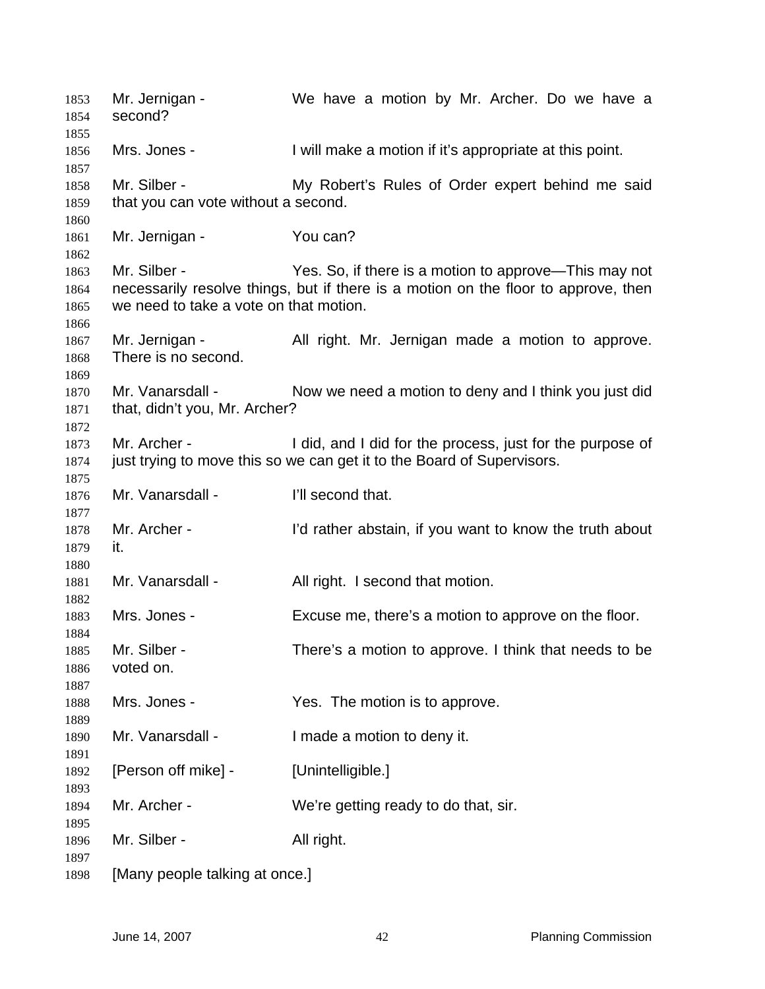1853 Mr. Jernigan - We have a motion by Mr. Archer. Do we have a second? Mrs. Jones - I will make a motion if it's appropriate at this point. 1858 Mr. Silber - My Robert's Rules of Order expert behind me said that you can vote without a second. 1861 Mr. Jernigan - You can? Mr. Silber - Yes. So, if there is a motion to approve—This may not necessarily resolve things, but if there is a motion on the floor to approve, then we need to take a vote on that motion. 1867 Mr. Jernigan - All right. Mr. Jernigan made a motion to approve. There is no second. 1870 Mr. Vanarsdall - Now we need a motion to deny and I think you just did that, didn't you, Mr. Archer? Mr. Archer - I did, and I did for the process, just for the purpose of just trying to move this so we can get it to the Board of Supervisors. 1876 Mr. Vanarsdall - I'll second that. Mr. Archer - I'd rather abstain, if you want to know the truth about it. 1881 Mr. Vanarsdall - All right. I second that motion. Mrs. Jones - Excuse me, there's a motion to approve on the floor. Mr. Silber - There's a motion to approve. I think that needs to be voted on. 1888 Mrs. Jones - Yes. The motion is to approve. Mr. Vanarsdall - I made a motion to deny it. 1892 [Person off mike] - [Unintelligible.] Mr. Archer - We're getting ready to do that, sir. 1896 Mr. Silber - All right. [Many people talking at once.]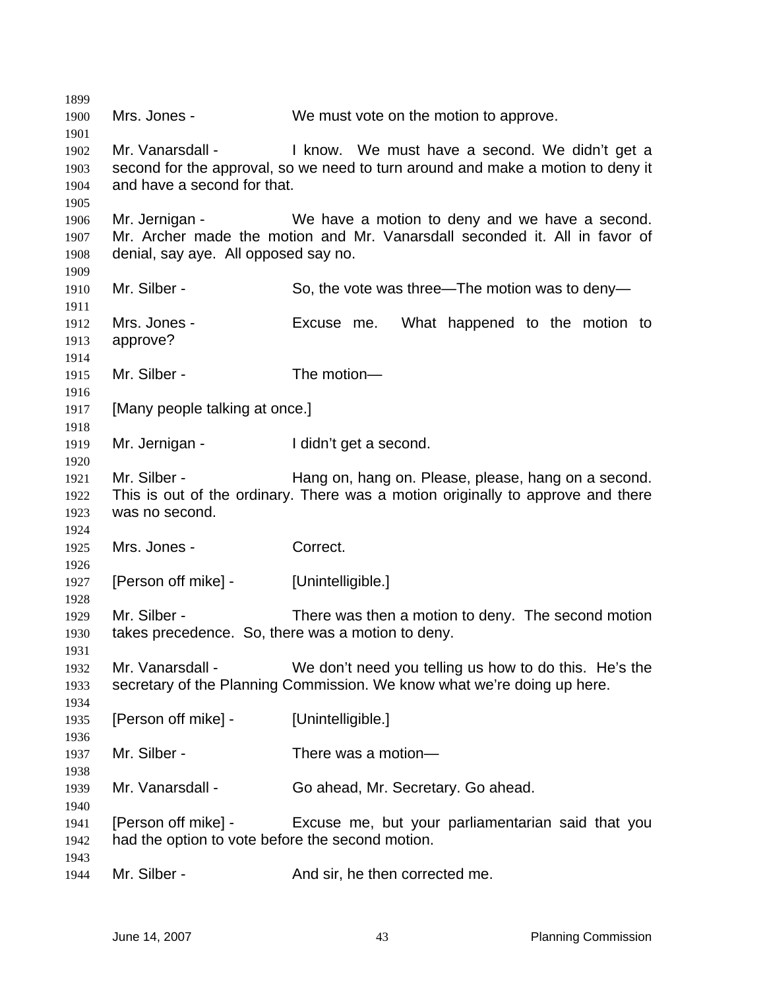Mrs. Jones - We must vote on the motion to approve. 1902 Mr. Vanarsdall - I know. We must have a second. We didn't get a second for the approval, so we need to turn around and make a motion to deny it and have a second for that. Mr. Jernigan - We have a motion to deny and we have a second. Mr. Archer made the motion and Mr. Vanarsdall seconded it. All in favor of denial, say aye. All opposed say no. 1910 Mr. Silber - So, the vote was three—The motion was to deny- Mrs. Jones - Excuse me. What happened to the motion to approve? 1915 Mr. Silber - The motion— [Many people talking at once.] Mr. Jernigan - I didn't get a second. 1921 Mr. Silber - Hang on, hang on. Please, please, hang on a second. This is out of the ordinary. There was a motion originally to approve and there was no second. Mrs. Jones - Correct. 1927 [Person off mike] - [Unintelligible.] Mr. Silber - There was then a motion to deny. The second motion takes precedence. So, there was a motion to deny. Mr. Vanarsdall - We don't need you telling us how to do this. He's the secretary of the Planning Commission. We know what we're doing up here. 1935 [Person off mike] - [Unintelligible.] 1937 Mr. Silber - There was a motion— Mr. Vanarsdall - Go ahead, Mr. Secretary. Go ahead. [Person off mike] - Excuse me, but your parliamentarian said that you had the option to vote before the second motion. 1944 Mr. Silber - And sir, he then corrected me.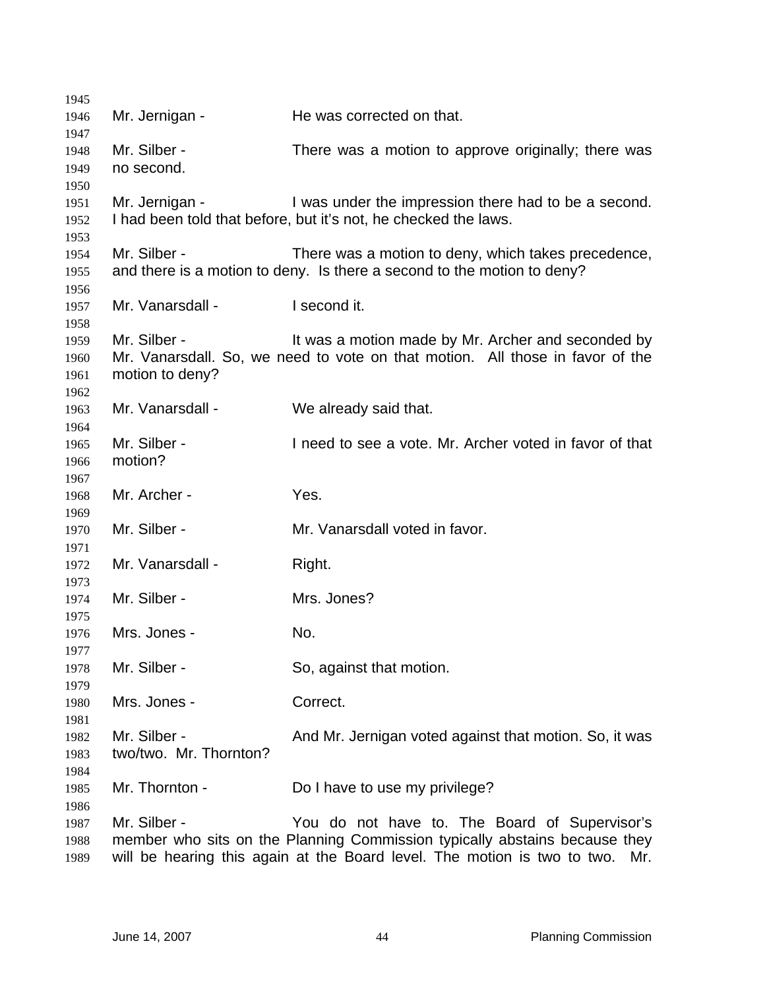| 1945         |                        |                                                                               |
|--------------|------------------------|-------------------------------------------------------------------------------|
| 1946         | Mr. Jernigan -         | He was corrected on that.                                                     |
| 1947         |                        |                                                                               |
| 1948         | Mr. Silber -           | There was a motion to approve originally; there was                           |
| 1949         | no second.             |                                                                               |
| 1950         |                        |                                                                               |
| 1951         | Mr. Jernigan -         | I was under the impression there had to be a second.                          |
| 1952         |                        | I had been told that before, but it's not, he checked the laws.               |
| 1953         |                        |                                                                               |
| 1954         | Mr. Silber -           | There was a motion to deny, which takes precedence,                           |
| 1955         |                        | and there is a motion to deny. Is there a second to the motion to deny?       |
| 1956         |                        |                                                                               |
| 1957         | Mr. Vanarsdall -       | I second it.                                                                  |
| 1958         | Mr. Silber -           | It was a motion made by Mr. Archer and seconded by                            |
| 1959<br>1960 |                        | Mr. Vanarsdall. So, we need to vote on that motion. All those in favor of the |
| 1961         | motion to deny?        |                                                                               |
| 1962         |                        |                                                                               |
| 1963         | Mr. Vanarsdall -       | We already said that.                                                         |
| 1964         |                        |                                                                               |
| 1965         | Mr. Silber -           | I need to see a vote. Mr. Archer voted in favor of that                       |
| 1966         | motion?                |                                                                               |
| 1967         |                        |                                                                               |
| 1968         | Mr. Archer -           | Yes.                                                                          |
| 1969         |                        |                                                                               |
| 1970         | Mr. Silber -           | Mr. Vanarsdall voted in favor.                                                |
| 1971         |                        |                                                                               |
| 1972         | Mr. Vanarsdall -       | Right.                                                                        |
| 1973         |                        |                                                                               |
| 1974         | Mr. Silber -           | Mrs. Jones?                                                                   |
| 1975         |                        |                                                                               |
| 1976         | Mrs. Jones -           | No.                                                                           |
| 1977         |                        |                                                                               |
| 1978         | Mr. Silber -           | So, against that motion.                                                      |
| 1979         |                        | Correct.                                                                      |
| 1980         | Mrs. Jones -           |                                                                               |
| 1981<br>1982 | Mr. Silber -           | And Mr. Jernigan voted against that motion. So, it was                        |
| 1983         | two/two. Mr. Thornton? |                                                                               |
| 1984         |                        |                                                                               |
| 1985         | Mr. Thornton -         | Do I have to use my privilege?                                                |
| 1986         |                        |                                                                               |
| 1987         | Mr. Silber -           | You do not have to. The Board of Supervisor's                                 |
| 1988         |                        | member who sits on the Planning Commission typically abstains because they    |
| 1989         |                        | will be hearing this again at the Board level. The motion is two to two. Mr.  |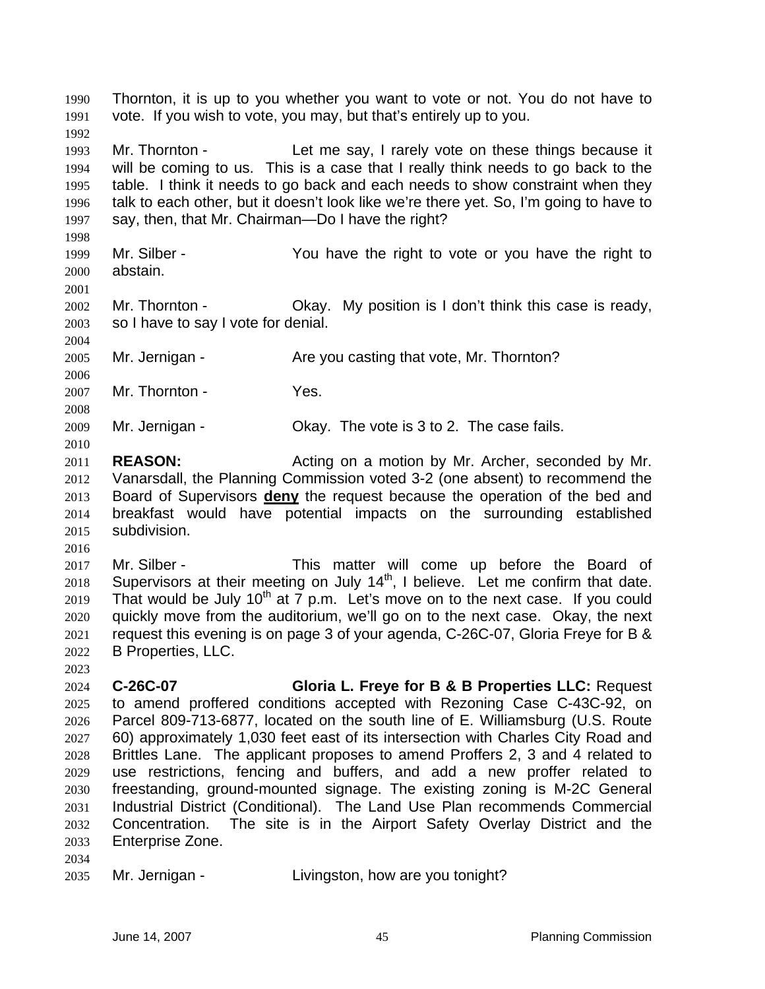Thornton, it is up to you whether you want to vote or not. You do not have to vote. If you wish to vote, you may, but that's entirely up to you. Mr. Thornton - Let me say, I rarely vote on these things because it will be coming to us. This is a case that I really think needs to go back to the table. I think it needs to go back and each needs to show constraint when they talk to each other, but it doesn't look like we're there yet. So, I'm going to have to say, then, that Mr. Chairman—Do I have the right? Mr. Silber - You have the right to vote or you have the right to abstain. Mr. Thornton - Okay. My position is I don't think this case is ready, so I have to say I vote for denial. Mr. Jernigan - Are you casting that vote, Mr. Thornton? 2007 Mr. Thornton - Yes. Mr. Jernigan - Okay. The vote is 3 to 2. The case fails. **REASON:** Acting on a motion by Mr. Archer, seconded by Mr. Vanarsdall, the Planning Commission voted 3-2 (one absent) to recommend the Board of Supervisors **deny** the request because the operation of the bed and breakfast would have potential impacts on the surrounding established subdivision. Mr. Silber - This matter will come up before the Board of Supervisors at their meeting on July  $14<sup>th</sup>$ , I believe. Let me confirm that date. 2019 That would be July 10<sup>th</sup> at 7 p.m. Let's move on to the next case. If you could quickly move from the auditorium, we'll go on to the next case. Okay, the next request this evening is on page 3 of your agenda, C-26C-07, Gloria Freye for B & B Properties, LLC. **C-26C-07 Gloria L. Freye for B & B Properties LLC:** Request to amend proffered conditions accepted with Rezoning Case C-43C-92, on Parcel 809-713-6877, located on the south line of E. Williamsburg (U.S. Route 60) approximately 1,030 feet east of its intersection with Charles City Road and Brittles Lane. The applicant proposes to amend Proffers 2, 3 and 4 related to use restrictions, fencing and buffers, and add a new proffer related to freestanding, ground-mounted signage. The existing zoning is M-2C General Industrial District (Conditional). The Land Use Plan recommends Commercial Concentration. The site is in the Airport Safety Overlay District and the Enterprise Zone. 

Mr. Jernigan - Livingston, how are you tonight?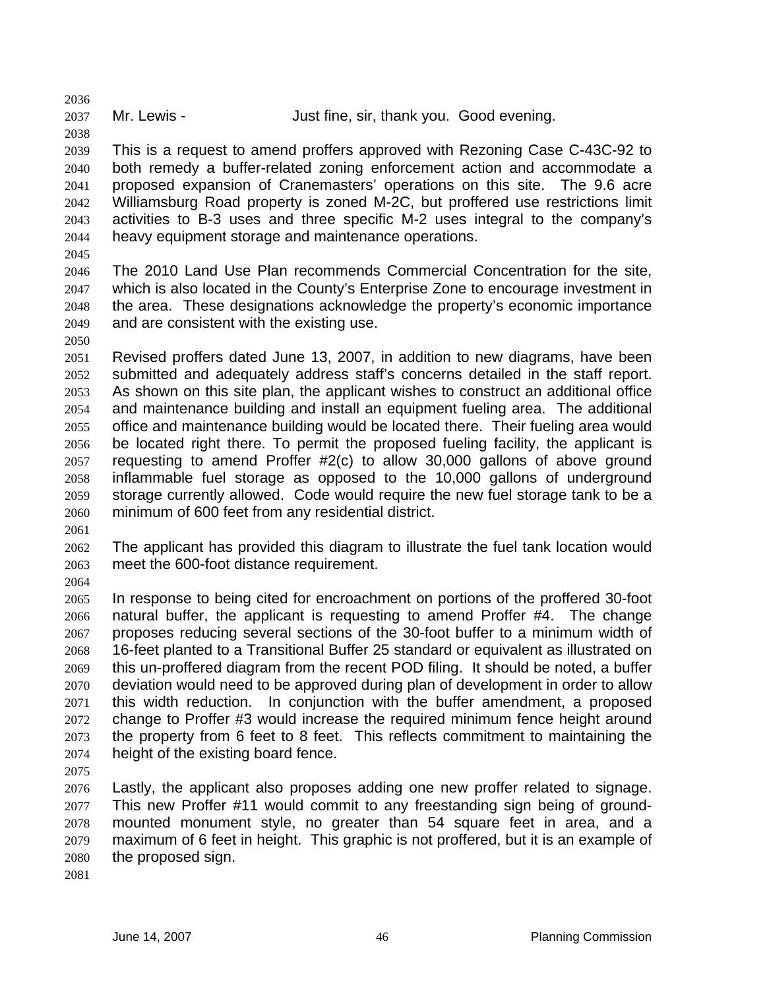Mr. Lewis - Just fine, sir, thank you. Good evening.

This is a request to amend proffers approved with Rezoning Case C-43C-92 to both remedy a buffer-related zoning enforcement action and accommodate a proposed expansion of Cranemasters' operations on this site. The 9.6 acre Williamsburg Road property is zoned M-2C, but proffered use restrictions limit activities to B-3 uses and three specific M-2 uses integral to the company's heavy equipment storage and maintenance operations.

The 2010 Land Use Plan recommends Commercial Concentration for the site, which is also located in the County's Enterprise Zone to encourage investment in the area. These designations acknowledge the property's economic importance and are consistent with the existing use.

- Revised proffers dated June 13, 2007, in addition to new diagrams, have been submitted and adequately address staff's concerns detailed in the staff report. As shown on this site plan, the applicant wishes to construct an additional office and maintenance building and install an equipment fueling area. The additional office and maintenance building would be located there. Their fueling area would be located right there. To permit the proposed fueling facility, the applicant is requesting to amend Proffer #2(c) to allow 30,000 gallons of above ground inflammable fuel storage as opposed to the 10,000 gallons of underground storage currently allowed. Code would require the new fuel storage tank to be a minimum of 600 feet from any residential district.
- 

The applicant has provided this diagram to illustrate the fuel tank location would meet the 600-foot distance requirement.

In response to being cited for encroachment on portions of the proffered 30-foot natural buffer, the applicant is requesting to amend Proffer #4. The change proposes reducing several sections of the 30-foot buffer to a minimum width of 16-feet planted to a Transitional Buffer 25 standard or equivalent as illustrated on this un-proffered diagram from the recent POD filing. It should be noted, a buffer deviation would need to be approved during plan of development in order to allow this width reduction. In conjunction with the buffer amendment, a proposed change to Proffer #3 would increase the required minimum fence height around the property from 6 feet to 8 feet. This reflects commitment to maintaining the height of the existing board fence.

Lastly, the applicant also proposes adding one new proffer related to signage. This new Proffer #11 would commit to any freestanding sign being of ground-mounted monument style, no greater than 54 square feet in area, and a maximum of 6 feet in height. This graphic is not proffered, but it is an example of the proposed sign.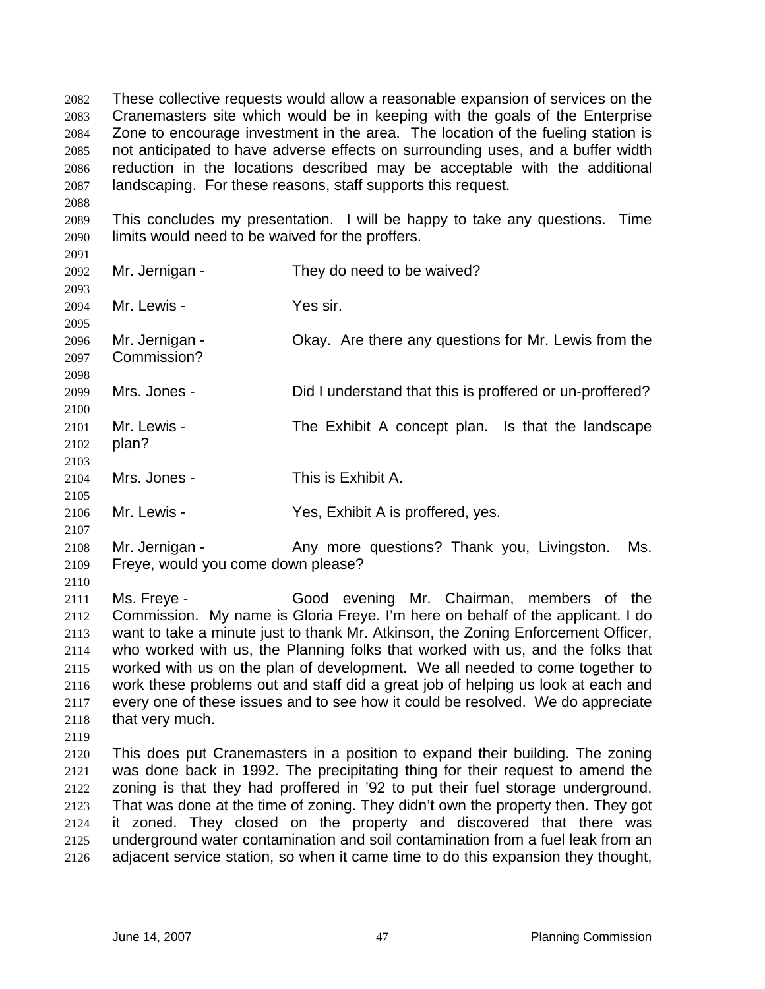These collective requests would allow a reasonable expansion of services on the Cranemasters site which would be in keeping with the goals of the Enterprise Zone to encourage investment in the area. The location of the fueling station is not anticipated to have adverse effects on surrounding uses, and a buffer width reduction in the locations described may be acceptable with the additional landscaping. For these reasons, staff supports this request.

This concludes my presentation. I will be happy to take any questions. Time limits would need to be waived for the proffers.

Mr. Jernigan - They do need to be waived? 

Mr. Lewis - Yes sir.

 Mr. Jernigan - Okay. Are there any questions for Mr. Lewis from the

Commission? 

Mrs. Jones - Did I understand that this is proffered or un-proffered?

Mr. Lewis - The Exhibit A concept plan. Is that the landscape plan?

Mrs. Jones - This is Exhibit A.

Mr. Lewis - Yes, Exhibit A is proffered, yes.

Mr. Jernigan - Any more questions? Thank you, Livingston. Ms. Freye, would you come down please?

Ms. Freye - Good evening Mr. Chairman, members of the Commission. My name is Gloria Freye. I'm here on behalf of the applicant. I do want to take a minute just to thank Mr. Atkinson, the Zoning Enforcement Officer, who worked with us, the Planning folks that worked with us, and the folks that worked with us on the plan of development. We all needed to come together to work these problems out and staff did a great job of helping us look at each and every one of these issues and to see how it could be resolved. We do appreciate that very much.

This does put Cranemasters in a position to expand their building. The zoning was done back in 1992. The precipitating thing for their request to amend the zoning is that they had proffered in '92 to put their fuel storage underground. That was done at the time of zoning. They didn't own the property then. They got it zoned. They closed on the property and discovered that there was underground water contamination and soil contamination from a fuel leak from an adjacent service station, so when it came time to do this expansion they thought,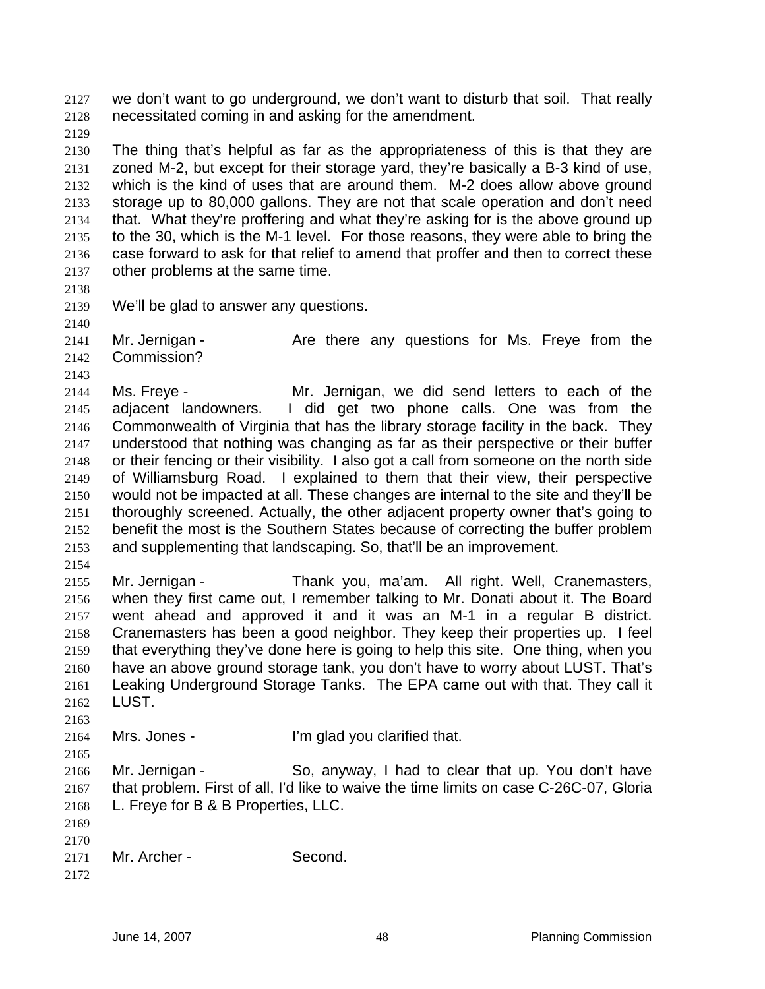we don't want to go underground, we don't want to disturb that soil. That really necessitated coming in and asking for the amendment.

The thing that's helpful as far as the appropriateness of this is that they are zoned M-2, but except for their storage yard, they're basically a B-3 kind of use, which is the kind of uses that are around them. M-2 does allow above ground storage up to 80,000 gallons. They are not that scale operation and don't need that. What they're proffering and what they're asking for is the above ground up to the 30, which is the M-1 level. For those reasons, they were able to bring the case forward to ask for that relief to amend that proffer and then to correct these other problems at the same time.

We'll be glad to answer any questions.

2141 Mr. Jernigan - The Are there any questions for Ms. Freye from the Commission?

Ms. Freye - Mr. Jernigan, we did send letters to each of the adjacent landowners. I did get two phone calls. One was from the Commonwealth of Virginia that has the library storage facility in the back. They understood that nothing was changing as far as their perspective or their buffer or their fencing or their visibility. I also got a call from someone on the north side of Williamsburg Road. I explained to them that their view, their perspective would not be impacted at all. These changes are internal to the site and they'll be thoroughly screened. Actually, the other adjacent property owner that's going to benefit the most is the Southern States because of correcting the buffer problem and supplementing that landscaping. So, that'll be an improvement.

Mr. Jernigan - Thank you, ma'am. All right. Well, Cranemasters, when they first came out, I remember talking to Mr. Donati about it. The Board went ahead and approved it and it was an M-1 in a regular B district. Cranemasters has been a good neighbor. They keep their properties up. I feel that everything they've done here is going to help this site. One thing, when you have an above ground storage tank, you don't have to worry about LUST. That's Leaking Underground Storage Tanks. The EPA came out with that. They call it LUST.

Mrs. Jones - I'm glad you clarified that.

Mr. Jernigan - So, anyway, I had to clear that up. You don't have that problem. First of all, I'd like to waive the time limits on case C-26C-07, Gloria L. Freye for B & B Properties, LLC.

 

```
2171 Mr. Archer - Second.
```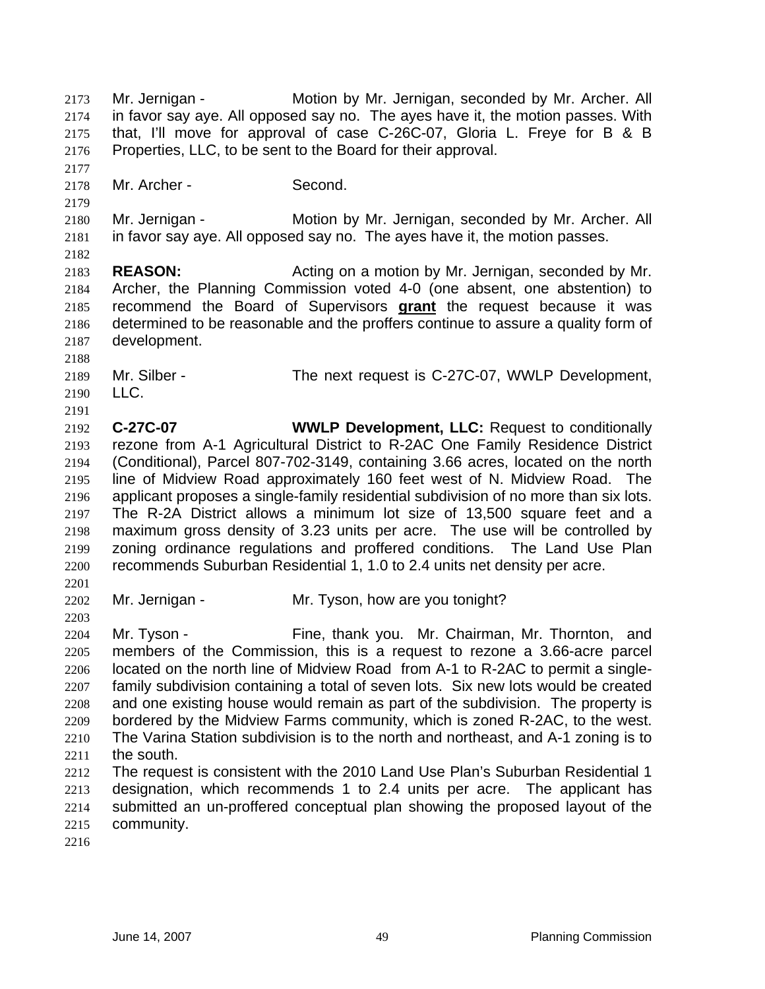Mr. Jernigan - Motion by Mr. Jernigan, seconded by Mr. Archer. All in favor say aye. All opposed say no. The ayes have it, the motion passes. With that, I'll move for approval of case C-26C-07, Gloria L. Freye for B & B Properties, LLC, to be sent to the Board for their approval. Mr. Archer - Second. Mr. Jernigan - Motion by Mr. Jernigan, seconded by Mr. Archer. All in favor say aye. All opposed say no. The ayes have it, the motion passes. **REASON:** Acting on a motion by Mr. Jernigan, seconded by Mr. Archer, the Planning Commission voted 4-0 (one absent, one abstention) to recommend the Board of Supervisors **grant** the request because it was determined to be reasonable and the proffers continue to assure a quality form of development. Mr. Silber - The next request is C-27C-07, WWLP Development, LLC. **C-27C-07 WWLP Development, LLC:** Request to conditionally rezone from A-1 Agricultural District to R-2AC One Family Residence District (Conditional), Parcel 807-702-3149, containing 3.66 acres, located on the north line of Midview Road approximately 160 feet west of N. Midview Road. The applicant proposes a single-family residential subdivision of no more than six lots. The R-2A District allows a minimum lot size of 13,500 square feet and a maximum gross density of 3.23 units per acre. The use will be controlled by zoning ordinance regulations and proffered conditions. The Land Use Plan recommends Suburban Residential 1, 1.0 to 2.4 units net density per acre. 2202 Mr. Jernigan - Mr. Tyson, how are you tonight? Mr. Tyson - Fine, thank you. Mr. Chairman, Mr. Thornton, and members of the Commission, this is a request to rezone a 3.66-acre parcel located on the north line of Midview Road from A-1 to R-2AC to permit a single-family subdivision containing a total of seven lots. Six new lots would be created and one existing house would remain as part of the subdivision. The property is bordered by the Midview Farms community, which is zoned R-2AC, to the west. The Varina Station subdivision is to the north and northeast, and A-1 zoning is to the south. The request is consistent with the 2010 Land Use Plan's Suburban Residential 1 designation, which recommends 1 to 2.4 units per acre. The applicant has submitted an un-proffered conceptual plan showing the proposed layout of the community.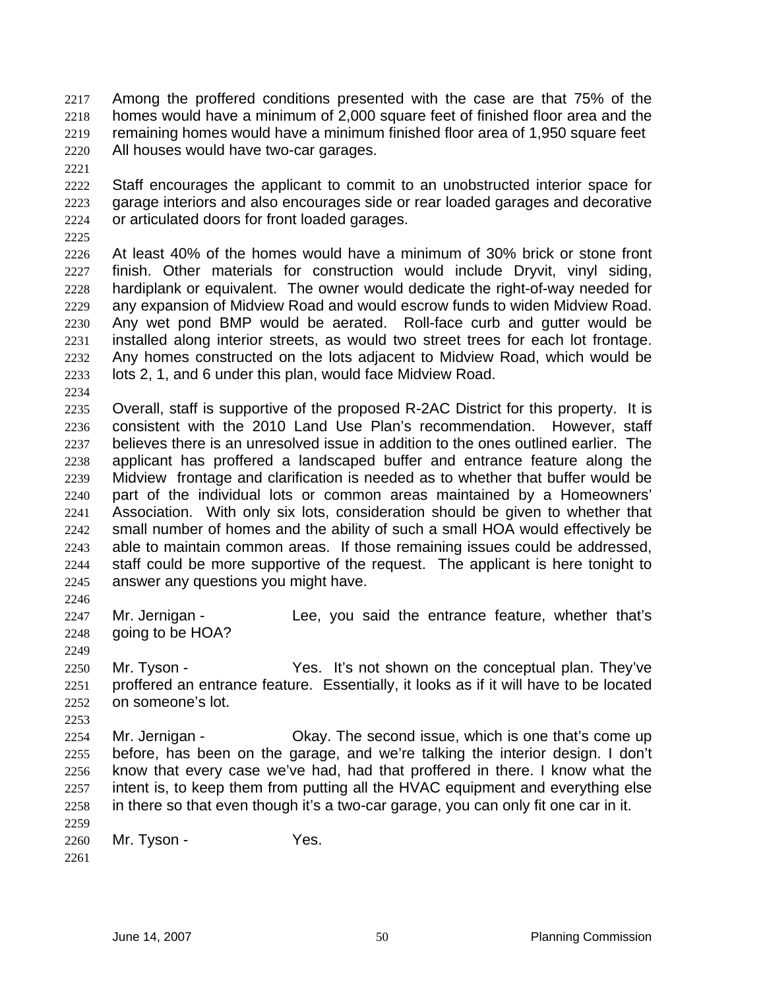- Among the proffered conditions presented with the case are that 75% of the homes would have a minimum of 2,000 square feet of finished floor area and the remaining homes would have a minimum finished floor area of 1,950 square feet All houses would have two-car garages.
- 

Staff encourages the applicant to commit to an unobstructed interior space for garage interiors and also encourages side or rear loaded garages and decorative or articulated doors for front loaded garages.

At least 40% of the homes would have a minimum of 30% brick or stone front finish. Other materials for construction would include Dryvit, vinyl siding, hardiplank or equivalent. The owner would dedicate the right-of-way needed for any expansion of Midview Road and would escrow funds to widen Midview Road. Any wet pond BMP would be aerated. Roll-face curb and gutter would be installed along interior streets, as would two street trees for each lot frontage. Any homes constructed on the lots adjacent to Midview Road, which would be lots 2, 1, and 6 under this plan, would face Midview Road.

Overall, staff is supportive of the proposed R-2AC District for this property. It is consistent with the 2010 Land Use Plan's recommendation. However, staff believes there is an unresolved issue in addition to the ones outlined earlier. The applicant has proffered a landscaped buffer and entrance feature along the Midview frontage and clarification is needed as to whether that buffer would be part of the individual lots or common areas maintained by a Homeowners' Association. With only six lots, consideration should be given to whether that small number of homes and the ability of such a small HOA would effectively be able to maintain common areas. If those remaining issues could be addressed, staff could be more supportive of the request. The applicant is here tonight to answer any questions you might have.

2247 Mr. Jernigan - Lee, you said the entrance feature, whether that's 2248 going to be HOA?

2250 Mr. Tyson - Yes. It's not shown on the conceptual plan. They've proffered an entrance feature. Essentially, it looks as if it will have to be located on someone's lot.

- 2254 Mr. Jernigan Ckay. The second issue, which is one that's come up before, has been on the garage, and we're talking the interior design. I don't know that every case we've had, had that proffered in there. I know what the intent is, to keep them from putting all the HVAC equipment and everything else in there so that even though it's a two-car garage, you can only fit one car in it.
- Mr. Tyson - Yes.
-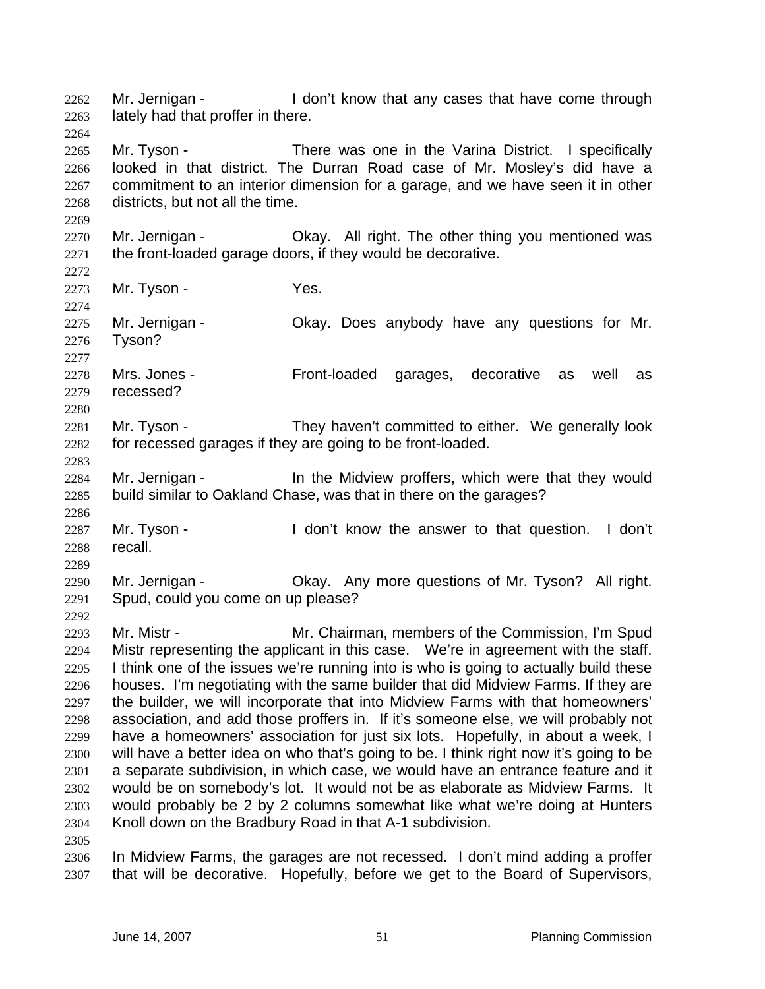looked in that district. The Durran Road case of Mr. Mosley's did have a commitment to an interior dimension for a garage, and we have seen it in other districts, but not all the time. 2270 Mr. Jernigan - Ckay. All right. The other thing you mentioned was the front-loaded garage doors, if they would be decorative. 2273 Mr. Tyson - Yes. Mr. Jernigan - Okay. Does anybody have any questions for Mr. Tyson? Mrs. Jones - Front-loaded garages, decorative as well as recessed? 2281 Mr. Tyson - They haven't committed to either. We generally look for recessed garages if they are going to be front-loaded. Mr. Jernigan - In the Midview proffers, which were that they would build similar to Oakland Chase, was that in there on the garages? 2287 Mr. Tyson - I don't know the answer to that question. I don't recall. Mr. Jernigan - Okay. Any more questions of Mr. Tyson? All right. Spud, could you come on up please? Mr. Mistr - Mr. Chairman, members of the Commission, I'm Spud Mistr representing the applicant in this case. We're in agreement with the staff. I think one of the issues we're running into is who is going to actually build these houses. I'm negotiating with the same builder that did Midview Farms. If they are the builder, we will incorporate that into Midview Farms with that homeowners' association, and add those proffers in. If it's someone else, we will probably not have a homeowners' association for just six lots. Hopefully, in about a week, I will have a better idea on who that's going to be. I think right now it's going to be a separate subdivision, in which case, we would have an entrance feature and it would be on somebody's lot. It would not be as elaborate as Midview Farms. It would probably be 2 by 2 columns somewhat like what we're doing at Hunters Knoll down on the Bradbury Road in that A-1 subdivision. In Midview Farms, the garages are not recessed. I don't mind adding a proffer that will be decorative. Hopefully, before we get to the Board of Supervisors,

2262 Mr. Jernigan - I don't know that any cases that have come through

2265 Mr. Tyson - There was one in the Varina District. I specifically

lately had that proffer in there.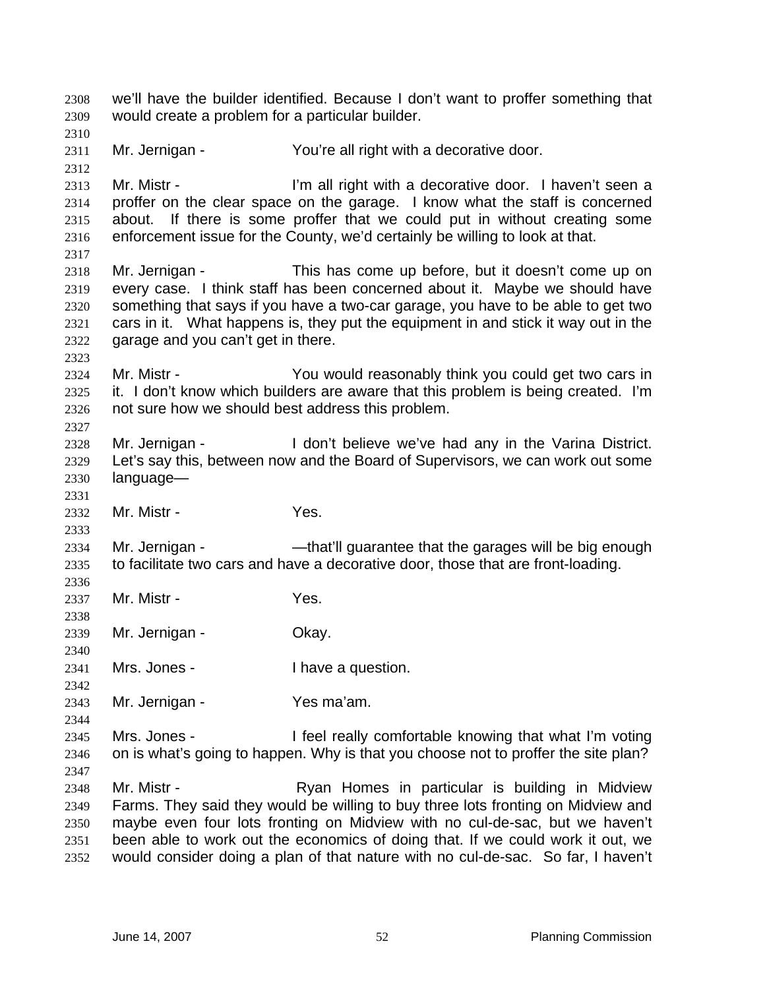we'll have the builder identified. Because I don't want to proffer something that would create a problem for a particular builder. Mr. Jernigan - You're all right with a decorative door. 2313 Mr. Mistr - I'm all right with a decorative door. I haven't seen a proffer on the clear space on the garage. I know what the staff is concerned about. If there is some proffer that we could put in without creating some enforcement issue for the County, we'd certainly be willing to look at that. Mr. Jernigan - This has come up before, but it doesn't come up on every case. I think staff has been concerned about it. Maybe we should have something that says if you have a two-car garage, you have to be able to get two cars in it. What happens is, they put the equipment in and stick it way out in the garage and you can't get in there. Mr. Mistr - You would reasonably think you could get two cars in it. I don't know which builders are aware that this problem is being created. I'm not sure how we should best address this problem. Mr. Jernigan - I don't believe we've had any in the Varina District. Let's say this, between now and the Board of Supervisors, we can work out some language— Mr. Mistr - Yes. 2334 Mr. Jernigan - — — — — that'll guarantee that the garages will be big enough to facilitate two cars and have a decorative door, those that are front-loading. Mr. Mistr - Yes. Mr. Jernigan - Okay. 2341 Mrs. Jones - I have a question. Mr. Jernigan - Yes ma'am. Mrs. Jones - I feel really comfortable knowing that what I'm voting on is what's going to happen. Why is that you choose not to proffer the site plan? 2348 Mr. Mistr - Ryan Homes in particular is building in Midview Farms. They said they would be willing to buy three lots fronting on Midview and maybe even four lots fronting on Midview with no cul-de-sac, but we haven't been able to work out the economics of doing that. If we could work it out, we would consider doing a plan of that nature with no cul-de-sac. So far, I haven't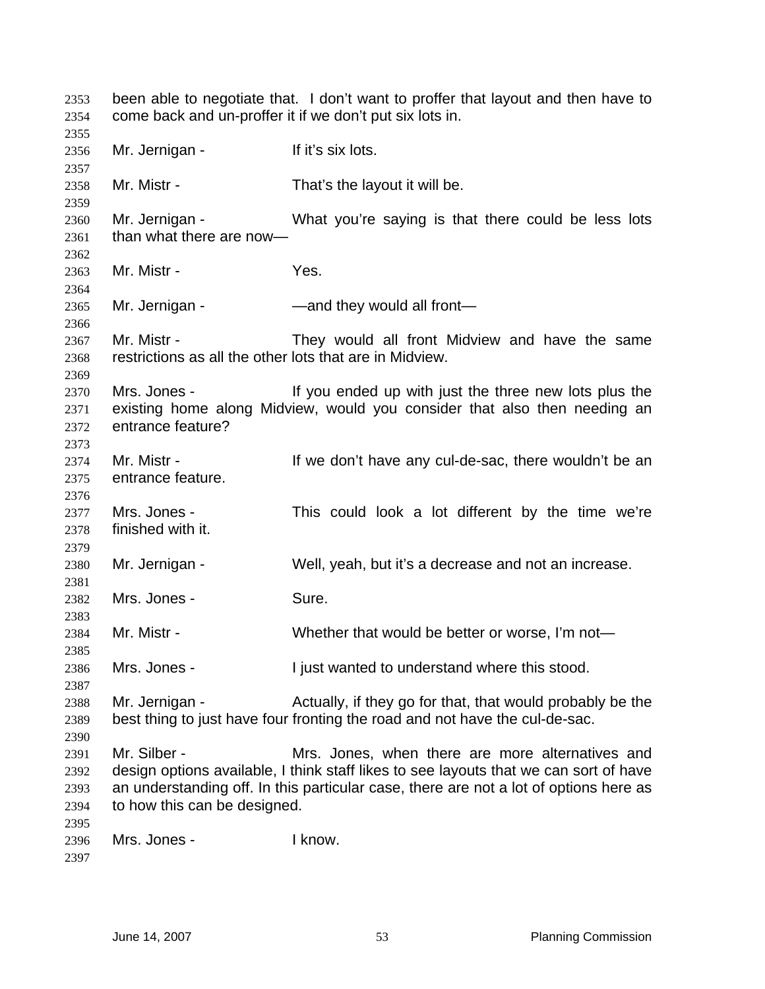been able to negotiate that. I don't want to proffer that layout and then have to come back and un-proffer it if we don't put six lots in. 2356 Mr. Jernigan - If it's six lots. Mr. Mistr - That's the layout it will be. Mr. Jernigan - What you're saying is that there could be less lots than what there are now— Mr. Mistr - Yes. 2365 Mr. Jernigan - — — — — — — — and they would all front— Mr. Mistr - They would all front Midview and have the same restrictions as all the other lots that are in Midview. Mrs. Jones - If you ended up with just the three new lots plus the existing home along Midview, would you consider that also then needing an entrance feature? 2374 Mr. Mistr - If we don't have any cul-de-sac, there wouldn't be an entrance feature. Mrs. Jones - This could look a lot different by the time we're finished with it. Mr. Jernigan - Well, yeah, but it's a decrease and not an increase. Mrs. Jones - Sure. Mr. Mistr - Whether that would be better or worse, I'm not— Mrs. Jones - I just wanted to understand where this stood. Mr. Jernigan - Actually, if they go for that, that would probably be the best thing to just have four fronting the road and not have the cul-de-sac. Mr. Silber - Mrs. Jones, when there are more alternatives and design options available, I think staff likes to see layouts that we can sort of have an understanding off. In this particular case, there are not a lot of options here as to how this can be designed. Mrs. Jones - I know.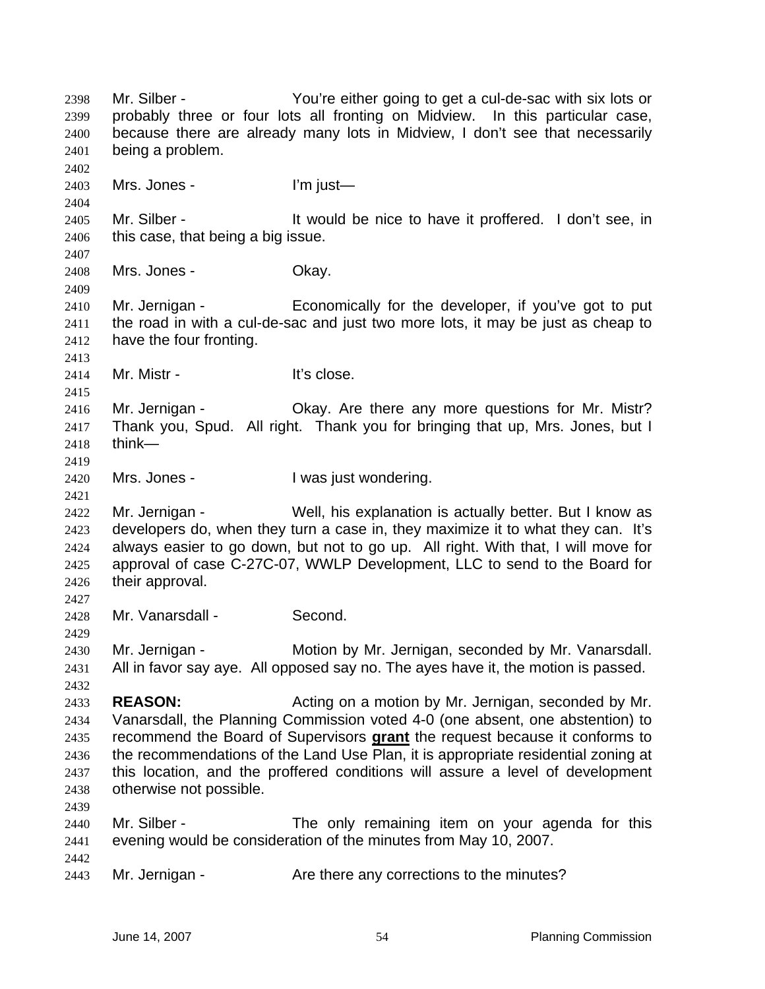Mr. Silber - You're either going to get a cul-de-sac with six lots or probably three or four lots all fronting on Midview. In this particular case, because there are already many lots in Midview, I don't see that necessarily being a problem. Mrs. Jones - I'm just— Mr. Silber - It would be nice to have it proffered. I don't see, in this case, that being a big issue. Mrs. Jones - Okay. Mr. Jernigan - Economically for the developer, if you've got to put the road in with a cul-de-sac and just two more lots, it may be just as cheap to have the four fronting. 2414 Mr. Mistr - It's close. 2416 Mr. Jernigan - Ckay. Are there any more questions for Mr. Mistr? Thank you, Spud. All right. Thank you for bringing that up, Mrs. Jones, but I think— Mrs. Jones - I was just wondering. 2422 Mr. Jernigan - Well, his explanation is actually better. But I know as developers do, when they turn a case in, they maximize it to what they can. It's always easier to go down, but not to go up. All right. With that, I will move for approval of case C-27C-07, WWLP Development, LLC to send to the Board for their approval. Mr. Vanarsdall - Second. Mr. Jernigan - Motion by Mr. Jernigan, seconded by Mr. Vanarsdall. All in favor say aye. All opposed say no. The ayes have it, the motion is passed. **REASON:** Acting on a motion by Mr. Jernigan, seconded by Mr. Vanarsdall, the Planning Commission voted 4-0 (one absent, one abstention) to recommend the Board of Supervisors **grant** the request because it conforms to the recommendations of the Land Use Plan, it is appropriate residential zoning at this location, and the proffered conditions will assure a level of development otherwise not possible. Mr. Silber - The only remaining item on your agenda for this evening would be consideration of the minutes from May 10, 2007. 2443 Mr. Jernigan - **Are there any corrections to the minutes?**